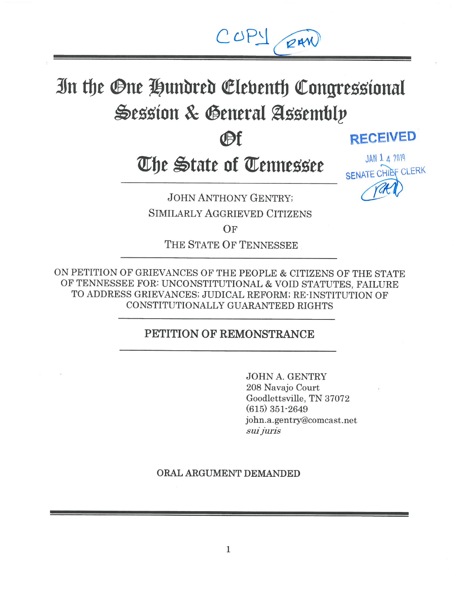# In the One Hundred Elebenth Congressional Session & General Assembly

 $COP1$ 

RAN

**®f** 

## **RECEIVED**

## The State of Tennessee

**JAN 1 4 7019 SENATE CHILF CLERK** 

**JOHN ANTHONY GENTRY:** 

**SIMILARLY AGGRIEVED CITIZENS** 

OF

THE STATE OF TENNESSEE

ON PETITION OF GRIEVANCES OF THE PEOPLE & CITIZENS OF THE STATE OF TENNESSEE FOR: UNCONSTITUTIONAL & VOID STATUTES, FAILURE TO ADDRESS GRIEVANCES; JUDICAL REFORM; RE-INSTITUTION OF CONSTITUTIONALLY GUARANTEED RIGHTS

## PETITION OF REMONSTRANCE

**JOHN A. GENTRY** 208 Navajo Court Goodlettsville, TN 37072  $(615)$  351-2649 john.a.gentry@comcast.net sui juris

#### ORAL ARGUMENT DEMANDED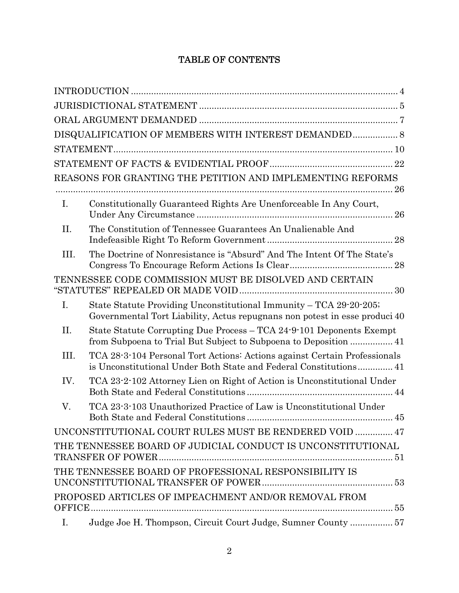## TABLE OF CONTENTS

|         | DISQUALIFICATION OF MEMBERS WITH INTEREST DEMANDED  8                                                                                            |
|---------|--------------------------------------------------------------------------------------------------------------------------------------------------|
|         |                                                                                                                                                  |
|         |                                                                                                                                                  |
|         | REASONS FOR GRANTING THE PETITION AND IMPLEMENTING REFORMS<br>26                                                                                 |
| I.      | Constitutionally Guaranteed Rights Are Unenforceable In Any Court,                                                                               |
| II.     | The Constitution of Tennessee Guarantees An Unalienable And                                                                                      |
| III.    | The Doctrine of Nonresistance is "Absurd" And The Intent Of The State's                                                                          |
|         | TENNESSEE CODE COMMISSION MUST BE DISOLVED AND CERTAIN                                                                                           |
| I.      | State Statute Providing Unconstitutional Immunity – TCA 29-20-205;<br>Governmental Tort Liability, Actus repugnans non potest in esse produci 40 |
| II.     | State Statute Corrupting Due Process - TCA 24-9-101 Deponents Exempt<br>from Subpoena to Trial But Subject to Subpoena to Deposition  41         |
| III.    | TCA 28-3-104 Personal Tort Actions: Actions against Certain Professionals<br>is Unconstitutional Under Both State and Federal Constitutions 41   |
| IV.     | TCA 23-2-102 Attorney Lien on Right of Action is Unconstitutional Under                                                                          |
| V.      | TCA 23-3-103 Unauthorized Practice of Law is Unconstitutional Under                                                                              |
|         | UNCONSTITUTIONAL COURT RULES MUST BE RENDERED VOID  47                                                                                           |
|         | THE TENNESSEE BOARD OF JUDICIAL CONDUCT IS UNCONSTITUTIONAL                                                                                      |
|         | THE TENNESSEE BOARD OF PROFESSIONAL RESPONSIBILITY IS                                                                                            |
| OFFICE. | PROPOSED ARTICLES OF IMPEACHMENT AND/OR REMOVAL FROM                                                                                             |
| Ι.      | Judge Joe H. Thompson, Circuit Court Judge, Sumner County  57                                                                                    |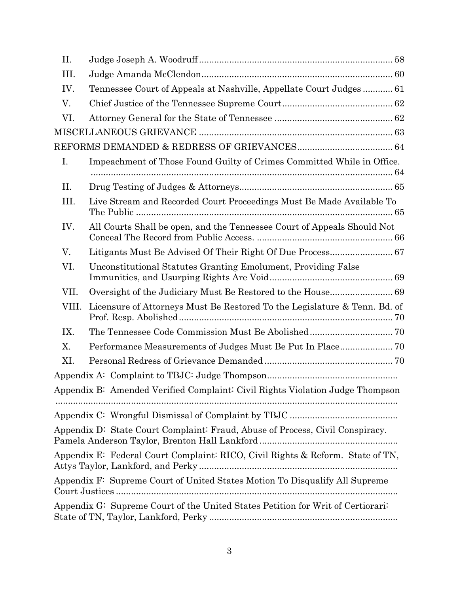| II.   |                                                                                |  |
|-------|--------------------------------------------------------------------------------|--|
| III.  |                                                                                |  |
| IV.   | Tennessee Court of Appeals at Nashville, Appellate Court Judges 61             |  |
| V.    |                                                                                |  |
| VI.   |                                                                                |  |
|       |                                                                                |  |
|       |                                                                                |  |
| I.    | Impeachment of Those Found Guilty of Crimes Committed While in Office.         |  |
| II.   |                                                                                |  |
| Ш.    | Live Stream and Recorded Court Proceedings Must Be Made Available To           |  |
| IV.   | All Courts Shall be open, and the Tennessee Court of Appeals Should Not        |  |
| V.    | Litigants Must Be Advised Of Their Right Of Due Process 67                     |  |
| VI.   | Unconstitutional Statutes Granting Emolument, Providing False                  |  |
| VII.  |                                                                                |  |
| VIII. | Licensure of Attorneys Must Be Restored To the Legislature & Tenn. Bd. of      |  |
| IX.   |                                                                                |  |
| Χ.    |                                                                                |  |
| XI.   |                                                                                |  |
|       |                                                                                |  |
|       | Appendix B: Amended Verified Complaint: Civil Rights Violation Judge Thompson  |  |
|       |                                                                                |  |
|       | Appendix D: State Court Complaint: Fraud, Abuse of Process, Civil Conspiracy.  |  |
|       | Appendix E: Federal Court Complaint: RICO, Civil Rights & Reform. State of TN, |  |
|       | Appendix F: Supreme Court of United States Motion To Disqualify All Supreme    |  |
|       | Appendix G: Supreme Court of the United States Petition for Writ of Certiorari |  |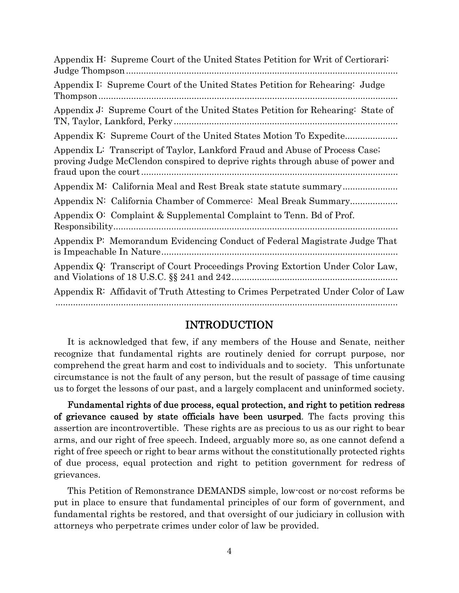| Appendix H: Supreme Court of the United States Petition for Writ of Certiorari                                                                                |
|---------------------------------------------------------------------------------------------------------------------------------------------------------------|
| Appendix I: Supreme Court of the United States Petition for Rehearing: Judge                                                                                  |
| Appendix J: Supreme Court of the United States Petition for Rehearing: State of                                                                               |
|                                                                                                                                                               |
| Appendix L: Transcript of Taylor, Lankford Fraud and Abuse of Process Case;<br>proving Judge McClendon conspired to deprive rights through abuse of power and |
|                                                                                                                                                               |
| Appendix N: California Chamber of Commerce: Meal Break Summary                                                                                                |
| Appendix O: Complaint & Supplemental Complaint to Tenn. Bd of Prof.                                                                                           |
| Appendix P: Memorandum Evidencing Conduct of Federal Magistrate Judge That                                                                                    |
| Appendix Q: Transcript of Court Proceedings Proving Extortion Under Color Law,<br>and Violations of 18 U.S.C. $\S$ 241 and 242.                               |
| Appendix R: Affidavit of Truth Attesting to Crimes Perpetrated Under Color of Law                                                                             |
|                                                                                                                                                               |

#### INTRODUCTION

It is acknowledged that few, if any members of the House and Senate, neither recognize that fundamental rights are routinely denied for corrupt purpose, nor comprehend the great harm and cost to individuals and to society. This unfortunate circumstance is not the fault of any person, but the result of passage of time causing us to forget the lessons of our past, and a largely complacent and uninformed society.

Fundamental rights of due process, equal protection, and right to petition redress of grievance caused by state officials have been usurped. The facts proving this assertion are incontrovertible. These rights are as precious to us as our right to bear arms, and our right of free speech. Indeed, arguably more so, as one cannot defend a right of free speech or right to bear arms without the constitutionally protected rights of due process, equal protection and right to petition government for redress of grievances.

This Petition of Remonstrance DEMANDS simple, low-cost or no-cost reforms be put in place to ensure that fundamental principles of our form of government, and fundamental rights be restored, and that oversight of our judiciary in collusion with attorneys who perpetrate crimes under color of law be provided.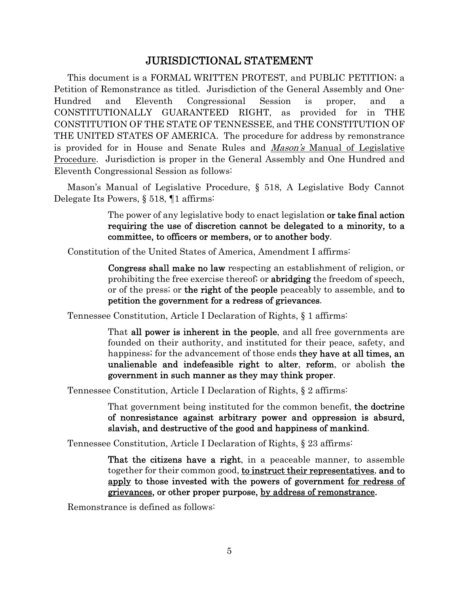#### JURISDICTIONAL STATEMENT

This document is a FORMAL WRITTEN PROTEST, and PUBLIC PETITION; a Petition of Remonstrance as titled. Jurisdiction of the General Assembly and One-Hundred and Eleventh Congressional Session is proper, and a CONSTITUTIONALLY GUARANTEED RIGHT, as provided for in THE CONSTITUTION OF THE STATE OF TENNESSEE, and THE CONSTITUTION OF THE UNITED STATES OF AMERICA. The procedure for address by remonstrance is provided for in House and Senate Rules and Mason's Manual of Legislative Procedure. Jurisdiction is proper in the General Assembly and One Hundred and Eleventh Congressional Session as follows:

Mason's Manual of Legislative Procedure, § 518, A Legislative Body Cannot Delegate Its Powers, § 518, ¶1 affirms:

> The power of any legislative body to enact legislation or take final action requiring the use of discretion cannot be delegated to a minority, to a committee, to officers or members, or to another body.

Constitution of the United States of America, Amendment I affirms:

Congress shall make no law respecting an establishment of religion, or prohibiting the free exercise thereof; or **abridging** the freedom of speech, or of the press; or the right of the people peaceably to assemble, and to petition the government for a redress of grievances.

Tennessee Constitution, Article I Declaration of Rights, § 1 affirms:

That all power is inherent in the people, and all free governments are founded on their authority, and instituted for their peace, safety, and happiness; for the advancement of those ends they have at all times, an unalienable and indefeasible right to alter, reform, or abolish the government in such manner as they may think proper.

Tennessee Constitution, Article I Declaration of Rights, § 2 affirms:

That government being instituted for the common benefit, the doctrine of nonresistance against arbitrary power and oppression is absurd, slavish, and destructive of the good and happiness of mankind.

Tennessee Constitution, Article I Declaration of Rights, § 23 affirms:

That the citizens have a right, in a peaceable manner, to assemble together for their common good, to instruct their representatives, and to apply to those invested with the powers of government for redress of grievances, or other proper purpose, by address of remonstrance.

Remonstrance is defined as follows: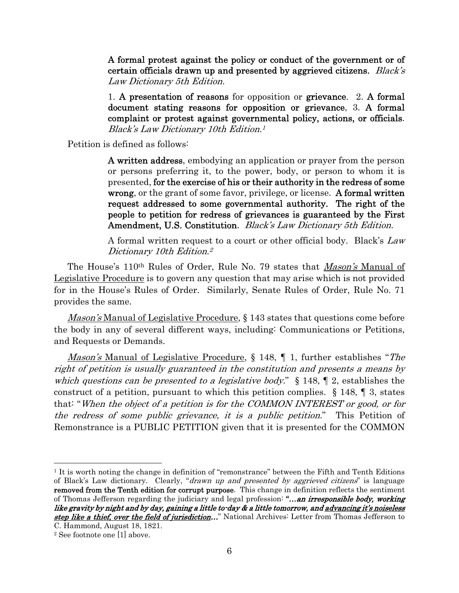A formal protest against the policy or conduct of the government or of certain officials drawn up and presented by aggrieved citizens. *Black's* Law Dictionary 5th Edition.

1. A presentation of reasons for opposition or grievance. 2. A formal document stating reasons for opposition or grievance, 3. A formal complaint or protest against governmental policy, actions, or officials. Black's Law Dictionary 10th Edition.<sup>1</sup>

Petition is defined as follows:

A written address, embodying an application or prayer from the person or persons preferring it, to the power, body, or person to whom it is presented, for the exercise of his or their authority in the redress of some wrong, or the grant of some favor, privilege, or license. A formal written request addressed to some governmental authority. The right of the people to petition for redress of grievances is guaranteed by the First Amendment, U.S. Constitution. Black's Law Dictionary 5th Edition.

A formal written request to a court or other official body. Black's Law Dictionary 10th Edition.<sup>2</sup>

The House's 110<sup>th</sup> Rules of Order, Rule No. 79 states that *Mason's* Manual of Legislative Procedure is to govern any question that may arise which is not provided for in the House's Rules of Order. Similarly, Senate Rules of Order, Rule No. 71 provides the same.

Mason's Manual of Legislative Procedure, § 143 states that questions come before the body in any of several different ways, including: Communications or Petitions, and Requests or Demands.

*Mason's* Manual of Legislative Procedure, § 148, ¶ 1, further establishes "The right of petition is usually guaranteed in the constitution and presents a means by which questions can be presented to a legislative body."  $\S$  148,  $\S$  2, establishes the construct of a petition, pursuant to which this petition complies.  $\S 148$ ,  $\P 3$ , states that: "When the object of a petition is for the COMMON INTEREST or good, or for the redress of some public grievance, it is a public petition." This Petition of Remonstrance is a PUBLIC PETITION given that it is presented for the COMMON

<sup>1</sup> It is worth noting the change in definition of "remonstrance" between the Fifth and Tenth Editions of Black's Law dictionary. Clearly, "drawn up and presented by aggrieved citizens" is language removed from the Tenth edition for corrupt purpose. This change in definition reflects the sentiment of Thomas Jefferson regarding the judiciary and legal profession: "...an irresponsible body, working like gravity by night and by day, gaining a little to-day & a little tomorrow, and advancing it's noiseless step like a thief, over the field of jurisdiction..." National Archives: Letter from Thomas Jefferson to

C. Hammond, August 18, 1821.

<sup>2</sup> See footnote one [1] above.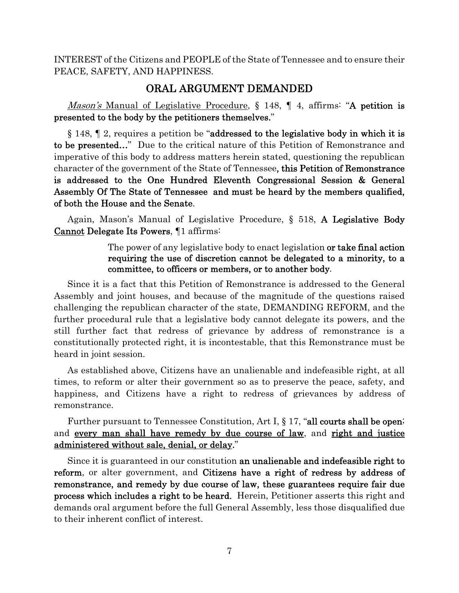INTEREST of the Citizens and PEOPLE of the State of Tennessee and to ensure their PEACE, SAFETY, AND HAPPINESS.

## ORAL ARGUMENT DEMANDED

*Mason's* Manual of Legislative Procedure, § 148, ¶ 4, affirms: "A petition is presented to the body by the petitioners themselves."

§ 148, ¶ 2, requires a petition be "addressed to the legislative body in which it is to be presented…" Due to the critical nature of this Petition of Remonstrance and imperative of this body to address matters herein stated, questioning the republican character of the government of the State of Tennessee, this Petition of Remonstrance is addressed to the One Hundred Eleventh Congressional Session & General Assembly Of The State of Tennessee and must be heard by the members qualified, of both the House and the Senate.

Again, Mason's Manual of Legislative Procedure, § 518, A Legislative Body Cannot Delegate Its Powers, ¶1 affirms:

> The power of any legislative body to enact legislation **or take final action** requiring the use of discretion cannot be delegated to a minority, to a committee, to officers or members, or to another body.

Since it is a fact that this Petition of Remonstrance is addressed to the General Assembly and joint houses, and because of the magnitude of the questions raised challenging the republican character of the state, DEMANDING REFORM, and the further procedural rule that a legislative body cannot delegate its powers, and the still further fact that redress of grievance by address of remonstrance is a constitutionally protected right, it is incontestable, that this Remonstrance must be heard in joint session.

As established above, Citizens have an unalienable and indefeasible right, at all times, to reform or alter their government so as to preserve the peace, safety, and happiness, and Citizens have a right to redress of grievances by address of remonstrance.

Further pursuant to Tennessee Constitution, Art I, § 17, "all courts shall be open; and every man shall have remedy by due course of law, and right and justice administered without sale, denial, or delay."

Since it is guaranteed in our constitution an unalienable and indefeasible right to reform, or alter government, and Citizens have a right of redress by address of remonstrance, and remedy by due course of law, these guarantees require fair due process which includes a right to be heard. Herein, Petitioner asserts this right and demands oral argument before the full General Assembly, less those disqualified due to their inherent conflict of interest.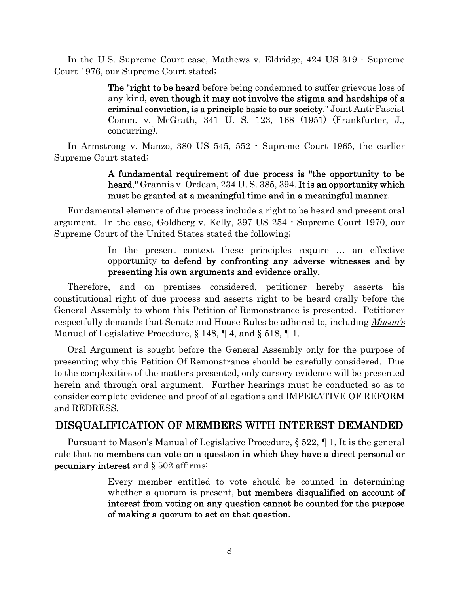In the U.S. Supreme Court case, Mathews v. Eldridge, 424 US 319 - Supreme Court 1976, our Supreme Court stated;

> The "right to be heard before being condemned to suffer grievous loss of any kind, even though it may not involve the stigma and hardships of a criminal conviction, is a principle basic to our society." Joint Anti-Fascist Comm. v. McGrath, 341 U. S. 123, 168 (1951) (Frankfurter, J., concurring).

In Armstrong v. Manzo, 380 US 545, 552 - Supreme Court 1965, the earlier Supreme Court stated;

#### A fundamental requirement of due process is "the opportunity to be heard." Grannis v. Ordean, 234 U.S. 385, 394. It is an opportunity which must be granted at a meaningful time and in a meaningful manner.

Fundamental elements of due process include a right to be heard and present oral argument. In the case, Goldberg v. Kelly, 397 US 254 - Supreme Court 1970, our Supreme Court of the United States stated the following;

#### In the present context these principles require … an effective opportunity to defend by confronting any adverse witnesses and by presenting his own arguments and evidence orally.

Therefore, and on premises considered, petitioner hereby asserts his constitutional right of due process and asserts right to be heard orally before the General Assembly to whom this Petition of Remonstrance is presented. Petitioner respectfully demands that Senate and House Rules be adhered to, including *Mason's* Manual of Legislative Procedure, § 148, ¶ 4, and § 518, ¶ 1.

Oral Argument is sought before the General Assembly only for the purpose of presenting why this Petition Of Remonstrance should be carefully considered. Due to the complexities of the matters presented, only cursory evidence will be presented herein and through oral argument. Further hearings must be conducted so as to consider complete evidence and proof of allegations and IMPERATIVE OF REFORM and REDRESS.

## DISQUALIFICATION OF MEMBERS WITH INTEREST DEMANDED

Pursuant to Mason's Manual of Legislative Procedure, § 522, ¶ 1, It is the general rule that no members can vote on a question in which they have a direct personal or pecuniary interest and § 502 affirms:

> Every member entitled to vote should be counted in determining whether a quorum is present, but members disqualified on account of interest from voting on any question cannot be counted for the purpose of making a quorum to act on that question.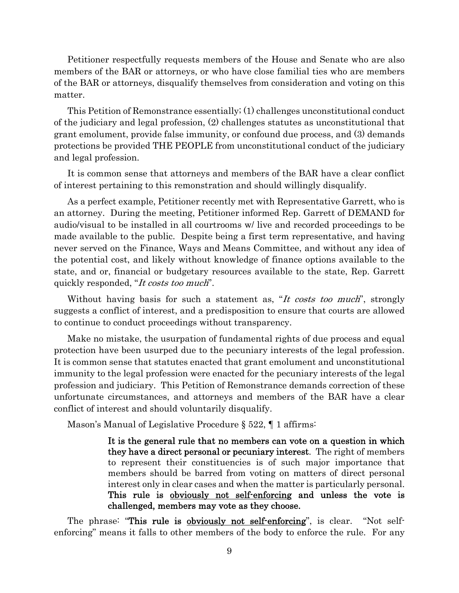Petitioner respectfully requests members of the House and Senate who are also members of the BAR or attorneys, or who have close familial ties who are members of the BAR or attorneys, disqualify themselves from consideration and voting on this matter.

This Petition of Remonstrance essentially; (1) challenges unconstitutional conduct of the judiciary and legal profession, (2) challenges statutes as unconstitutional that grant emolument, provide false immunity, or confound due process, and (3) demands protections be provided THE PEOPLE from unconstitutional conduct of the judiciary and legal profession.

It is common sense that attorneys and members of the BAR have a clear conflict of interest pertaining to this remonstration and should willingly disqualify.

As a perfect example, Petitioner recently met with Representative Garrett, who is an attorney. During the meeting, Petitioner informed Rep. Garrett of DEMAND for audio/visual to be installed in all courtrooms w/ live and recorded proceedings to be made available to the public. Despite being a first term representative, and having never served on the Finance, Ways and Means Committee, and without any idea of the potential cost, and likely without knowledge of finance options available to the state, and or, financial or budgetary resources available to the state, Rep. Garrett quickly responded, "It costs too much".

Without having basis for such a statement as, "It costs too much", strongly suggests a conflict of interest, and a predisposition to ensure that courts are allowed to continue to conduct proceedings without transparency.

Make no mistake, the usurpation of fundamental rights of due process and equal protection have been usurped due to the pecuniary interests of the legal profession. It is common sense that statutes enacted that grant emolument and unconstitutional immunity to the legal profession were enacted for the pecuniary interests of the legal profession and judiciary. This Petition of Remonstrance demands correction of these unfortunate circumstances, and attorneys and members of the BAR have a clear conflict of interest and should voluntarily disqualify.

Mason's Manual of Legislative Procedure § 522, ¶ 1 affirms:

It is the general rule that no members can vote on a question in which they have a direct personal or pecuniary interest. The right of members to represent their constituencies is of such major importance that members should be barred from voting on matters of direct personal interest only in clear cases and when the matter is particularly personal. This rule is obviously not self-enforcing and unless the vote is challenged, members may vote as they choose.

The phrase: "This rule is obviously not self-enforcing", is clear. "Not selfenforcing" means it falls to other members of the body to enforce the rule. For any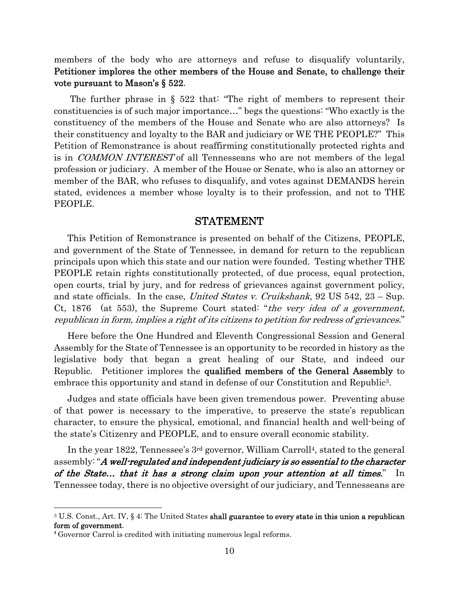members of the body who are attorneys and refuse to disqualify voluntarily, Petitioner implores the other members of the House and Senate, to challenge their vote pursuant to Mason's § 522.

 The further phrase in § 522 that: "The right of members to represent their constituencies is of such major importance…" begs the questions: "Who exactly is the constituency of the members of the House and Senate who are also attorneys? Is their constituency and loyalty to the BAR and judiciary or WE THE PEOPLE?" This Petition of Remonstrance is about reaffirming constitutionally protected rights and is in COMMON INTEREST of all Tennesseans who are not members of the legal profession or judiciary. A member of the House or Senate, who is also an attorney or member of the BAR, who refuses to disqualify, and votes against DEMANDS herein stated, evidences a member whose loyalty is to their profession, and not to THE PEOPLE.

#### STATEMENT

This Petition of Remonstrance is presented on behalf of the Citizens, PEOPLE, and government of the State of Tennessee, in demand for return to the republican principals upon which this state and our nation were founded. Testing whether THE PEOPLE retain rights constitutionally protected, of due process, equal protection, open courts, trial by jury, and for redress of grievances against government policy, and state officials. In the case, United States v. Cruikshank, 92 US 542, 23 – Sup. Ct, 1876 (at 553), the Supreme Court stated: "*the very idea of a government*, republican in form, implies a right of its citizens to petition for redress of grievances."

Here before the One Hundred and Eleventh Congressional Session and General Assembly for the State of Tennessee is an opportunity to be recorded in history as the legislative body that began a great healing of our State, and indeed our Republic. Petitioner implores the qualified members of the General Assembly to embrace this opportunity and stand in defense of our Constitution and Republic3.

Judges and state officials have been given tremendous power. Preventing abuse of that power is necessary to the imperative, to preserve the state's republican character, to ensure the physical, emotional, and financial health and well-being of the state's Citizenry and PEOPLE, and to ensure overall economic stability.

In the year 1822, Tennessee's  $3<sup>rd</sup>$  governor, William Carroll<sup>4</sup>, stated to the general assembly: "A well-regulated and independent judiciary is so essential to the character of the State… that it has a strong claim upon your attention at all times." In Tennessee today, there is no objective oversight of our judiciary, and Tennesseans are

<sup>3</sup> U.S. Const., Art. IV, § 4: The United States shall guarantee to every state in this union a republican form of government.

<sup>4</sup> Governor Carrol is credited with initiating numerous legal reforms.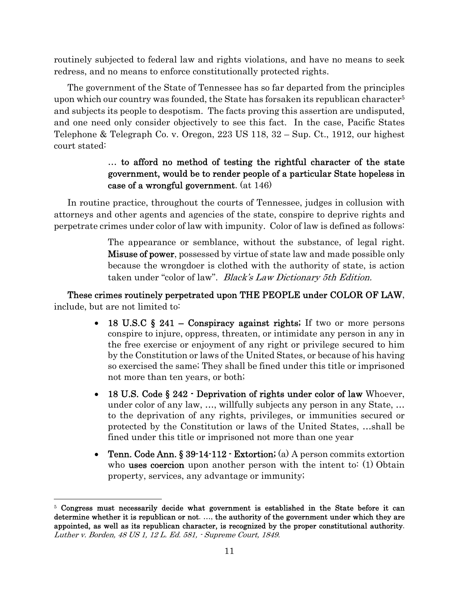routinely subjected to federal law and rights violations, and have no means to seek redress, and no means to enforce constitutionally protected rights.

The government of the State of Tennessee has so far departed from the principles upon which our country was founded, the State has forsaken its republican character<sup>5</sup> and subjects its people to despotism. The facts proving this assertion are undisputed, and one need only consider objectively to see this fact. In the case, Pacific States Telephone & Telegraph Co. v. Oregon, 223 US 118, 32 – Sup. Ct., 1912, our highest court stated:

## … to afford no method of testing the rightful character of the state government, would be to render people of a particular State hopeless in case of a wrongful government. (at 146)

In routine practice, throughout the courts of Tennessee, judges in collusion with attorneys and other agents and agencies of the state, conspire to deprive rights and perpetrate crimes under color of law with impunity. Color of law is defined as follows:

> The appearance or semblance, without the substance, of legal right. Misuse of power, possessed by virtue of state law and made possible only because the wrongdoer is clothed with the authority of state, is action taken under "color of law". Black's Law Dictionary 5th Edition.

These crimes routinely perpetrated upon THE PEOPLE under COLOR OF LAW, include, but are not limited to:

- 18 U.S.C § 241 Conspiracy against rights; If two or more persons conspire to injure, oppress, threaten, or intimidate any person in any in the free exercise or enjoyment of any right or privilege secured to him by the Constitution or laws of the United States, or because of his having so exercised the same; They shall be fined under this title or imprisoned not more than ten years, or both;
- 18 U.S. Code § 242 · Deprivation of rights under color of law Whoever, under color of any law, …, willfully subjects any person in any State, … to the deprivation of any rights, privileges, or immunities secured or protected by the Constitution or laws of the United States, …shall be fined under this title or imprisoned not more than one year
- Tenn. Code Ann. § 39-14-112 Extortion; (a) A person commits extortion who **uses coercion** upon another person with the intent to: (1) Obtain property, services, any advantage or immunity;

<sup>5</sup> Congress must necessarily decide what government is established in the State before it can determine whether it is republican or not. …, the authority of the government under which they are appointed, as well as its republican character, is recognized by the proper constitutional authority. Luther v. Borden, 48 US 1, 12 L. Ed. 581, - Supreme Court, 1849.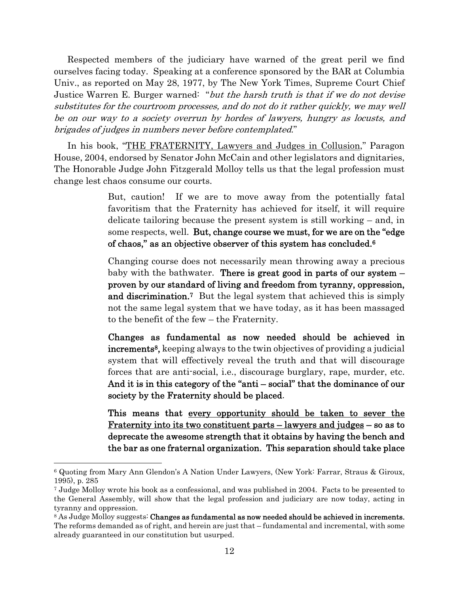Respected members of the judiciary have warned of the great peril we find ourselves facing today. Speaking at a conference sponsored by the BAR at Columbia Univ., as reported on May 28, 1977, by The New York Times, Supreme Court Chief Justice Warren E. Burger warned: "but the harsh truth is that if we do not devise substitutes for the courtroom processes, and do not do it rather quickly, we may well be on our way to a society overrun by hordes of lawyers, hungry as locusts, and brigades of judges in numbers never before contemplated."

In his book, "THE FRATERNITY, Lawyers and Judges in Collusion," Paragon House, 2004, endorsed by Senator John McCain and other legislators and dignitaries, The Honorable Judge John Fitzgerald Molloy tells us that the legal profession must change lest chaos consume our courts.

> But, caution! If we are to move away from the potentially fatal favoritism that the Fraternity has achieved for itself, it will require delicate tailoring because the present system is still working – and, in some respects, well. But, change course we must, for we are on the "edge of chaos," as an objective observer of this system has concluded.6

> Changing course does not necessarily mean throwing away a precious baby with the bathwater. There is great good in parts of our system  $$ proven by our standard of living and freedom from tyranny, oppression, and discrimination.7 But the legal system that achieved this is simply not the same legal system that we have today, as it has been massaged to the benefit of the few – the Fraternity.

> Changes as fundamental as now needed should be achieved in increments8, keeping always to the twin objectives of providing a judicial system that will effectively reveal the truth and that will discourage forces that are anti-social, i.e., discourage burglary, rape, murder, etc. And it is in this category of the "anti – social" that the dominance of our society by the Fraternity should be placed.

> This means that every opportunity should be taken to sever the Fraternity into its two constituent parts – lawyers and judges – so as to deprecate the awesome strength that it obtains by having the bench and the bar as one fraternal organization. This separation should take place

<sup>6</sup> Quoting from Mary Ann Glendon's A Nation Under Lawyers, (New York: Farrar, Straus & Giroux, 1995), p. 285

<sup>7</sup> Judge Molloy wrote his book as a confessional, and was published in 2004. Facts to be presented to the General Assembly, will show that the legal profession and judiciary are now today, acting in tyranny and oppression.

<sup>&</sup>lt;sup>8</sup> As Judge Molloy suggests: Changes as fundamental as now needed should be achieved in increments. The reforms demanded as of right, and herein are just that – fundamental and incremental, with some already guaranteed in our constitution but usurped.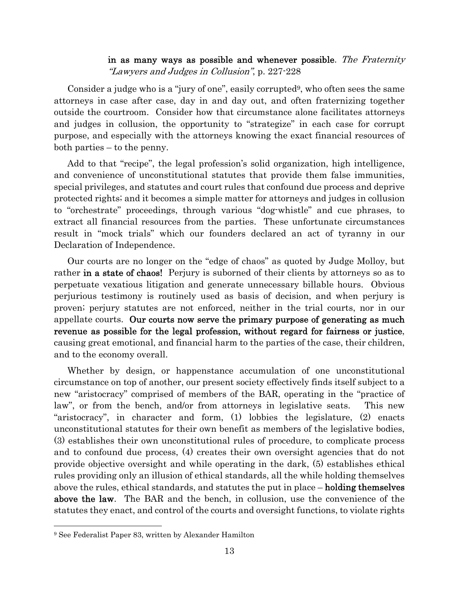#### in as many ways as possible and whenever possible. The Fraternity "Lawyers and Judges in Collusion", p. 227-228

Consider a judge who is a "jury of one", easily corrupted<sup>9</sup>, who often sees the same attorneys in case after case, day in and day out, and often fraternizing together outside the courtroom. Consider how that circumstance alone facilitates attorneys and judges in collusion, the opportunity to "strategize" in each case for corrupt purpose, and especially with the attorneys knowing the exact financial resources of both parties – to the penny.

Add to that "recipe", the legal profession's solid organization, high intelligence, and convenience of unconstitutional statutes that provide them false immunities, special privileges, and statutes and court rules that confound due process and deprive protected rights; and it becomes a simple matter for attorneys and judges in collusion to "orchestrate" proceedings, through various "dog-whistle" and cue phrases, to extract all financial resources from the parties. These unfortunate circumstances result in "mock trials" which our founders declared an act of tyranny in our Declaration of Independence.

Our courts are no longer on the "edge of chaos" as quoted by Judge Molloy, but rather in a state of chaos! Perjury is suborned of their clients by attorneys so as to perpetuate vexatious litigation and generate unnecessary billable hours. Obvious perjurious testimony is routinely used as basis of decision, and when perjury is proven; perjury statutes are not enforced, neither in the trial courts, nor in our appellate courts. Our courts now serve the primary purpose of generating as much revenue as possible for the legal profession, without regard for fairness or justice, causing great emotional, and financial harm to the parties of the case, their children, and to the economy overall.

Whether by design, or happenstance accumulation of one unconstitutional circumstance on top of another, our present society effectively finds itself subject to a new "aristocracy" comprised of members of the BAR, operating in the "practice of law", or from the bench, and/or from attorneys in legislative seats. This new "aristocracy", in character and form, (1) lobbies the legislature, (2) enacts unconstitutional statutes for their own benefit as members of the legislative bodies, (3) establishes their own unconstitutional rules of procedure, to complicate process and to confound due process, (4) creates their own oversight agencies that do not provide objective oversight and while operating in the dark, (5) establishes ethical rules providing only an illusion of ethical standards, all the while holding themselves above the rules, ethical standards, and statutes the put in place – holding themselves above the law. The BAR and the bench, in collusion, use the convenience of the statutes they enact, and control of the courts and oversight functions, to violate rights

<sup>9</sup> See Federalist Paper 83, written by Alexander Hamilton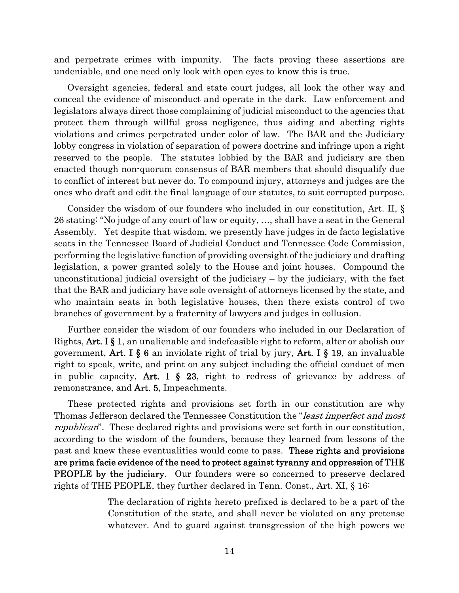and perpetrate crimes with impunity. The facts proving these assertions are undeniable, and one need only look with open eyes to know this is true.

Oversight agencies, federal and state court judges, all look the other way and conceal the evidence of misconduct and operate in the dark. Law enforcement and legislators always direct those complaining of judicial misconduct to the agencies that protect them through willful gross negligence, thus aiding and abetting rights violations and crimes perpetrated under color of law. The BAR and the Judiciary lobby congress in violation of separation of powers doctrine and infringe upon a right reserved to the people. The statutes lobbied by the BAR and judiciary are then enacted though non-quorum consensus of BAR members that should disqualify due to conflict of interest but never do. To compound injury, attorneys and judges are the ones who draft and edit the final language of our statutes, to suit corrupted purpose.

Consider the wisdom of our founders who included in our constitution, Art. II, § 26 stating: "No judge of any court of law or equity, …, shall have a seat in the General Assembly. Yet despite that wisdom, we presently have judges in de facto legislative seats in the Tennessee Board of Judicial Conduct and Tennessee Code Commission, performing the legislative function of providing oversight of the judiciary and drafting legislation, a power granted solely to the House and joint houses. Compound the unconstitutional judicial oversight of the judiciary – by the judiciary, with the fact that the BAR and judiciary have sole oversight of attorneys licensed by the state, and who maintain seats in both legislative houses, then there exists control of two branches of government by a fraternity of lawyers and judges in collusion.

Further consider the wisdom of our founders who included in our Declaration of Rights, Art. I § 1, an unalienable and indefeasible right to reform, alter or abolish our government, Art. I § 6 an inviolate right of trial by jury, Art. I § 19, an invaluable right to speak, write, and print on any subject including the official conduct of men in public capacity, Art. I  $\S$  23, right to redress of grievance by address of remonstrance, and Art. 5, Impeachments.

These protected rights and provisions set forth in our constitution are why Thomas Jefferson declared the Tennessee Constitution the "*least imperfect and most* republican". These declared rights and provisions were set forth in our constitution, according to the wisdom of the founders, because they learned from lessons of the past and knew these eventualities would come to pass. These rights and provisions are prima facie evidence of the need to protect against tyranny and oppression of THE **PEOPLE** by the judiciary. Our founders were so concerned to preserve declared rights of THE PEOPLE, they further declared in Tenn. Const., Art. XI, § 16:

> The declaration of rights hereto prefixed is declared to be a part of the Constitution of the state, and shall never be violated on any pretense whatever. And to guard against transgression of the high powers we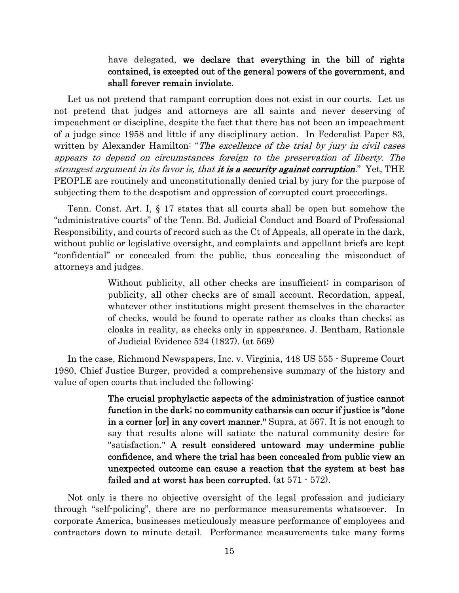#### have delegated, we declare that everything in the bill of rights contained, is excepted out of the general powers of the government, and shall forever remain inviolate.

Let us not pretend that rampant corruption does not exist in our courts. Let us not pretend that judges and attorneys are all saints and never deserving of impeachment or discipline, despite the fact that there has not been an impeachment of a judge since 1958 and little if any disciplinary action. In Federalist Paper 83, written by Alexander Hamilton: "The excellence of the trial by jury in civil cases appears to depend on circumstances foreign to the preservation of liberty. The strongest argument in its favor is, that it is a security against corruption." Yet, THE PEOPLE are routinely and unconstitutionally denied trial by jury for the purpose of subjecting them to the despotism and oppression of corrupted court proceedings.

Tenn. Const. Art. I, § 17 states that all courts shall be open but somehow the "administrative courts" of the Tenn. Bd. Judicial Conduct and Board of Professional Responsibility, and courts of record such as the Ct of Appeals, all operate in the dark, without public or legislative oversight, and complaints and appellant briefs are kept "confidential" or concealed from the public, thus concealing the misconduct of attorneys and judges.

> Without publicity, all other checks are insufficient: in comparison of publicity, all other checks are of small account. Recordation, appeal, whatever other institutions might present themselves in the character of checks, would be found to operate rather as cloaks than checks; as cloaks in reality, as checks only in appearance. J. Bentham, Rationale of Judicial Evidence 524 (1827). (at 569)

In the case, Richmond Newspapers, Inc. v. Virginia, 448 US 555 - Supreme Court 1980, Chief Justice Burger, provided a comprehensive summary of the history and value of open courts that included the following:

> The crucial prophylactic aspects of the administration of justice cannot function in the dark; no community catharsis can occur if justice is "done in a corner [or] in any covert manner." Supra, at 567. It is not enough to say that results alone will satiate the natural community desire for "satisfaction." A result considered untoward may undermine public confidence, and where the trial has been concealed from public view an unexpected outcome can cause a reaction that the system at best has failed and at worst has been corrupted. (at 571 - 572).

Not only is there no objective oversight of the legal profession and judiciary through "self-policing", there are no performance measurements whatsoever. In corporate America, businesses meticulously measure performance of employees and contractors down to minute detail. Performance measurements take many forms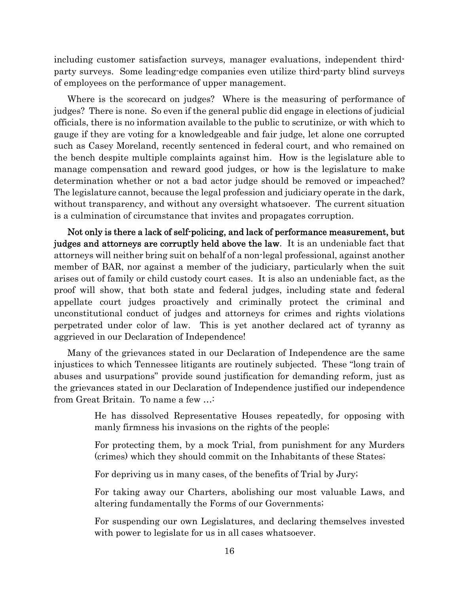including customer satisfaction surveys, manager evaluations, independent thirdparty surveys. Some leading-edge companies even utilize third-party blind surveys of employees on the performance of upper management.

Where is the scorecard on judges? Where is the measuring of performance of judges? There is none. So even if the general public did engage in elections of judicial officials, there is no information available to the public to scrutinize, or with which to gauge if they are voting for a knowledgeable and fair judge, let alone one corrupted such as Casey Moreland, recently sentenced in federal court, and who remained on the bench despite multiple complaints against him. How is the legislature able to manage compensation and reward good judges, or how is the legislature to make determination whether or not a bad actor judge should be removed or impeached? The legislature cannot, because the legal profession and judiciary operate in the dark, without transparency, and without any oversight whatsoever. The current situation is a culmination of circumstance that invites and propagates corruption.

Not only is there a lack of self-policing, and lack of performance measurement, but judges and attorneys are corruptly held above the law. It is an undeniable fact that attorneys will neither bring suit on behalf of a non-legal professional, against another member of BAR, nor against a member of the judiciary, particularly when the suit arises out of family or child custody court cases. It is also an undeniable fact, as the proof will show, that both state and federal judges, including state and federal appellate court judges proactively and criminally protect the criminal and unconstitutional conduct of judges and attorneys for crimes and rights violations perpetrated under color of law. This is yet another declared act of tyranny as aggrieved in our Declaration of Independence!

Many of the grievances stated in our Declaration of Independence are the same injustices to which Tennessee litigants are routinely subjected. These "long train of abuses and usurpations" provide sound justification for demanding reform, just as the grievances stated in our Declaration of Independence justified our independence from Great Britain. To name a few …:

> He has dissolved Representative Houses repeatedly, for opposing with manly firmness his invasions on the rights of the people;

> For protecting them, by a mock Trial, from punishment for any Murders (crimes) which they should commit on the Inhabitants of these States;

For depriving us in many cases, of the benefits of Trial by Jury;

For taking away our Charters, abolishing our most valuable Laws, and altering fundamentally the Forms of our Governments;

For suspending our own Legislatures, and declaring themselves invested with power to legislate for us in all cases whatsoever.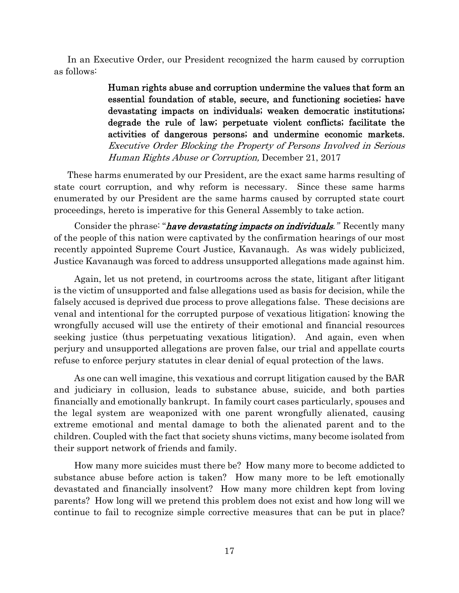In an Executive Order, our President recognized the harm caused by corruption as follows:

> Human rights abuse and corruption undermine the values that form an essential foundation of stable, secure, and functioning societies; have devastating impacts on individuals; weaken democratic institutions; degrade the rule of law; perpetuate violent conflicts; facilitate the activities of dangerous persons; and undermine economic markets. Executive Order Blocking the Property of Persons Involved in Serious Human Rights Abuse or Corruption, December 21, 2017

These harms enumerated by our President, are the exact same harms resulting of state court corruption, and why reform is necessary. Since these same harms enumerated by our President are the same harms caused by corrupted state court proceedings, hereto is imperative for this General Assembly to take action.

Consider the phrase: "*have devastating impacts on individuals.*" Recently many of the people of this nation were captivated by the confirmation hearings of our most recently appointed Supreme Court Justice, Kavanaugh. As was widely publicized, Justice Kavanaugh was forced to address unsupported allegations made against him.

Again, let us not pretend, in courtrooms across the state, litigant after litigant is the victim of unsupported and false allegations used as basis for decision, while the falsely accused is deprived due process to prove allegations false. These decisions are venal and intentional for the corrupted purpose of vexatious litigation; knowing the wrongfully accused will use the entirety of their emotional and financial resources seeking justice (thus perpetuating vexatious litigation). And again, even when perjury and unsupported allegations are proven false, our trial and appellate courts refuse to enforce perjury statutes in clear denial of equal protection of the laws.

As one can well imagine, this vexatious and corrupt litigation caused by the BAR and judiciary in collusion, leads to substance abuse, suicide, and both parties financially and emotionally bankrupt. In family court cases particularly, spouses and the legal system are weaponized with one parent wrongfully alienated, causing extreme emotional and mental damage to both the alienated parent and to the children. Coupled with the fact that society shuns victims, many become isolated from their support network of friends and family.

How many more suicides must there be? How many more to become addicted to substance abuse before action is taken? How many more to be left emotionally devastated and financially insolvent? How many more children kept from loving parents? How long will we pretend this problem does not exist and how long will we continue to fail to recognize simple corrective measures that can be put in place?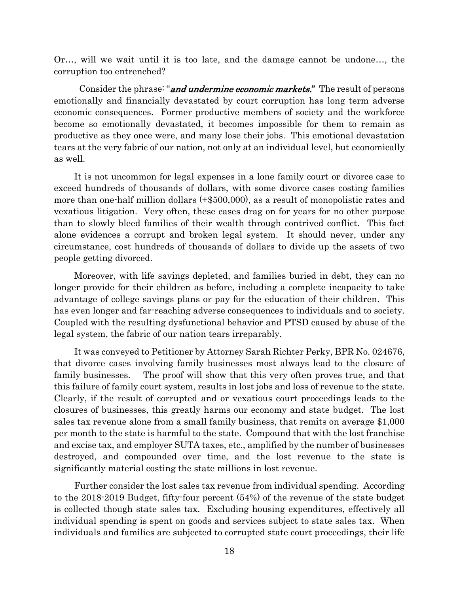Or…, will we wait until it is too late, and the damage cannot be undone…, the corruption too entrenched?

Consider the phrase: "and undermine economic markets." The result of persons emotionally and financially devastated by court corruption has long term adverse economic consequences. Former productive members of society and the workforce become so emotionally devastated, it becomes impossible for them to remain as productive as they once were, and many lose their jobs. This emotional devastation tears at the very fabric of our nation, not only at an individual level, but economically as well.

It is not uncommon for legal expenses in a lone family court or divorce case to exceed hundreds of thousands of dollars, with some divorce cases costing families more than one-half million dollars (+\$500,000), as a result of monopolistic rates and vexatious litigation. Very often, these cases drag on for years for no other purpose than to slowly bleed families of their wealth through contrived conflict. This fact alone evidences a corrupt and broken legal system. It should never, under any circumstance, cost hundreds of thousands of dollars to divide up the assets of two people getting divorced.

Moreover, with life savings depleted, and families buried in debt, they can no longer provide for their children as before, including a complete incapacity to take advantage of college savings plans or pay for the education of their children. This has even longer and far-reaching adverse consequences to individuals and to society. Coupled with the resulting dysfunctional behavior and PTSD caused by abuse of the legal system, the fabric of our nation tears irreparably.

It was conveyed to Petitioner by Attorney Sarah Richter Perky, BPR No. 024676, that divorce cases involving family businesses most always lead to the closure of family businesses. The proof will show that this very often proves true, and that this failure of family court system, results in lost jobs and loss of revenue to the state. Clearly, if the result of corrupted and or vexatious court proceedings leads to the closures of businesses, this greatly harms our economy and state budget. The lost sales tax revenue alone from a small family business, that remits on average \$1,000 per month to the state is harmful to the state. Compound that with the lost franchise and excise tax, and employer SUTA taxes, etc., amplified by the number of businesses destroyed, and compounded over time, and the lost revenue to the state is significantly material costing the state millions in lost revenue.

Further consider the lost sales tax revenue from individual spending. According to the 2018-2019 Budget, fifty-four percent (54%) of the revenue of the state budget is collected though state sales tax. Excluding housing expenditures, effectively all individual spending is spent on goods and services subject to state sales tax. When individuals and families are subjected to corrupted state court proceedings, their life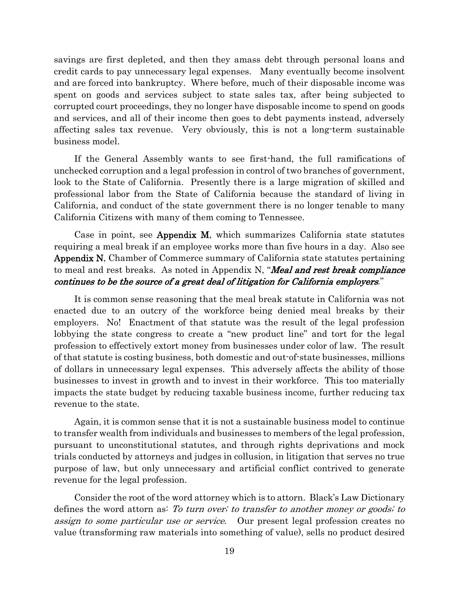savings are first depleted, and then they amass debt through personal loans and credit cards to pay unnecessary legal expenses. Many eventually become insolvent and are forced into bankruptcy. Where before, much of their disposable income was spent on goods and services subject to state sales tax, after being subjected to corrupted court proceedings, they no longer have disposable income to spend on goods and services, and all of their income then goes to debt payments instead, adversely affecting sales tax revenue. Very obviously, this is not a long-term sustainable business model.

If the General Assembly wants to see first-hand, the full ramifications of unchecked corruption and a legal profession in control of two branches of government, look to the State of California. Presently there is a large migration of skilled and professional labor from the State of California because the standard of living in California, and conduct of the state government there is no longer tenable to many California Citizens with many of them coming to Tennessee.

Case in point, see Appendix M, which summarizes California state statutes requiring a meal break if an employee works more than five hours in a day. Also see Appendix N, Chamber of Commerce summary of California state statutes pertaining to meal and rest breaks. As noted in Appendix N, "*Meal and rest break compliance* continues to be the source of a great deal of litigation for California employers."

It is common sense reasoning that the meal break statute in California was not enacted due to an outcry of the workforce being denied meal breaks by their employers. No! Enactment of that statute was the result of the legal profession lobbying the state congress to create a "new product line" and tort for the legal profession to effectively extort money from businesses under color of law. The result of that statute is costing business, both domestic and out-of-state businesses, millions of dollars in unnecessary legal expenses. This adversely affects the ability of those businesses to invest in growth and to invest in their workforce. This too materially impacts the state budget by reducing taxable business income, further reducing tax revenue to the state.

Again, it is common sense that it is not a sustainable business model to continue to transfer wealth from individuals and businesses to members of the legal profession, pursuant to unconstitutional statutes, and through rights deprivations and mock trials conducted by attorneys and judges in collusion, in litigation that serves no true purpose of law, but only unnecessary and artificial conflict contrived to generate revenue for the legal profession.

Consider the root of the word attorney which is to attorn. Black's Law Dictionary defines the word attorn as: To turn over; to transfer to another money or goods; to assign to some particular use or service. Our present legal profession creates no value (transforming raw materials into something of value), sells no product desired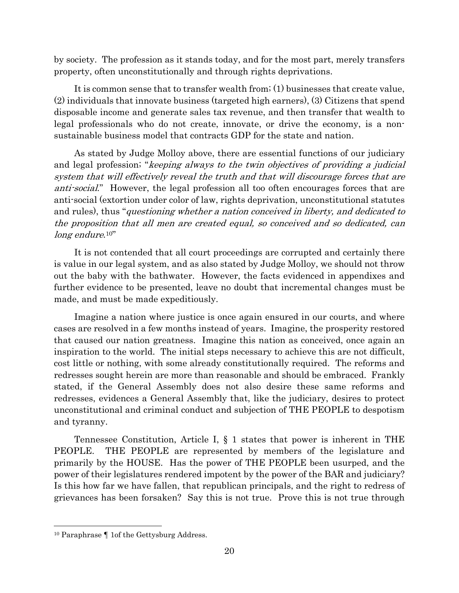by society. The profession as it stands today, and for the most part, merely transfers property, often unconstitutionally and through rights deprivations.

It is common sense that to transfer wealth from; (1) businesses that create value, (2) individuals that innovate business (targeted high earners), (3) Citizens that spend disposable income and generate sales tax revenue, and then transfer that wealth to legal professionals who do not create, innovate, or drive the economy, is a nonsustainable business model that contracts GDP for the state and nation.

As stated by Judge Molloy above, there are essential functions of our judiciary and legal profession; "keeping always to the twin objectives of providing a judicial system that will effectively reveal the truth and that will discourage forces that are anti-social." However, the legal profession all too often encourages forces that are anti-social (extortion under color of law, rights deprivation, unconstitutional statutes and rules), thus "questioning whether a nation conceived in liberty, and dedicated to the proposition that all men are created equal, so conceived and so dedicated, can long endure.<sup>10"</sup>

It is not contended that all court proceedings are corrupted and certainly there is value in our legal system, and as also stated by Judge Molloy, we should not throw out the baby with the bathwater. However, the facts evidenced in appendixes and further evidence to be presented, leave no doubt that incremental changes must be made, and must be made expeditiously.

Imagine a nation where justice is once again ensured in our courts, and where cases are resolved in a few months instead of years. Imagine, the prosperity restored that caused our nation greatness. Imagine this nation as conceived, once again an inspiration to the world. The initial steps necessary to achieve this are not difficult, cost little or nothing, with some already constitutionally required. The reforms and redresses sought herein are more than reasonable and should be embraced. Frankly stated, if the General Assembly does not also desire these same reforms and redresses, evidences a General Assembly that, like the judiciary, desires to protect unconstitutional and criminal conduct and subjection of THE PEOPLE to despotism and tyranny.

Tennessee Constitution, Article I, § 1 states that power is inherent in THE PEOPLE. THE PEOPLE are represented by members of the legislature and primarily by the HOUSE. Has the power of THE PEOPLE been usurped, and the power of their legislatures rendered impotent by the power of the BAR and judiciary? Is this how far we have fallen, that republican principals, and the right to redress of grievances has been forsaken? Say this is not true. Prove this is not true through

<sup>10</sup> Paraphrase ¶ 1of the Gettysburg Address.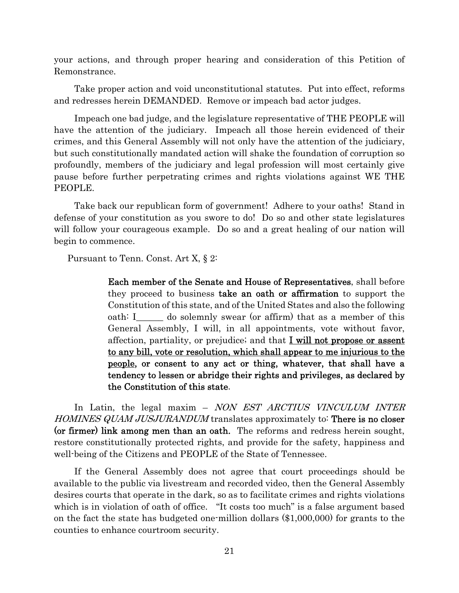your actions, and through proper hearing and consideration of this Petition of Remonstrance.

Take proper action and void unconstitutional statutes. Put into effect, reforms and redresses herein DEMANDED. Remove or impeach bad actor judges.

Impeach one bad judge, and the legislature representative of THE PEOPLE will have the attention of the judiciary. Impeach all those herein evidenced of their crimes, and this General Assembly will not only have the attention of the judiciary, but such constitutionally mandated action will shake the foundation of corruption so profoundly, members of the judiciary and legal profession will most certainly give pause before further perpetrating crimes and rights violations against WE THE PEOPLE.

Take back our republican form of government! Adhere to your oaths! Stand in defense of your constitution as you swore to do! Do so and other state legislatures will follow your courageous example. Do so and a great healing of our nation will begin to commence.

Pursuant to Tenn. Const. Art X, § 2:

Each member of the Senate and House of Representatives, shall before they proceed to business take an oath or affirmation to support the Constitution of this state, and of the United States and also the following oath: I\_\_\_\_\_\_ do solemnly swear (or affirm) that as a member of this General Assembly, I will, in all appointments, vote without favor, affection, partiality, or prejudice; and that  $I$  will not propose or assent to any bill, vote or resolution, which shall appear to me injurious to the people, or consent to any act or thing, whatever, that shall have a tendency to lessen or abridge their rights and privileges, as declared by the Constitution of this state.

In Latin, the legal maxim – NON EST ARCTIUS VINCULUM INTER HOMINES QUAM JUSJURANDUM translates approximately to: There is no closer (or firmer) link among men than an oath. The reforms and redress herein sought, restore constitutionally protected rights, and provide for the safety, happiness and well-being of the Citizens and PEOPLE of the State of Tennessee.

If the General Assembly does not agree that court proceedings should be available to the public via livestream and recorded video, then the General Assembly desires courts that operate in the dark, so as to facilitate crimes and rights violations which is in violation of oath of office. "It costs too much" is a false argument based on the fact the state has budgeted one-million dollars (\$1,000,000) for grants to the counties to enhance courtroom security.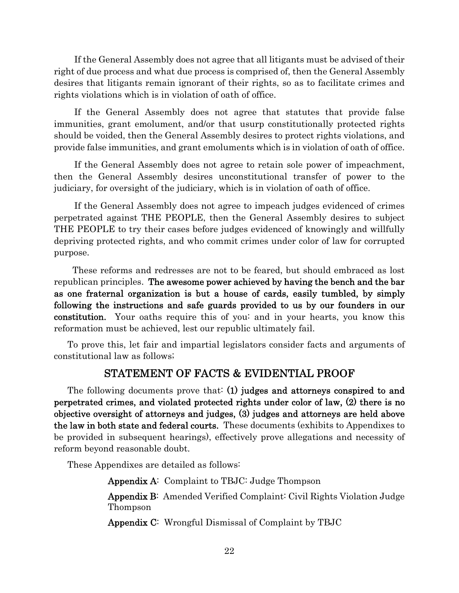If the General Assembly does not agree that all litigants must be advised of their right of due process and what due process is comprised of, then the General Assembly desires that litigants remain ignorant of their rights, so as to facilitate crimes and rights violations which is in violation of oath of office.

If the General Assembly does not agree that statutes that provide false immunities, grant emolument, and/or that usurp constitutionally protected rights should be voided, then the General Assembly desires to protect rights violations, and provide false immunities, and grant emoluments which is in violation of oath of office.

If the General Assembly does not agree to retain sole power of impeachment, then the General Assembly desires unconstitutional transfer of power to the judiciary, for oversight of the judiciary, which is in violation of oath of office.

If the General Assembly does not agree to impeach judges evidenced of crimes perpetrated against THE PEOPLE, then the General Assembly desires to subject THE PEOPLE to try their cases before judges evidenced of knowingly and willfully depriving protected rights, and who commit crimes under color of law for corrupted purpose.

 These reforms and redresses are not to be feared, but should embraced as lost republican principles. The awesome power achieved by having the bench and the bar as one fraternal organization is but a house of cards, easily tumbled, by simply following the instructions and safe guards provided to us by our founders in our constitution. Your oaths require this of you: and in your hearts, you know this reformation must be achieved, lest our republic ultimately fail.

To prove this, let fair and impartial legislators consider facts and arguments of constitutional law as follows;

## STATEMENT OF FACTS & EVIDENTIAL PROOF

The following documents prove that: (1) judges and attorneys conspired to and perpetrated crimes, and violated protected rights under color of law, (2) there is no objective oversight of attorneys and judges, (3) judges and attorneys are held above the law in both state and federal courts. These documents (exhibits to Appendixes to be provided in subsequent hearings), effectively prove allegations and necessity of reform beyond reasonable doubt.

These Appendixes are detailed as follows:

Appendix A: Complaint to TBJC: Judge Thompson

Appendix B: Amended Verified Complaint: Civil Rights Violation Judge Thompson

Appendix C: Wrongful Dismissal of Complaint by TBJC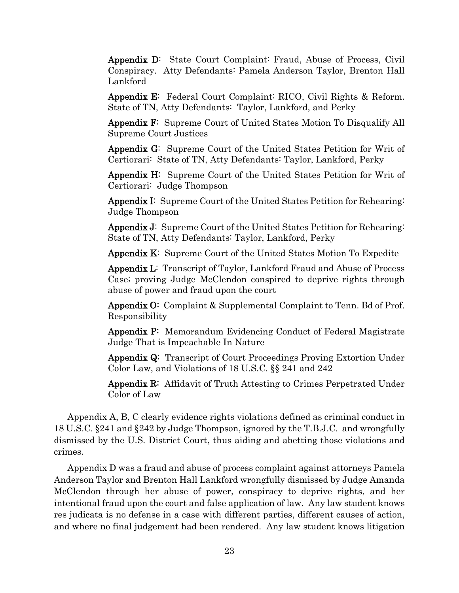Appendix D: State Court Complaint: Fraud, Abuse of Process, Civil Conspiracy. Atty Defendants: Pamela Anderson Taylor, Brenton Hall Lankford

Appendix E: Federal Court Complaint: RICO, Civil Rights & Reform. State of TN, Atty Defendants: Taylor, Lankford, and Perky

Appendix F: Supreme Court of United States Motion To Disqualify All Supreme Court Justices

Appendix G: Supreme Court of the United States Petition for Writ of Certiorari: State of TN, Atty Defendants: Taylor, Lankford, Perky

Appendix H: Supreme Court of the United States Petition for Writ of Certiorari: Judge Thompson

Appendix I: Supreme Court of the United States Petition for Rehearing: Judge Thompson

Appendix J: Supreme Court of the United States Petition for Rehearing: State of TN, Atty Defendants: Taylor, Lankford, Perky

Appendix K: Supreme Court of the United States Motion To Expedite

Appendix L: Transcript of Taylor, Lankford Fraud and Abuse of Process Case; proving Judge McClendon conspired to deprive rights through abuse of power and fraud upon the court

Appendix O: Complaint & Supplemental Complaint to Tenn. Bd of Prof. Responsibility

Appendix P: Memorandum Evidencing Conduct of Federal Magistrate Judge That is Impeachable In Nature

Appendix Q: Transcript of Court Proceedings Proving Extortion Under Color Law, and Violations of 18 U.S.C. §§ 241 and 242

Appendix R: Affidavit of Truth Attesting to Crimes Perpetrated Under Color of Law

Appendix A, B, C clearly evidence rights violations defined as criminal conduct in 18 U.S.C. §241 and §242 by Judge Thompson, ignored by the T.B.J.C. and wrongfully dismissed by the U.S. District Court, thus aiding and abetting those violations and crimes.

Appendix D was a fraud and abuse of process complaint against attorneys Pamela Anderson Taylor and Brenton Hall Lankford wrongfully dismissed by Judge Amanda McClendon through her abuse of power, conspiracy to deprive rights, and her intentional fraud upon the court and false application of law. Any law student knows res judicata is no defense in a case with different parties, different causes of action, and where no final judgement had been rendered. Any law student knows litigation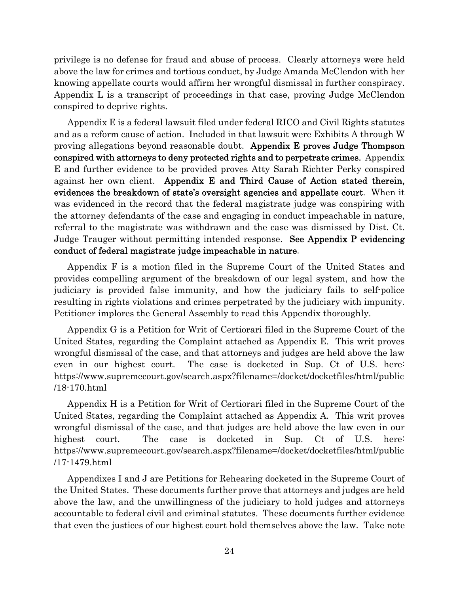privilege is no defense for fraud and abuse of process. Clearly attorneys were held above the law for crimes and tortious conduct, by Judge Amanda McClendon with her knowing appellate courts would affirm her wrongful dismissal in further conspiracy. Appendix L is a transcript of proceedings in that case, proving Judge McClendon conspired to deprive rights.

Appendix E is a federal lawsuit filed under federal RICO and Civil Rights statutes and as a reform cause of action. Included in that lawsuit were Exhibits A through W proving allegations beyond reasonable doubt. Appendix E proves Judge Thompson conspired with attorneys to deny protected rights and to perpetrate crimes. Appendix E and further evidence to be provided proves Atty Sarah Richter Perky conspired against her own client. Appendix E and Third Cause of Action stated therein, evidences the breakdown of state's oversight agencies and appellate court. When it was evidenced in the record that the federal magistrate judge was conspiring with the attorney defendants of the case and engaging in conduct impeachable in nature, referral to the magistrate was withdrawn and the case was dismissed by Dist. Ct. Judge Trauger without permitting intended response. See Appendix P evidencing conduct of federal magistrate judge impeachable in nature.

Appendix F is a motion filed in the Supreme Court of the United States and provides compelling argument of the breakdown of our legal system, and how the judiciary is provided false immunity, and how the judiciary fails to self-police resulting in rights violations and crimes perpetrated by the judiciary with impunity. Petitioner implores the General Assembly to read this Appendix thoroughly.

Appendix G is a Petition for Writ of Certiorari filed in the Supreme Court of the United States, regarding the Complaint attached as Appendix E. This writ proves wrongful dismissal of the case, and that attorneys and judges are held above the law even in our highest court. The case is docketed in Sup. Ct of U.S. here: https://www.supremecourt.gov/search.aspx?filename=/docket/docketfiles/html/public /18-170.html

Appendix H is a Petition for Writ of Certiorari filed in the Supreme Court of the United States, regarding the Complaint attached as Appendix A. This writ proves wrongful dismissal of the case, and that judges are held above the law even in our highest court. The case is docketed in Sup. Ct of U.S. here: https://www.supremecourt.gov/search.aspx?filename=/docket/docketfiles/html/public /17-1479.html

Appendixes I and J are Petitions for Rehearing docketed in the Supreme Court of the United States. These documents further prove that attorneys and judges are held above the law, and the unwillingness of the judiciary to hold judges and attorneys accountable to federal civil and criminal statutes. These documents further evidence that even the justices of our highest court hold themselves above the law. Take note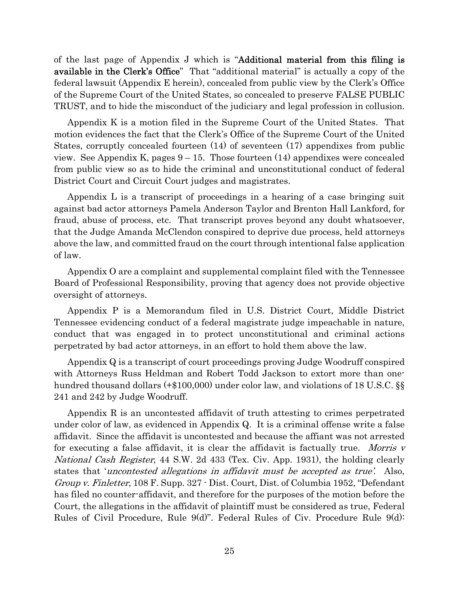of the last page of Appendix J which is "Additional material from this filing is available in the Clerk's Office" That "additional material" is actually a copy of the federal lawsuit (Appendix E herein), concealed from public view by the Clerk's Office of the Supreme Court of the United States, so concealed to preserve FALSE PUBLIC TRUST, and to hide the misconduct of the judiciary and legal profession in collusion.

Appendix K is a motion filed in the Supreme Court of the United States. That motion evidences the fact that the Clerk's Office of the Supreme Court of the United States, corruptly concealed fourteen (14) of seventeen (17) appendixes from public view. See Appendix K, pages  $9-15$ . Those fourteen (14) appendixes were concealed from public view so as to hide the criminal and unconstitutional conduct of federal District Court and Circuit Court judges and magistrates.

Appendix L is a transcript of proceedings in a hearing of a case bringing suit against bad actor attorneys Pamela Anderson Taylor and Brenton Hall Lankford, for fraud, abuse of process, etc. That transcript proves beyond any doubt whatsoever, that the Judge Amanda McClendon conspired to deprive due process, held attorneys above the law, and committed fraud on the court through intentional false application of law.

Appendix O are a complaint and supplemental complaint filed with the Tennessee Board of Professional Responsibility, proving that agency does not provide objective oversight of attorneys.

Appendix P is a Memorandum filed in U.S. District Court, Middle District Tennessee evidencing conduct of a federal magistrate judge impeachable in nature, conduct that was engaged in to protect unconstitutional and criminal actions perpetrated by bad actor attorneys, in an effort to hold them above the law.

Appendix Q is a transcript of court proceedings proving Judge Woodruff conspired with Attorneys Russ Heldman and Robert Todd Jackson to extort more than onehundred thousand dollars (+\$100,000) under color law, and violations of 18 U.S.C. §§ 241 and 242 by Judge Woodruff.

Appendix R is an uncontested affidavit of truth attesting to crimes perpetrated under color of law, as evidenced in Appendix Q. It is a criminal offense write a false affidavit. Since the affidavit is uncontested and because the affiant was not arrested for executing a false affidavit, it is clear the affidavit is factually true. Morris v National Cash Register, 44 S.W. 2d 433 (Tex. Civ. App. 1931), the holding clearly states that 'uncontested allegations in affidavit must be accepted as true'. Also, Group v. Finletter, 108 F. Supp. 327  $\cdot$  Dist. Court, Dist. of Columbia 1952, "Defendant" has filed no counter-affidavit, and therefore for the purposes of the motion before the Court, the allegations in the affidavit of plaintiff must be considered as true, Federal Rules of Civil Procedure, Rule 9(d)". Federal Rules of Civ. Procedure Rule 9(d):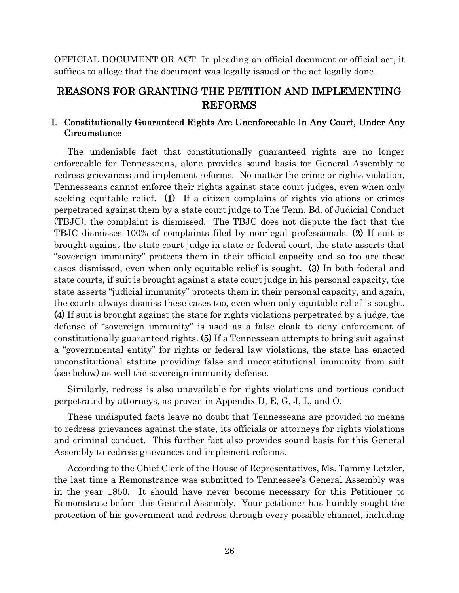OFFICIAL DOCUMENT OR ACT. In pleading an official document or official act, it suffices to allege that the document was legally issued or the act legally done.

## REASONS FOR GRANTING THE PETITION AND IMPLEMENTING REFORMS

#### I. Constitutionally Guaranteed Rights Are Unenforceable In Any Court, Under Any Circumstance

The undeniable fact that constitutionally guaranteed rights are no longer enforceable for Tennesseans, alone provides sound basis for General Assembly to redress grievances and implement reforms. No matter the crime or rights violation, Tennesseans cannot enforce their rights against state court judges, even when only seeking equitable relief. (1) If a citizen complains of rights violations or crimes perpetrated against them by a state court judge to The Tenn. Bd. of Judicial Conduct (TBJC), the complaint is dismissed. The TBJC does not dispute the fact that the TBJC dismisses 100% of complaints filed by non-legal professionals. (2) If suit is brought against the state court judge in state or federal court, the state asserts that "sovereign immunity" protects them in their official capacity and so too are these cases dismissed, even when only equitable relief is sought. (3) In both federal and state courts, if suit is brought against a state court judge in his personal capacity, the state asserts "judicial immunity" protects them in their personal capacity, and again, the courts always dismiss these cases too, even when only equitable relief is sought. (4) If suit is brought against the state for rights violations perpetrated by a judge, the defense of "sovereign immunity" is used as a false cloak to deny enforcement of constitutionally guaranteed rights. (5) If a Tennessean attempts to bring suit against a "governmental entity" for rights or federal law violations, the state has enacted unconstitutional statute providing false and unconstitutional immunity from suit (see below) as well the sovereign immunity defense.

Similarly, redress is also unavailable for rights violations and tortious conduct perpetrated by attorneys, as proven in Appendix D, E, G, J, L, and O.

These undisputed facts leave no doubt that Tennesseans are provided no means to redress grievances against the state, its officials or attorneys for rights violations and criminal conduct. This further fact also provides sound basis for this General Assembly to redress grievances and implement reforms.

According to the Chief Clerk of the House of Representatives, Ms. Tammy Letzler, the last time a Remonstrance was submitted to Tennessee's General Assembly was in the year 1850. It should have never become necessary for this Petitioner to Remonstrate before this General Assembly. Your petitioner has humbly sought the protection of his government and redress through every possible channel, including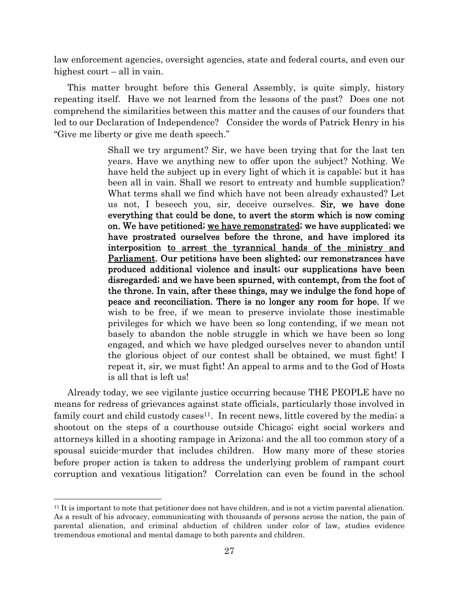law enforcement agencies, oversight agencies, state and federal courts, and even our highest court – all in vain.

This matter brought before this General Assembly, is quite simply, history repeating itself. Have we not learned from the lessons of the past? Does one not comprehend the similarities between this matter and the causes of our founders that led to our Declaration of Independence? Consider the words of Patrick Henry in his "Give me liberty or give me death speech."

> Shall we try argument? Sir, we have been trying that for the last ten years. Have we anything new to offer upon the subject? Nothing. We have held the subject up in every light of which it is capable; but it has been all in vain. Shall we resort to entreaty and humble supplication? What terms shall we find which have not been already exhausted? Let us not, I beseech you, sir, deceive ourselves. Sir, we have done everything that could be done, to avert the storm which is now coming on. We have petitioned; we have remonstrated; we have supplicated; we have prostrated ourselves before the throne, and have implored its interposition to arrest the tyrannical hands of the ministry and Parliament. Our petitions have been slighted; our remonstrances have produced additional violence and insult; our supplications have been disregarded; and we have been spurned, with contempt, from the foot of the throne. In vain, after these things, may we indulge the fond hope of peace and reconciliation. There is no longer any room for hope. If we wish to be free, if we mean to preserve inviolate those inestimable privileges for which we have been so long contending, if we mean not basely to abandon the noble struggle in which we have been so long engaged, and which we have pledged ourselves never to abandon until the glorious object of our contest shall be obtained, we must fight! I repeat it, sir, we must fight! An appeal to arms and to the God of Hosts is all that is left us!

Already today, we see vigilante justice occurring because THE PEOPLE have no means for redress of grievances against state officials, particularly those involved in family court and child custody cases<sup>11</sup>. In recent news, little covered by the media; a shootout on the steps of a courthouse outside Chicago; eight social workers and attorneys killed in a shooting rampage in Arizona; and the all too common story of a spousal suicide-murder that includes children. How many more of these stories before proper action is taken to address the underlying problem of rampant court corruption and vexatious litigation? Correlation can even be found in the school

<sup>&</sup>lt;sup>11</sup> It is important to note that petitioner does not have children, and is not a victim parental alienation. As a result of his advocacy, communicating with thousands of persons across the nation, the pain of parental alienation, and criminal abduction of children under color of law, studies evidence tremendous emotional and mental damage to both parents and children.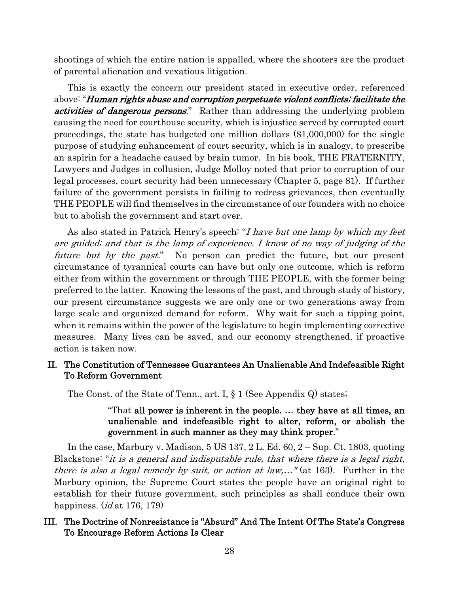shootings of which the entire nation is appalled, where the shooters are the product of parental alienation and vexatious litigation.

This is exactly the concern our president stated in executive order, referenced above: "Human rights abuse and corruption perpetuate violent conflicts; facilitate the activities of dangerous persons." Rather than addressing the underlying problem causing the need for courthouse security, which is injustice served by corrupted court proceedings, the state has budgeted one million dollars (\$1,000,000) for the single purpose of studying enhancement of court security, which is in analogy, to prescribe an aspirin for a headache caused by brain tumor. In his book, THE FRATERNITY, Lawyers and Judges in collusion, Judge Molloy noted that prior to corruption of our legal processes, court security had been unnecessary (Chapter 5, page 81). If further failure of the government persists in failing to redress grievances, then eventually THE PEOPLE will find themselves in the circumstance of our founders with no choice but to abolish the government and start over.

As also stated in Patrick Henry's speech: "I have but one lamp by which my feet are guided; and that is the lamp of experience. I know of no way of judging of the future but by the past." No person can predict the future, but our present circumstance of tyrannical courts can have but only one outcome, which is reform either from within the government or through THE PEOPLE, with the former being preferred to the latter. Knowing the lessons of the past, and through study of history, our present circumstance suggests we are only one or two generations away from large scale and organized demand for reform. Why wait for such a tipping point, when it remains within the power of the legislature to begin implementing corrective measures. Many lives can be saved, and our economy strengthened, if proactive action is taken now.

#### II. The Constitution of Tennessee Guarantees An Unalienable And Indefeasible Right To Reform Government

The Const. of the State of Tenn., art. I,  $\S 1$  (See Appendix Q) states;

#### "That all power is inherent in the people, … they have at all times, an unalienable and indefeasible right to alter, reform, or abolish the government in such manner as they may think proper."

In the case, Marbury v. Madison, 5 US 137, 2 L. Ed. 60, 2 – Sup. Ct. 1803, quoting Blackstone: "it is a general and indisputable rule, that where there is a legal right, there is also a legal remedy by suit, or action at  $law,...$  "(at 163). Further in the Marbury opinion, the Supreme Court states the people have an original right to establish for their future government, such principles as shall conduce their own happiness. *(id* at 176, 179)

#### III. The Doctrine of Nonresistance is "Absurd" And The Intent Of The State's Congress To Encourage Reform Actions Is Clear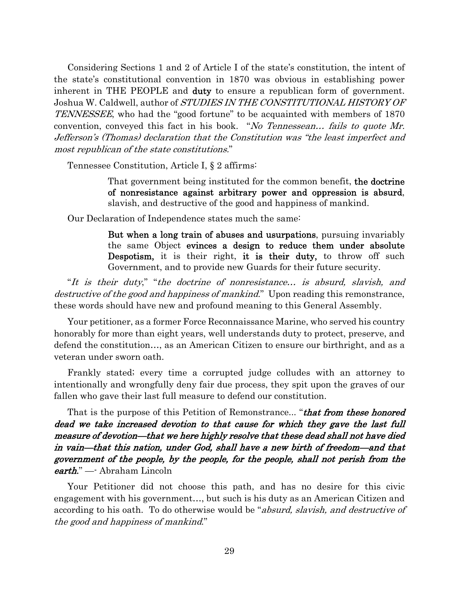Considering Sections 1 and 2 of Article I of the state's constitution, the intent of the state's constitutional convention in 1870 was obvious in establishing power inherent in THE PEOPLE and duty to ensure a republican form of government. Joshua W. Caldwell, author of STUDIES IN THE CONSTITUTIONAL HISTORY OF TENNESSEE, who had the "good fortune" to be acquainted with members of 1870 convention, conveyed this fact in his book. "No Tennessean… fails to quote Mr. Jefferson's (Thomas) declaration that the Constitution was "the least imperfect and most republican of the state constitutions."

Tennessee Constitution, Article I, § 2 affirms:

That government being instituted for the common benefit, the doctrine of nonresistance against arbitrary power and oppression is absurd, slavish, and destructive of the good and happiness of mankind.

Our Declaration of Independence states much the same:

But when a long train of abuses and usurpations, pursuing invariably the same Object evinces a design to reduce them under absolute Despotism, it is their right, it is their duty, to throw off such Government, and to provide new Guards for their future security.

"It is their duty," "the doctrine of nonresistance… is absurd, slavish, and destructive of the good and happiness of mankind." Upon reading this remonstrance, these words should have new and profound meaning to this General Assembly.

Your petitioner, as a former Force Reconnaissance Marine, who served his country honorably for more than eight years, well understands duty to protect, preserve, and defend the constitution…, as an American Citizen to ensure our birthright, and as a veteran under sworn oath.

Frankly stated; every time a corrupted judge colludes with an attorney to intentionally and wrongfully deny fair due process, they spit upon the graves of our fallen who gave their last full measure to defend our constitution.

That is the purpose of this Petition of Remonstrance... "*that from these honored* dead we take increased devotion to that cause for which they gave the last full measure of devotion—that we here highly resolve that these dead shall not have died in vain—that this nation, under God, shall have a new birth of freedom—and that government of the people, by the people, for the people, shall not perish from the earth." — Abraham Lincoln

Your Petitioner did not choose this path, and has no desire for this civic engagement with his government…, but such is his duty as an American Citizen and according to his oath. To do otherwise would be "absurd, slavish, and destructive of the good and happiness of mankind."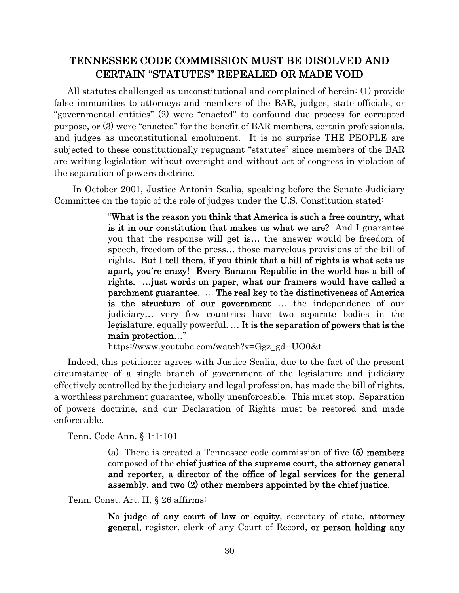## TENNESSEE CODE COMMISSION MUST BE DISOLVED AND CERTAIN "STATUTES" REPEALED OR MADE VOID

All statutes challenged as unconstitutional and complained of herein: (1) provide false immunities to attorneys and members of the BAR, judges, state officials, or "governmental entities" (2) were "enacted" to confound due process for corrupted purpose, or (3) were "enacted" for the benefit of BAR members, certain professionals, and judges as unconstitutional emolument. It is no surprise THE PEOPLE are subjected to these constitutionally repugnant "statutes" since members of the BAR are writing legislation without oversight and without act of congress in violation of the separation of powers doctrine.

 In October 2001, Justice Antonin Scalia, speaking before the Senate Judiciary Committee on the topic of the role of judges under the U.S. Constitution stated:

> "What is the reason you think that America is such a free country, what is it in our constitution that makes us what we are? And I guarantee you that the response will get is… the answer would be freedom of speech, freedom of the press… those marvelous provisions of the bill of rights. But I tell them, if you think that a bill of rights is what sets us apart, you're crazy! Every Banana Republic in the world has a bill of rights. …just words on paper, what our framers would have called a parchment guarantee. … The real key to the distinctiveness of America is the structure of our government … the independence of our judiciary… very few countries have two separate bodies in the legislature, equally powerful. … It is the separation of powers that is the main protection…"

https://www.youtube.com/watch?v=Ggz\_gd--UO0&t

Indeed, this petitioner agrees with Justice Scalia, due to the fact of the present circumstance of a single branch of government of the legislature and judiciary effectively controlled by the judiciary and legal profession, has made the bill of rights, a worthless parchment guarantee, wholly unenforceable. This must stop. Separation of powers doctrine, and our Declaration of Rights must be restored and made enforceable.

Tenn. Code Ann. § 1-1-101

(a) There is created a Tennessee code commission of five (5) members composed of the chief justice of the supreme court, the attorney general and reporter, a director of the office of legal services for the general assembly, and two (2) other members appointed by the chief justice.

Tenn. Const. Art. II, § 26 affirms:

No judge of any court of law or equity, secretary of state, attorney general, register, clerk of any Court of Record, or person holding any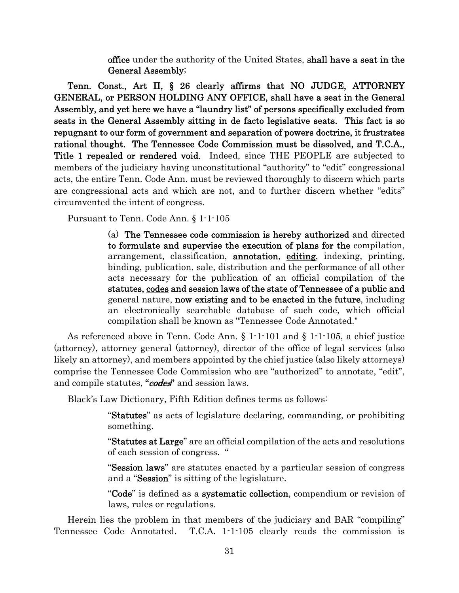office under the authority of the United States, shall have a seat in the General Assembly;

Tenn. Const., Art II, § 26 clearly affirms that NO JUDGE, ATTORNEY GENERAL, or PERSON HOLDING ANY OFFICE, shall have a seat in the General Assembly, and yet here we have a "laundry list" of persons specifically excluded from seats in the General Assembly sitting in de facto legislative seats. This fact is so repugnant to our form of government and separation of powers doctrine, it frustrates rational thought. The Tennessee Code Commission must be dissolved, and T.C.A., Title 1 repealed or rendered void. Indeed, since THE PEOPLE are subjected to members of the judiciary having unconstitutional "authority" to "edit" congressional acts, the entire Tenn. Code Ann. must be reviewed thoroughly to discern which parts are congressional acts and which are not, and to further discern whether "edits" circumvented the intent of congress.

Pursuant to Tenn. Code Ann. § 1-1-105

(a) The Tennessee code commission is hereby authorized and directed to formulate and supervise the execution of plans for the compilation, arrangement, classification, annotation, editing, indexing, printing, binding, publication, sale, distribution and the performance of all other acts necessary for the publication of an official compilation of the statutes, codes and session laws of the state of Tennessee of a public and general nature, now existing and to be enacted in the future, including an electronically searchable database of such code, which official compilation shall be known as "Tennessee Code Annotated."

As referenced above in Tenn. Code Ann. § 1-1-101 and § 1-1-105, a chief justice (attorney), attorney general (attorney), director of the office of legal services (also likely an attorney), and members appointed by the chief justice (also likely attorneys) comprise the Tennessee Code Commission who are "authorized" to annotate, "edit", and compile statutes, "codes" and session laws.

Black's Law Dictionary, Fifth Edition defines terms as follows:

"Statutes" as acts of legislature declaring, commanding, or prohibiting something.

"Statutes at Large" are an official compilation of the acts and resolutions of each session of congress. "

"Session laws" are statutes enacted by a particular session of congress and a "Session" is sitting of the legislature.

"Code" is defined as a systematic collection, compendium or revision of laws, rules or regulations.

Herein lies the problem in that members of the judiciary and BAR "compiling" Tennessee Code Annotated. T.C.A. 1-1-105 clearly reads the commission is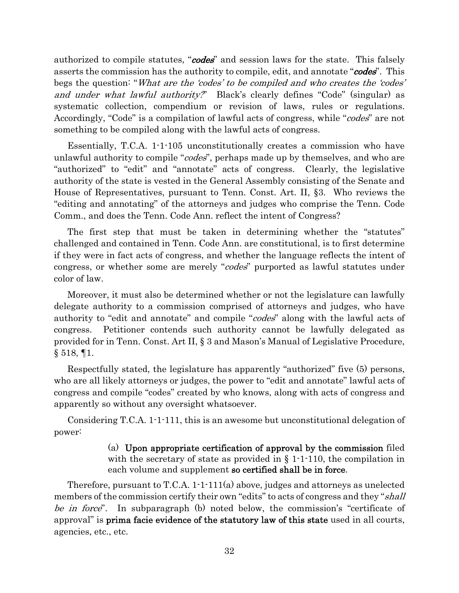authorized to compile statutes, "**codes**" and session laws for the state. This falsely asserts the commission has the authority to compile, edit, and annotate "**codes**". This begs the question: "What are the 'codes' to be compiled and who creates the 'codes' and under what lawful authority?" Black's clearly defines "Code" (singular) as systematic collection, compendium or revision of laws, rules or regulations. Accordingly, "Code" is a compilation of lawful acts of congress, while "codes" are not something to be compiled along with the lawful acts of congress.

Essentially, T.C.A. 1-1-105 unconstitutionally creates a commission who have unlawful authority to compile "codes", perhaps made up by themselves, and who are "authorized" to "edit" and "annotate" acts of congress. Clearly, the legislative authority of the state is vested in the General Assembly consisting of the Senate and House of Representatives, pursuant to Tenn. Const. Art. II, §3. Who reviews the "editing and annotating" of the attorneys and judges who comprise the Tenn. Code Comm., and does the Tenn. Code Ann. reflect the intent of Congress?

The first step that must be taken in determining whether the "statutes" challenged and contained in Tenn. Code Ann. are constitutional, is to first determine if they were in fact acts of congress, and whether the language reflects the intent of congress, or whether some are merely "codes" purported as lawful statutes under color of law.

Moreover, it must also be determined whether or not the legislature can lawfully delegate authority to a commission comprised of attorneys and judges, who have authority to "edit and annotate" and compile "codes" along with the lawful acts of congress. Petitioner contends such authority cannot be lawfully delegated as provided for in Tenn. Const. Art II, § 3 and Mason's Manual of Legislative Procedure,  $§ 518, \P1.$ 

Respectfully stated, the legislature has apparently "authorized" five (5) persons, who are all likely attorneys or judges, the power to "edit and annotate" lawful acts of congress and compile "codes" created by who knows, along with acts of congress and apparently so without any oversight whatsoever.

Considering T.C.A. 1-1-111, this is an awesome but unconstitutional delegation of power:

> (a) Upon appropriate certification of approval by the commission filed with the secretary of state as provided in  $\S 1-1-110$ , the compilation in each volume and supplement so certified shall be in force.

Therefore, pursuant to T.C.A. 1-1-111(a) above, judges and attorneys as unelected members of the commission certify their own "edits" to acts of congress and they "shall be in force". In subparagraph (b) noted below, the commission's "certificate of approval" is prima facie evidence of the statutory law of this state used in all courts, agencies, etc., etc.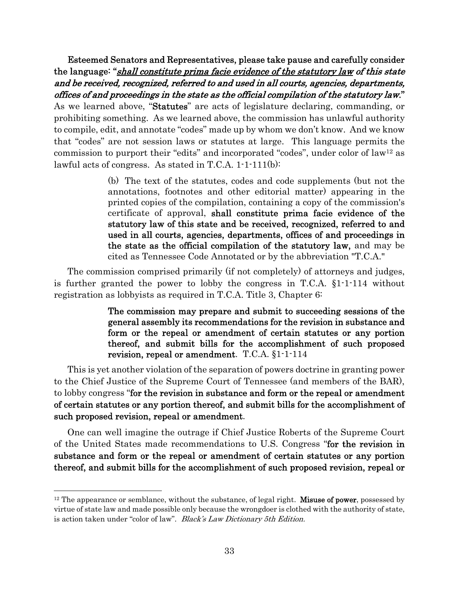Esteemed Senators and Representatives, please take pause and carefully consider the language: "shall constitute prima facie evidence of the statutory law of this state and be received, recognized, referred to and used in all courts, agencies, departments, offices of and proceedings in the state as the official compilation of the statutory law." As we learned above, "Statutes" are acts of legislature declaring, commanding, or prohibiting something. As we learned above, the commission has unlawful authority to compile, edit, and annotate "codes" made up by whom we don't know. And we know that "codes" are not session laws or statutes at large. This language permits the commission to purport their "edits" and incorporated "codes", under color of law12 as lawful acts of congress. As stated in T.C.A. 1-1-111(b):

> (b) The text of the statutes, codes and code supplements (but not the annotations, footnotes and other editorial matter) appearing in the printed copies of the compilation, containing a copy of the commission's certificate of approval, shall constitute prima facie evidence of the statutory law of this state and be received, recognized, referred to and used in all courts, agencies, departments, offices of and proceedings in the state as the official compilation of the statutory law, and may be cited as Tennessee Code Annotated or by the abbreviation "T.C.A."

The commission comprised primarily (if not completely) of attorneys and judges, is further granted the power to lobby the congress in T.C.A. §1-1-114 without registration as lobbyists as required in T.C.A. Title 3, Chapter 6:

> The commission may prepare and submit to succeeding sessions of the general assembly its recommendations for the revision in substance and form or the repeal or amendment of certain statutes or any portion thereof, and submit bills for the accomplishment of such proposed revision, repeal or amendment. T.C.A. §1-1-114

This is yet another violation of the separation of powers doctrine in granting power to the Chief Justice of the Supreme Court of Tennessee (and members of the BAR), to lobby congress "for the revision in substance and form or the repeal or amendment of certain statutes or any portion thereof, and submit bills for the accomplishment of such proposed revision, repeal or amendment.

One can well imagine the outrage if Chief Justice Roberts of the Supreme Court of the United States made recommendations to U.S. Congress "for the revision in substance and form or the repeal or amendment of certain statutes or any portion thereof, and submit bills for the accomplishment of such proposed revision, repeal or

<sup>&</sup>lt;sup>12</sup> The appearance or semblance, without the substance, of legal right. **Misuse of power**, possessed by virtue of state law and made possible only because the wrongdoer is clothed with the authority of state, is action taken under "color of law". Black's Law Dictionary 5th Edition.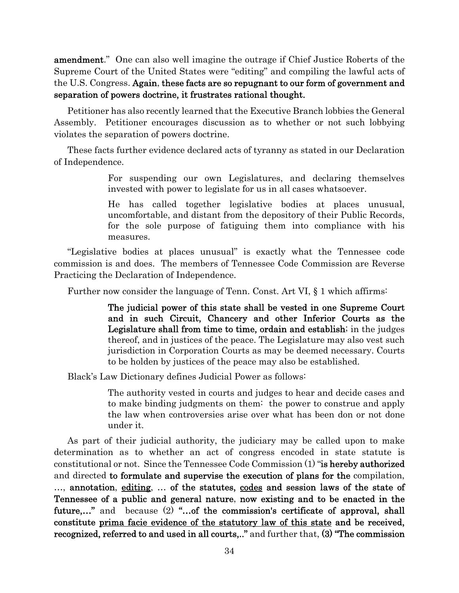amendment." One can also well imagine the outrage if Chief Justice Roberts of the Supreme Court of the United States were "editing" and compiling the lawful acts of the U.S. Congress. Again, these facts are so repugnant to our form of government and separation of powers doctrine, it frustrates rational thought.

Petitioner has also recently learned that the Executive Branch lobbies the General Assembly. Petitioner encourages discussion as to whether or not such lobbying violates the separation of powers doctrine.

These facts further evidence declared acts of tyranny as stated in our Declaration of Independence.

> For suspending our own Legislatures, and declaring themselves invested with power to legislate for us in all cases whatsoever.

> He has called together legislative bodies at places unusual, uncomfortable, and distant from the depository of their Public Records, for the sole purpose of fatiguing them into compliance with his measures.

"Legislative bodies at places unusual" is exactly what the Tennessee code commission is and does. The members of Tennessee Code Commission are Reverse Practicing the Declaration of Independence.

Further now consider the language of Tenn. Const. Art VI, § 1 which affirms:

The judicial power of this state shall be vested in one Supreme Court and in such Circuit, Chancery and other Inferior Courts as the Legislature shall from time to time, ordain and establish; in the judges thereof, and in justices of the peace. The Legislature may also vest such jurisdiction in Corporation Courts as may be deemed necessary. Courts to be holden by justices of the peace may also be established.

Black's Law Dictionary defines Judicial Power as follows:

The authority vested in courts and judges to hear and decide cases and to make binding judgments on them: the power to construe and apply the law when controversies arise over what has been don or not done under it.

As part of their judicial authority, the judiciary may be called upon to make determination as to whether an act of congress encoded in state statute is constitutional or not. Since the Tennessee Code Commission (1) "is hereby authorized and directed to formulate and supervise the execution of plans for the compilation, ..., annotation, editing, ... of the statutes, codes and session laws of the state of Tennessee of a public and general nature, now existing and to be enacted in the future,…" and because (2) "…of the commission's certificate of approval, shall constitute prima facie evidence of the statutory law of this state and be received, recognized, referred to and used in all courts,.." and further that, (3) "The commission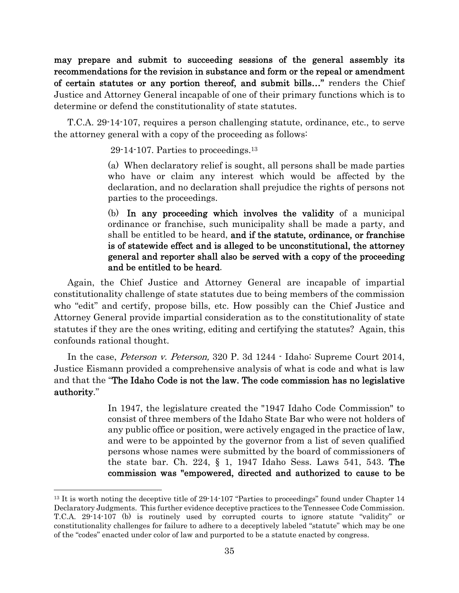may prepare and submit to succeeding sessions of the general assembly its recommendations for the revision in substance and form or the repeal or amendment of certain statutes or any portion thereof, and submit bills…" renders the Chief Justice and Attorney General incapable of one of their primary functions which is to determine or defend the constitutionality of state statutes.

T.C.A. 29-14-107, requires a person challenging statute, ordinance, etc., to serve the attorney general with a copy of the proceeding as follows:

29-14-107. Parties to proceedings.13

(a) When declaratory relief is sought, all persons shall be made parties who have or claim any interest which would be affected by the declaration, and no declaration shall prejudice the rights of persons not parties to the proceedings.

(b) In any proceeding which involves the validity of a municipal ordinance or franchise, such municipality shall be made a party, and shall be entitled to be heard, and if the statute, ordinance, or franchise is of statewide effect and is alleged to be unconstitutional, the attorney general and reporter shall also be served with a copy of the proceeding and be entitled to be heard.

Again, the Chief Justice and Attorney General are incapable of impartial constitutionality challenge of state statutes due to being members of the commission who "edit" and certify, propose bills, etc. How possibly can the Chief Justice and Attorney General provide impartial consideration as to the constitutionality of state statutes if they are the ones writing, editing and certifying the statutes? Again, this confounds rational thought.

In the case, *Peterson v. Peterson*, 320 P. 3d 1244 - Idaho: Supreme Court 2014, Justice Eismann provided a comprehensive analysis of what is code and what is law and that the "The Idaho Code is not the law. The code commission has no legislative authority."

> In 1947, the legislature created the "1947 Idaho Code Commission" to consist of three members of the Idaho State Bar who were not holders of any public office or position, were actively engaged in the practice of law, and were to be appointed by the governor from a list of seven qualified persons whose names were submitted by the board of commissioners of the state bar. Ch. 224, § 1, 1947 Idaho Sess. Laws 541, 543. The commission was "empowered, directed and authorized to cause to be

<sup>&</sup>lt;sup>13</sup> It is worth noting the deceptive title of 29-14-107 "Parties to proceedings" found under Chapter 14 Declaratory Judgments. This further evidence deceptive practices to the Tennessee Code Commission. T.C.A. 29-14-107 (b) is routinely used by corrupted courts to ignore statute "validity" or constitutionality challenges for failure to adhere to a deceptively labeled "statute" which may be one of the "codes" enacted under color of law and purported to be a statute enacted by congress.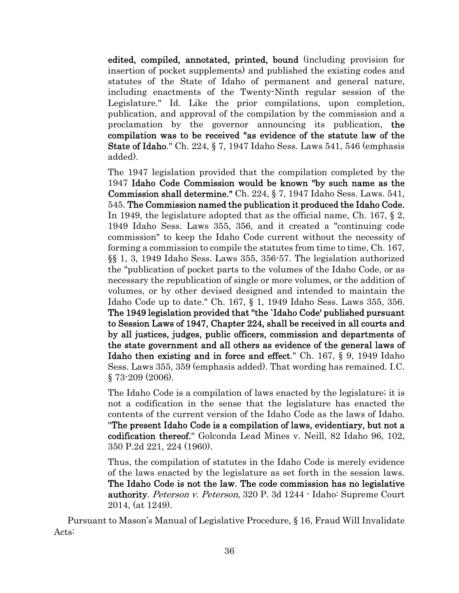edited, compiled, annotated, printed, bound (including provision for insertion of pocket supplements) and published the existing codes and statutes of the State of Idaho of permanent and general nature, including enactments of the Twenty-Ninth regular session of the Legislature." Id. Like the prior compilations, upon completion, publication, and approval of the compilation by the commission and a proclamation by the governor announcing its publication, the compilation was to be received "as evidence of the statute law of the State of Idaho." Ch. 224, § 7, 1947 Idaho Sess. Laws 541, 546 (emphasis added).

The 1947 legislation provided that the compilation completed by the 1947 Idaho Code Commission would be known "by such name as the Commission shall determine." Ch. 224, § 7, 1947 Idaho Sess. Laws. 541, 545. The Commission named the publication it produced the Idaho Code. In 1949, the legislature adopted that as the official name, Ch. 167, § 2, 1949 Idaho Sess. Laws 355, 356, and it created a "continuing code commission" to keep the Idaho Code current without the necessity of forming a commission to compile the statutes from time to time, Ch. 167, §§ 1, 3, 1949 Idaho Sess. Laws 355, 356-57. The legislation authorized the "publication of pocket parts to the volumes of the Idaho Code, or as necessary the republication of single or more volumes, or the addition of volumes, or by other devised designed and intended to maintain the Idaho Code up to date." Ch. 167, § 1, 1949 Idaho Sess. Laws 355, 356. The 1949 legislation provided that "the `Idaho Code' published pursuant to Session Laws of 1947, Chapter 224, shall be received in all courts and by all justices, judges, public officers, commission and departments of the state government and all others as evidence of the general laws of Idaho then existing and in force and effect." Ch. 167, § 9, 1949 Idaho Sess. Laws 355, 359 (emphasis added). That wording has remained. I.C. § 73-209 (2006).

The Idaho Code is a compilation of laws enacted by the legislature; it is not a codification in the sense that the legislature has enacted the contents of the current version of the Idaho Code as the laws of Idaho. "The present Idaho Code is a compilation of laws, evidentiary, but not a codification thereof." Golconda Lead Mines v. Neill, 82 Idaho 96, 102, 350 P.2d 221, 224 (1960).

Thus, the compilation of statutes in the Idaho Code is merely evidence of the laws enacted by the legislature as set forth in the session laws. The Idaho Code is not the law. The code commission has no legislative authority. Peterson v. Peterson, 320 P. 3d 1244 - Idaho: Supreme Court 2014, (at 1249).

Pursuant to Mason's Manual of Legislative Procedure, § 16, Fraud Will Invalidate Acts: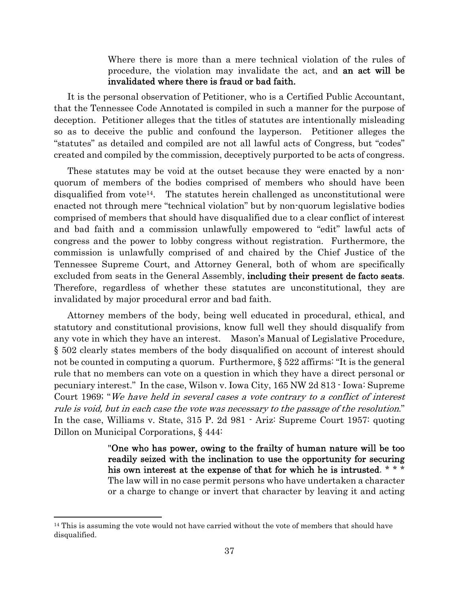Where there is more than a mere technical violation of the rules of procedure, the violation may invalidate the act, and an act will be invalidated where there is fraud or bad faith.

It is the personal observation of Petitioner, who is a Certified Public Accountant, that the Tennessee Code Annotated is compiled in such a manner for the purpose of deception. Petitioner alleges that the titles of statutes are intentionally misleading so as to deceive the public and confound the layperson. Petitioner alleges the "statutes" as detailed and compiled are not all lawful acts of Congress, but "codes" created and compiled by the commission, deceptively purported to be acts of congress.

These statutes may be void at the outset because they were enacted by a nonquorum of members of the bodies comprised of members who should have been disqualified from vote<sup>14</sup>. The statutes herein challenged as unconstitutional were enacted not through mere "technical violation" but by non-quorum legislative bodies comprised of members that should have disqualified due to a clear conflict of interest and bad faith and a commission unlawfully empowered to "edit" lawful acts of congress and the power to lobby congress without registration. Furthermore, the commission is unlawfully comprised of and chaired by the Chief Justice of the Tennessee Supreme Court, and Attorney General, both of whom are specifically excluded from seats in the General Assembly, including their present de facto seats. Therefore, regardless of whether these statutes are unconstitutional, they are invalidated by major procedural error and bad faith.

Attorney members of the body, being well educated in procedural, ethical, and statutory and constitutional provisions, know full well they should disqualify from any vote in which they have an interest. Mason's Manual of Legislative Procedure, § 502 clearly states members of the body disqualified on account of interest should not be counted in computing a quorum. Furthermore, § 522 affirms: "It is the general rule that no members can vote on a question in which they have a direct personal or pecuniary interest." In the case, Wilson v. Iowa City, 165 NW 2d 813 - Iowa: Supreme Court 1969; "We have held in several cases a vote contrary to a conflict of interest rule is void, but in each case the vote was necessary to the passage of the resolution." In the case, Williams v. State, 315 P. 2d 981 - Ariz: Supreme Court 1957: quoting Dillon on Municipal Corporations, § 444:

> "One who has power, owing to the frailty of human nature will be too readily seized with the inclination to use the opportunity for securing his own interest at the expense of that for which he is intrusted. \* \* \*

> The law will in no case permit persons who have undertaken a character or a charge to change or invert that character by leaving it and acting

<sup>&</sup>lt;sup>14</sup> This is assuming the vote would not have carried without the vote of members that should have disqualified.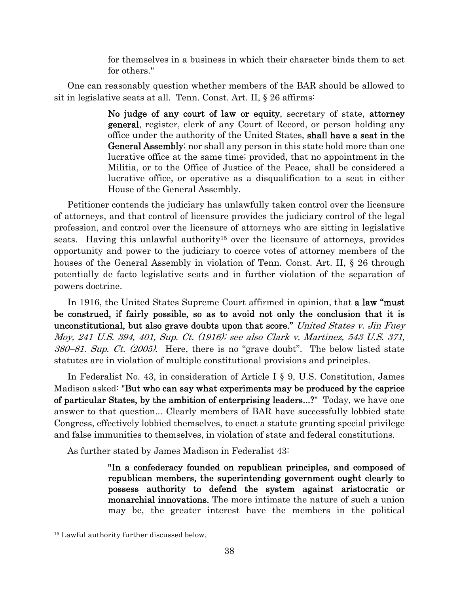for themselves in a business in which their character binds them to act for others."

One can reasonably question whether members of the BAR should be allowed to sit in legislative seats at all. Tenn. Const. Art. II, § 26 affirms:

> No judge of any court of law or equity, secretary of state, attorney general, register, clerk of any Court of Record, or person holding any office under the authority of the United States, shall have a seat in the General Assembly; nor shall any person in this state hold more than one lucrative office at the same time; provided, that no appointment in the Militia, or to the Office of Justice of the Peace, shall be considered a lucrative office, or operative as a disqualification to a seat in either House of the General Assembly.

Petitioner contends the judiciary has unlawfully taken control over the licensure of attorneys, and that control of licensure provides the judiciary control of the legal profession, and control over the licensure of attorneys who are sitting in legislative seats. Having this unlawful authority<sup>15</sup> over the licensure of attorneys, provides opportunity and power to the judiciary to coerce votes of attorney members of the houses of the General Assembly in violation of Tenn. Const. Art. II, § 26 through potentially de facto legislative seats and in further violation of the separation of powers doctrine.

In 1916, the United States Supreme Court affirmed in opinion, that **a law "must** be construed, if fairly possible, so as to avoid not only the conclusion that it is unconstitutional, but also grave doubts upon that score." United States v. Jin Fuey Moy, 241 U.S. 394, 401, Sup. Ct. (1916); see also Clark v. Martinez, 543 U.S. 371, 380–81. Sup. Ct. (2005). Here, there is no "grave doubt". The below listed state statutes are in violation of multiple constitutional provisions and principles.

In Federalist No. 43, in consideration of Article I § 9, U.S. Constitution, James Madison asked: "But who can say what experiments may be produced by the caprice of particular States, by the ambition of enterprising leaders...?" Today, we have one answer to that question... Clearly members of BAR have successfully lobbied state Congress, effectively lobbied themselves, to enact a statute granting special privilege and false immunities to themselves, in violation of state and federal constitutions.

As further stated by James Madison in Federalist 43:

''In a confederacy founded on republican principles, and composed of republican members, the superintending government ought clearly to possess authority to defend the system against aristocratic or monarchial innovations. The more intimate the nature of such a union may be, the greater interest have the members in the political

<sup>15</sup> Lawful authority further discussed below.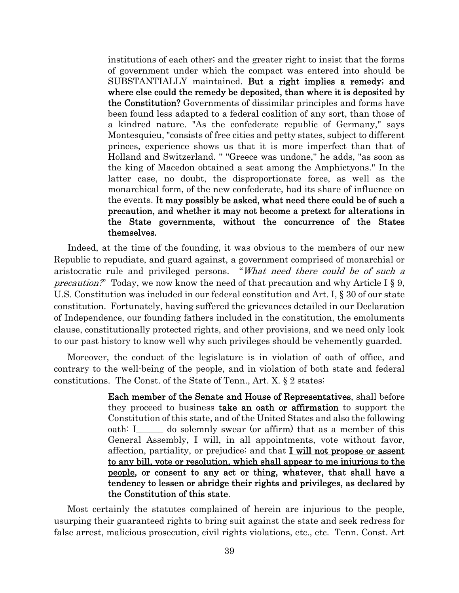institutions of each other; and the greater right to insist that the forms of government under which the compact was entered into should be SUBSTANTIALLY maintained. But a right implies a remedy; and where else could the remedy be deposited, than where it is deposited by the Constitution? Governments of dissimilar principles and forms have been found less adapted to a federal coalition of any sort, than those of a kindred nature. "As the confederate republic of Germany,'' says Montesquieu, "consists of free cities and petty states, subject to different princes, experience shows us that it is more imperfect than that of Holland and Switzerland. '' "Greece was undone,'' he adds, "as soon as the king of Macedon obtained a seat among the Amphictyons.'' In the latter case, no doubt, the disproportionate force, as well as the monarchical form, of the new confederate, had its share of influence on the events. It may possibly be asked, what need there could be of such a precaution, and whether it may not become a pretext for alterations in the State governments, without the concurrence of the States themselves.

Indeed, at the time of the founding, it was obvious to the members of our new Republic to repudiate, and guard against, a government comprised of monarchial or aristocratic rule and privileged persons. "What need there could be of such a *precaution?*" Today, we now know the need of that precaution and why Article I  $\S$  9, U.S. Constitution was included in our federal constitution and Art. I, § 30 of our state constitution. Fortunately, having suffered the grievances detailed in our Declaration of Independence, our founding fathers included in the constitution, the emoluments clause, constitutionally protected rights, and other provisions, and we need only look to our past history to know well why such privileges should be vehemently guarded.

Moreover, the conduct of the legislature is in violation of oath of office, and contrary to the well-being of the people, and in violation of both state and federal constitutions. The Const. of the State of Tenn., Art. X. § 2 states;

> Each member of the Senate and House of Representatives, shall before they proceed to business take an oath or affirmation to support the Constitution of this state, and of the United States and also the following oath: I\_\_\_\_\_\_ do solemnly swear (or affirm) that as a member of this General Assembly, I will, in all appointments, vote without favor, affection, partiality, or prejudice; and that  $I$  will not propose or assent to any bill, vote or resolution, which shall appear to me injurious to the people, or consent to any act or thing, whatever, that shall have a tendency to lessen or abridge their rights and privileges, as declared by the Constitution of this state.

Most certainly the statutes complained of herein are injurious to the people, usurping their guaranteed rights to bring suit against the state and seek redress for false arrest, malicious prosecution, civil rights violations, etc., etc. Tenn. Const. Art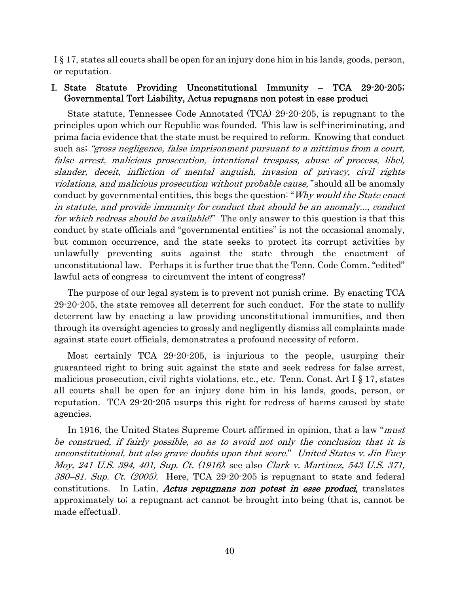I § 17, states all courts shall be open for an injury done him in his lands, goods, person, or reputation.

# I. State Statute Providing Unconstitutional Immunity – TCA 29-20-205; Governmental Tort Liability, Actus repugnans non potest in esse produci

State statute, Tennessee Code Annotated (TCA) 29-20-205, is repugnant to the principles upon which our Republic was founded. This law is self-incriminating, and prima facia evidence that the state must be required to reform. Knowing that conduct such as; "gross negligence, false imprisonment pursuant to a mittimus from a court, false arrest, malicious prosecution, intentional trespass, abuse of process, libel, slander, deceit, infliction of mental anguish, invasion of privacy, civil rights violations, and malicious prosecution without probable cause," should all be anomaly conduct by governmental entities, this begs the question: "Why would the State enact" in statute, and provide immunity for conduct that should be an anomaly..., conduct for which redress should be available?" The only answer to this question is that this conduct by state officials and "governmental entities" is not the occasional anomaly, but common occurrence, and the state seeks to protect its corrupt activities by unlawfully preventing suits against the state through the enactment of unconstitutional law. Perhaps it is further true that the Tenn. Code Comm. "edited" lawful acts of congress to circumvent the intent of congress?

The purpose of our legal system is to prevent not punish crime. By enacting TCA 29-20-205, the state removes all deterrent for such conduct. For the state to nullify deterrent law by enacting a law providing unconstitutional immunities, and then through its oversight agencies to grossly and negligently dismiss all complaints made against state court officials, demonstrates a profound necessity of reform.

Most certainly TCA 29-20-205, is injurious to the people, usurping their guaranteed right to bring suit against the state and seek redress for false arrest, malicious prosecution, civil rights violations, etc., etc. Tenn. Const. Art I § 17, states all courts shall be open for an injury done him in his lands, goods, person, or reputation. TCA 29-20-205 usurps this right for redress of harms caused by state agencies.

In 1916, the United States Supreme Court affirmed in opinion, that a law "*must* be construed, if fairly possible, so as to avoid not only the conclusion that it is unconstitutional, but also grave doubts upon that score." United States v. Jin Fuey Moy, 241 U.S. 394, 401, Sup. Ct. (1916); see also Clark v. Martinez, 543 U.S. 371,  $380-81$ . Sup. Ct. (2005). Here, TCA 29-20-205 is repugnant to state and federal constitutions. In Latin, *Actus repugnans non potest in esse produci*, translates approximately to; a repugnant act cannot be brought into being (that is, cannot be made effectual).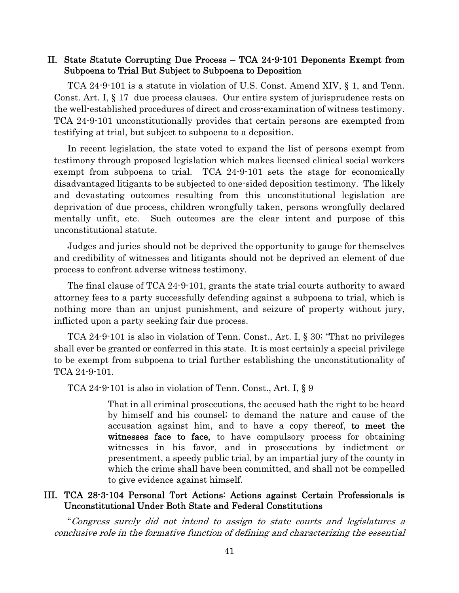### II. State Statute Corrupting Due Process – TCA 24-9-101 Deponents Exempt from Subpoena to Trial But Subject to Subpoena to Deposition

TCA 24-9-101 is a statute in violation of U.S. Const. Amend XIV, § 1, and Tenn. Const. Art. I, § 17 due process clauses. Our entire system of jurisprudence rests on the well-established procedures of direct and cross-examination of witness testimony. TCA 24-9-101 unconstitutionally provides that certain persons are exempted from testifying at trial, but subject to subpoena to a deposition.

In recent legislation, the state voted to expand the list of persons exempt from testimony through proposed legislation which makes licensed clinical social workers exempt from subpoena to trial. TCA 24-9-101 sets the stage for economically disadvantaged litigants to be subjected to one-sided deposition testimony. The likely and devastating outcomes resulting from this unconstitutional legislation are deprivation of due process, children wrongfully taken, persons wrongfully declared mentally unfit, etc. Such outcomes are the clear intent and purpose of this unconstitutional statute.

Judges and juries should not be deprived the opportunity to gauge for themselves and credibility of witnesses and litigants should not be deprived an element of due process to confront adverse witness testimony.

The final clause of TCA 24-9-101, grants the state trial courts authority to award attorney fees to a party successfully defending against a subpoena to trial, which is nothing more than an unjust punishment, and seizure of property without jury, inflicted upon a party seeking fair due process.

TCA 24-9-101 is also in violation of Tenn. Const., Art. I, § 30; "That no privileges shall ever be granted or conferred in this state. It is most certainly a special privilege to be exempt from subpoena to trial further establishing the unconstitutionality of TCA 24-9-101.

TCA 24-9-101 is also in violation of Tenn. Const., Art. I, § 9

That in all criminal prosecutions, the accused hath the right to be heard by himself and his counsel; to demand the nature and cause of the accusation against him, and to have a copy thereof, to meet the witnesses face to face, to have compulsory process for obtaining witnesses in his favor, and in prosecutions by indictment or presentment, a speedy public trial, by an impartial jury of the county in which the crime shall have been committed, and shall not be compelled to give evidence against himself.

### III. TCA 28-3-104 Personal Tort Actions: Actions against Certain Professionals is Unconstitutional Under Both State and Federal Constitutions

"Congress surely did not intend to assign to state courts and legislatures a conclusive role in the formative function of defining and characterizing the essential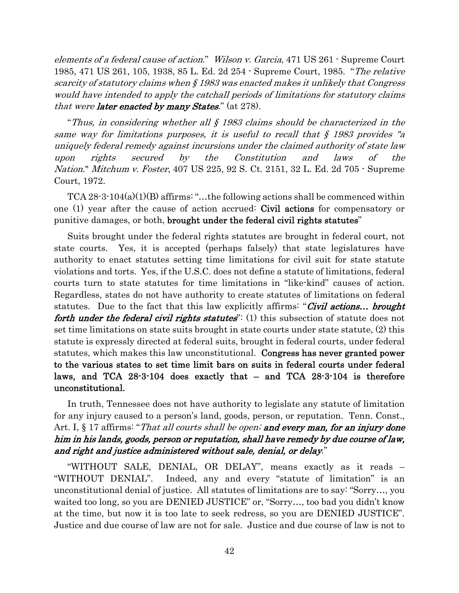elements of a federal cause of action." Wilson v. Garcia, 471 US 261 - Supreme Court 1985, 471 US 261, 105, 1938, 85 L. Ed. 2d 254 - Supreme Court, 1985. "The relative scarcity of statutory claims when  $\S$  1983 was enacted makes it unlikely that Congress would have intended to apply the catchall periods of limitations for statutory claims that were **later enacted by many States**." (at  $278$ ).

"Thus, in considering whether all  $\S$  1983 claims should be characterized in the same way for limitations purposes, it is useful to recall that  $\S$  1983 provides "a uniquely federal remedy against incursions under the claimed authority of state law upon rights secured by the Constitution and laws of the Nation." Mitchum v. Foster, 407 US 225, 92 S. Ct. 2151, 32 L. Ed. 2d 705 - Supreme Court, 1972.

TCA 28-3-104(a)(1)(B) affirms: "…the following actions shall be commenced within one (1) year after the cause of action accrued: Civil actions for compensatory or punitive damages, or both, brought under the federal civil rights statutes"

Suits brought under the federal rights statutes are brought in federal court, not state courts. Yes, it is accepted (perhaps falsely) that state legislatures have authority to enact statutes setting time limitations for civil suit for state statute violations and torts. Yes, if the U.S.C. does not define a statute of limitations, federal courts turn to state statutes for time limitations in "like-kind" causes of action. Regardless, states do not have authority to create statutes of limitations on federal statutes. Due to the fact that this law explicitly affirms: "Civil actions... brought forth under the federal civil rights statutes": (1) this subsection of statute does not set time limitations on state suits brought in state courts under state statute, (2) this statute is expressly directed at federal suits, brought in federal courts, under federal statutes, which makes this law unconstitutional. Congress has never granted power to the various states to set time limit bars on suits in federal courts under federal laws, and TCA 28-3-104 does exactly that – and TCA 28-3-104 is therefore unconstitutional.

In truth, Tennessee does not have authority to legislate any statute of limitation for any injury caused to a person's land, goods, person, or reputation. Tenn. Const., Art. I,  $\S 17$  affirms: "That all courts shall be open; and every man, for an injury done him in his lands, goods, person or reputation, shall have remedy by due course of law, and right and justice administered without sale, denial, or delay."

"WITHOUT SALE, DENIAL, OR DELAY", means exactly as it reads – "WITHOUT DENIAL". Indeed, any and every "statute of limitation" is an unconstitutional denial of justice. All statutes of limitations are to say: "Sorry…, you waited too long, so you are DENIED JUSTICE" or, "Sorry…, too bad you didn't know at the time, but now it is too late to seek redress, so you are DENIED JUSTICE". Justice and due course of law are not for sale. Justice and due course of law is not to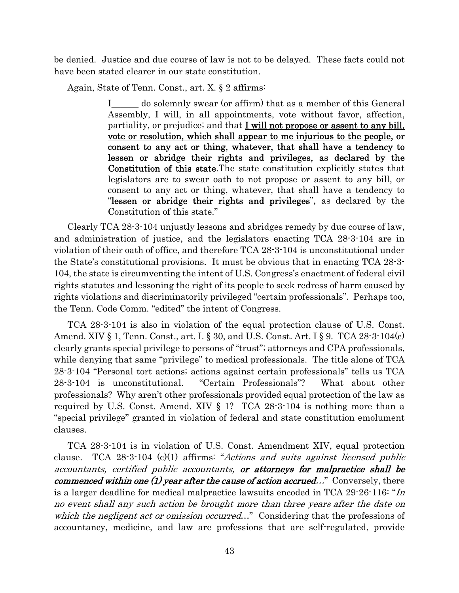be denied. Justice and due course of law is not to be delayed. These facts could not have been stated clearer in our state constitution.

Again, State of Tenn. Const., art. X. § 2 affirms:

I do solemnly swear (or affirm) that as a member of this General Assembly, I will, in all appointments, vote without favor, affection, partiality, or prejudice; and that I will not propose or assent to any bill, vote or resolution, which shall appear to me injurious to the people, or consent to any act or thing, whatever, that shall have a tendency to lessen or abridge their rights and privileges, as declared by the Constitution of this state.The state constitution explicitly states that legislators are to swear oath to not propose or assent to any bill, or consent to any act or thing, whatever, that shall have a tendency to "lessen or abridge their rights and privileges", as declared by the Constitution of this state."

Clearly TCA 28-3-104 unjustly lessons and abridges remedy by due course of law, and administration of justice, and the legislators enacting TCA 28-3-104 are in violation of their oath of office, and therefore TCA 28-3-104 is unconstitutional under the State's constitutional provisions. It must be obvious that in enacting TCA 28-3- 104, the state is circumventing the intent of U.S. Congress's enactment of federal civil rights statutes and lessoning the right of its people to seek redress of harm caused by rights violations and discriminatorily privileged "certain professionals". Perhaps too, the Tenn. Code Comm. "edited" the intent of Congress.

TCA 28-3-104 is also in violation of the equal protection clause of U.S. Const. Amend. XIV § 1, Tenn. Const., art. I. § 30, and U.S. Const. Art. I § 9. TCA 28-3-104(c) clearly grants special privilege to persons of "trust"; attorneys and CPA professionals, while denying that same "privilege" to medical professionals. The title alone of TCA 28-3-104 "Personal tort actions; actions against certain professionals" tells us TCA 28-3-104 is unconstitutional. "Certain Professionals"? What about other professionals? Why aren't other professionals provided equal protection of the law as required by U.S. Const. Amend. XIV § 1? TCA 28-3-104 is nothing more than a "special privilege" granted in violation of federal and state constitution emolument clauses.

TCA 28-3-104 is in violation of U.S. Const. Amendment XIV, equal protection clause. TCA  $28-3-104$  (c)(1) affirms: "Actions and suits against licensed public accountants, certified public accountants, or attorneys for malpractice shall be commenced within one (1) year after the cause of action accrued..." Conversely, there is a larger deadline for medical malpractice lawsuits encoded in TCA 29-26-116: "In no event shall any such action be brought more than three years after the date on which the negligent act or omission occurred..." Considering that the professions of accountancy, medicine, and law are professions that are self-regulated, provide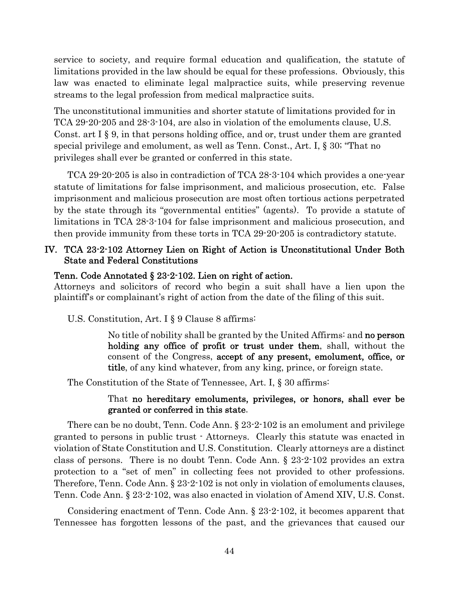service to society, and require formal education and qualification, the statute of limitations provided in the law should be equal for these professions. Obviously, this law was enacted to eliminate legal malpractice suits, while preserving revenue streams to the legal profession from medical malpractice suits.

The unconstitutional immunities and shorter statute of limitations provided for in TCA 29-20-205 and 28-3-104, are also in violation of the emoluments clause, U.S. Const. art I  $\S$  9, in that persons holding office, and or, trust under them are granted special privilege and emolument, as well as Tenn. Const., Art. I, § 30; "That no privileges shall ever be granted or conferred in this state.

TCA 29-20-205 is also in contradiction of TCA 28-3-104 which provides a one-year statute of limitations for false imprisonment, and malicious prosecution, etc. False imprisonment and malicious prosecution are most often tortious actions perpetrated by the state through its "governmental entities" (agents). To provide a statute of limitations in TCA 28-3-104 for false imprisonment and malicious prosecution, and then provide immunity from these torts in TCA 29-20-205 is contradictory statute.

# IV. TCA 23-2-102 Attorney Lien on Right of Action is Unconstitutional Under Both State and Federal Constitutions

# Tenn. Code Annotated § 23-2-102. Lien on right of action.

Attorneys and solicitors of record who begin a suit shall have a lien upon the plaintiff's or complainant's right of action from the date of the filing of this suit.

U.S. Constitution, Art. I § 9 Clause 8 affirms:

No title of nobility shall be granted by the United Affirms: and no person holding any office of profit or trust under them, shall, without the consent of the Congress, accept of any present, emolument, office, or title, of any kind whatever, from any king, prince, or foreign state.

The Constitution of the State of Tennessee, Art. I, § 30 affirms:

## That no hereditary emoluments, privileges, or honors, shall ever be granted or conferred in this state.

There can be no doubt, Tenn. Code Ann. § 23-2-102 is an emolument and privilege granted to persons in public trust - Attorneys. Clearly this statute was enacted in violation of State Constitution and U.S. Constitution. Clearly attorneys are a distinct class of persons. There is no doubt Tenn. Code Ann. § 23-2-102 provides an extra protection to a "set of men" in collecting fees not provided to other professions. Therefore, Tenn. Code Ann. § 23-2-102 is not only in violation of emoluments clauses, Tenn. Code Ann. § 23-2-102, was also enacted in violation of Amend XIV, U.S. Const.

Considering enactment of Tenn. Code Ann. § 23-2-102, it becomes apparent that Tennessee has forgotten lessons of the past, and the grievances that caused our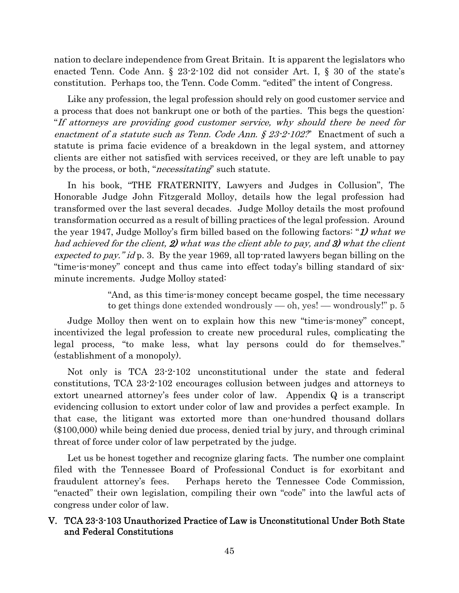nation to declare independence from Great Britain. It is apparent the legislators who enacted Tenn. Code Ann. § 23-2-102 did not consider Art. I, § 30 of the state's constitution. Perhaps too, the Tenn. Code Comm. "edited" the intent of Congress.

Like any profession, the legal profession should rely on good customer service and a process that does not bankrupt one or both of the parties. This begs the question: "If attorneys are providing good customer service, why should there be need for enactment of a statute such as Tenn. Code Ann.  $\S 23-2$ -102?" Enactment of such a statute is prima facie evidence of a breakdown in the legal system, and attorney clients are either not satisfied with services received, or they are left unable to pay by the process, or both, "*necessitating*" such statute.

In his book, "THE FRATERNITY, Lawyers and Judges in Collusion", The Honorable Judge John Fitzgerald Molloy, details how the legal profession had transformed over the last several decades. Judge Molloy details the most profound transformation occurred as a result of billing practices of the legal profession. Around the year 1947, Judge Molloy's firm billed based on the following factors: "1) what we had achieved for the client, 2) what was the client able to pay, and 3) what the client expected to pay." id p. 3. By the year 1969, all top-rated lawyers began billing on the "time-is-money" concept and thus came into effect today's billing standard of sixminute increments. Judge Molloy stated:

> "And, as this time-is-money concept became gospel, the time necessary to get things done extended wondrously — oh, yes! — wondrously!"  $p. 5$

Judge Molloy then went on to explain how this new "time-is-money" concept, incentivized the legal profession to create new procedural rules, complicating the legal process, "to make less, what lay persons could do for themselves." (establishment of a monopoly).

Not only is TCA 23-2-102 unconstitutional under the state and federal constitutions, TCA 23-2-102 encourages collusion between judges and attorneys to extort unearned attorney's fees under color of law. Appendix Q is a transcript evidencing collusion to extort under color of law and provides a perfect example. In that case, the litigant was extorted more than one-hundred thousand dollars (\$100,000) while being denied due process, denied trial by jury, and through criminal threat of force under color of law perpetrated by the judge.

Let us be honest together and recognize glaring facts. The number one complaint filed with the Tennessee Board of Professional Conduct is for exorbitant and fraudulent attorney's fees. Perhaps hereto the Tennessee Code Commission, "enacted" their own legislation, compiling their own "code" into the lawful acts of congress under color of law.

### V. TCA 23-3-103 Unauthorized Practice of Law is Unconstitutional Under Both State and Federal Constitutions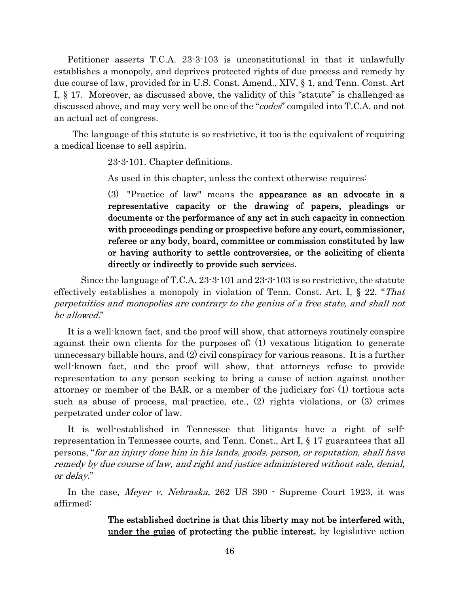Petitioner asserts T.C.A. 23-3-103 is unconstitutional in that it unlawfully establishes a monopoly, and deprives protected rights of due process and remedy by due course of law, provided for in U.S. Const. Amend., XIV, § 1, and Tenn. Const. Art I, § 17. Moreover, as discussed above, the validity of this "statute" is challenged as discussed above, and may very well be one of the "codes" compiled into T.C.A. and not an actual act of congress.

 The language of this statute is so restrictive, it too is the equivalent of requiring a medical license to sell aspirin.

23-3-101. Chapter definitions.

As used in this chapter, unless the context otherwise requires:

(3) "Practice of law" means the appearance as an advocate in a representative capacity or the drawing of papers, pleadings or documents or the performance of any act in such capacity in connection with proceedings pending or prospective before any court, commissioner, referee or any body, board, committee or commission constituted by law or having authority to settle controversies, or the soliciting of clients directly or indirectly to provide such services.

 Since the language of T.C.A. 23-3-101 and 23-3-103 is so restrictive, the statute effectively establishes a monopoly in violation of Tenn. Const. Art. I, § 22, "That perpetuities and monopolies are contrary to the genius of a free state, and shall not be allowed."

It is a well-known fact, and the proof will show, that attorneys routinely conspire against their own clients for the purposes of; (1) vexatious litigation to generate unnecessary billable hours, and (2) civil conspiracy for various reasons. It is a further well-known fact, and the proof will show, that attorneys refuse to provide representation to any person seeking to bring a cause of action against another attorney or member of the BAR, or a member of the judiciary for; (1) tortious acts such as abuse of process, mal-practice, etc., (2) rights violations, or (3) crimes perpetrated under color of law.

It is well-established in Tennessee that litigants have a right of selfrepresentation in Tennessee courts, and Tenn. Const., Art I, § 17 guarantees that all persons, "for an injury done him in his lands, goods, person, or reputation, shall have remedy by due course of law, and right and justice administered without sale, denial, or delay."

In the case, *Meyer v. Nebraska*, 262 US 390  $\cdot$  Supreme Court 1923, it was affirmed:

> The established doctrine is that this liberty may not be interfered with, under the guise of protecting the public interest, by legislative action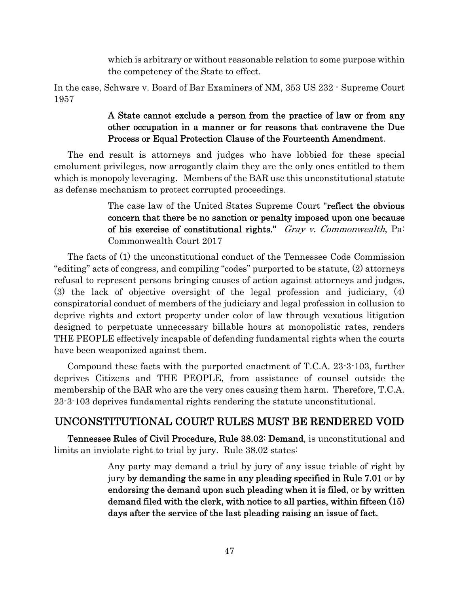which is arbitrary or without reasonable relation to some purpose within the competency of the State to effect.

In the case, Schware v. Board of Bar Examiners of NM, 353 US 232 - Supreme Court 1957

# A State cannot exclude a person from the practice of law or from any other occupation in a manner or for reasons that contravene the Due Process or Equal Protection Clause of the Fourteenth Amendment.

The end result is attorneys and judges who have lobbied for these special emolument privileges, now arrogantly claim they are the only ones entitled to them which is monopoly leveraging. Members of the BAR use this unconstitutional statute as defense mechanism to protect corrupted proceedings.

> The case law of the United States Supreme Court "reflect the obvious concern that there be no sanction or penalty imposed upon one because of his exercise of constitutional rights." Gray v. Commonwealth, Pa: Commonwealth Court 2017

The facts of (1) the unconstitutional conduct of the Tennessee Code Commission "editing" acts of congress, and compiling "codes" purported to be statute, (2) attorneys refusal to represent persons bringing causes of action against attorneys and judges, (3) the lack of objective oversight of the legal profession and judiciary, (4) conspiratorial conduct of members of the judiciary and legal profession in collusion to deprive rights and extort property under color of law through vexatious litigation designed to perpetuate unnecessary billable hours at monopolistic rates, renders THE PEOPLE effectively incapable of defending fundamental rights when the courts have been weaponized against them.

Compound these facts with the purported enactment of T.C.A. 23-3-103, further deprives Citizens and THE PEOPLE, from assistance of counsel outside the membership of the BAR who are the very ones causing them harm. Therefore, T.C.A. 23-3-103 deprives fundamental rights rendering the statute unconstitutional.

# UNCONSTITUTIONAL COURT RULES MUST BE RENDERED VOID

Tennessee Rules of Civil Procedure, Rule 38.02: Demand, is unconstitutional and limits an inviolate right to trial by jury. Rule 38.02 states:

> Any party may demand a trial by jury of any issue triable of right by jury by demanding the same in any pleading specified in Rule 7.01 or by endorsing the demand upon such pleading when it is filed, or by written demand filed with the clerk, with notice to all parties, within fifteen (15) days after the service of the last pleading raising an issue of fact.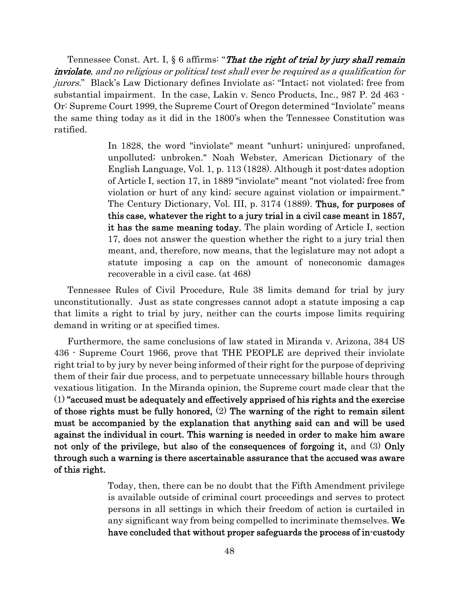Tennessee Const. Art. I,  $\S$  6 affirms: "That the right of trial by jury shall remain inviolate, and no religious or political test shall ever be required as a qualification for jurors." Black's Law Dictionary defines Inviolate as: "Intact; not violated; free from substantial impairment. In the case, Lakin v. Senco Products, Inc., 987 P. 2d 463 - Or: Supreme Court 1999, the Supreme Court of Oregon determined "Inviolate" means the same thing today as it did in the 1800's when the Tennessee Constitution was ratified.

> In 1828, the word "inviolate" meant "unhurt; uninjured; unprofaned, unpolluted; unbroken." Noah Webster, American Dictionary of the English Language, Vol. 1, p. 113 (1828). Although it post-dates adoption of Article I, section 17, in 1889 "inviolate" meant "not violated; free from violation or hurt of any kind; secure against violation or impairment." The Century Dictionary, Vol. III, p. 3174 (1889). **Thus, for purposes of** this case, whatever the right to a jury trial in a civil case meant in 1857, it has the same meaning today. The plain wording of Article I, section 17, does not answer the question whether the right to a jury trial then meant, and, therefore, now means, that the legislature may not adopt a statute imposing a cap on the amount of noneconomic damages recoverable in a civil case. (at 468)

Tennessee Rules of Civil Procedure, Rule 38 limits demand for trial by jury unconstitutionally. Just as state congresses cannot adopt a statute imposing a cap that limits a right to trial by jury, neither can the courts impose limits requiring demand in writing or at specified times.

Furthermore, the same conclusions of law stated in Miranda v. Arizona, 384 US 436 - Supreme Court 1966, prove that THE PEOPLE are deprived their inviolate right trial to by jury by never being informed of their right for the purpose of depriving them of their fair due process, and to perpetuate unnecessary billable hours through vexatious litigation. In the Miranda opinion, the Supreme court made clear that the (1) "accused must be adequately and effectively apprised of his rights and the exercise of those rights must be fully honored, (2) The warning of the right to remain silent must be accompanied by the explanation that anything said can and will be used against the individual in court. This warning is needed in order to make him aware not only of the privilege, but also of the consequences of forgoing it, and (3) Only through such a warning is there ascertainable assurance that the accused was aware of this right.

> Today, then, there can be no doubt that the Fifth Amendment privilege is available outside of criminal court proceedings and serves to protect persons in all settings in which their freedom of action is curtailed in any significant way from being compelled to incriminate themselves. We have concluded that without proper safeguards the process of in-custody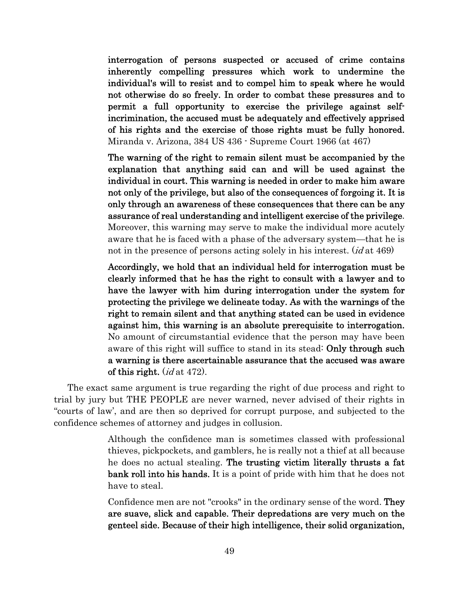interrogation of persons suspected or accused of crime contains inherently compelling pressures which work to undermine the individual's will to resist and to compel him to speak where he would not otherwise do so freely. In order to combat these pressures and to permit a full opportunity to exercise the privilege against selfincrimination, the accused must be adequately and effectively apprised of his rights and the exercise of those rights must be fully honored. Miranda v. Arizona, 384 US 436 - Supreme Court 1966 (at 467)

The warning of the right to remain silent must be accompanied by the explanation that anything said can and will be used against the individual in court. This warning is needed in order to make him aware not only of the privilege, but also of the consequences of forgoing it. It is only through an awareness of these consequences that there can be any assurance of real understanding and intelligent exercise of the privilege. Moreover, this warning may serve to make the individual more acutely aware that he is faced with a phase of the adversary system—that he is not in the presence of persons acting solely in his interest. (*id* at 469)

Accordingly, we hold that an individual held for interrogation must be clearly informed that he has the right to consult with a lawyer and to have the lawyer with him during interrogation under the system for protecting the privilege we delineate today. As with the warnings of the right to remain silent and that anything stated can be used in evidence against him, this warning is an absolute prerequisite to interrogation. No amount of circumstantial evidence that the person may have been aware of this right will suffice to stand in its stead: Only through such a warning is there ascertainable assurance that the accused was aware of this right.  $(id \text{ at } 472)$ .

The exact same argument is true regarding the right of due process and right to trial by jury but THE PEOPLE are never warned, never advised of their rights in "courts of law', and are then so deprived for corrupt purpose, and subjected to the confidence schemes of attorney and judges in collusion.

> Although the confidence man is sometimes classed with professional thieves, pickpockets, and gamblers, he is really not a thief at all because he does no actual stealing. The trusting victim literally thrusts a fat bank roll into his hands. It is a point of pride with him that he does not have to steal.

> Confidence men are not "crooks" in the ordinary sense of the word. They are suave, slick and capable. Their depredations are very much on the genteel side. Because of their high intelligence, their solid organization,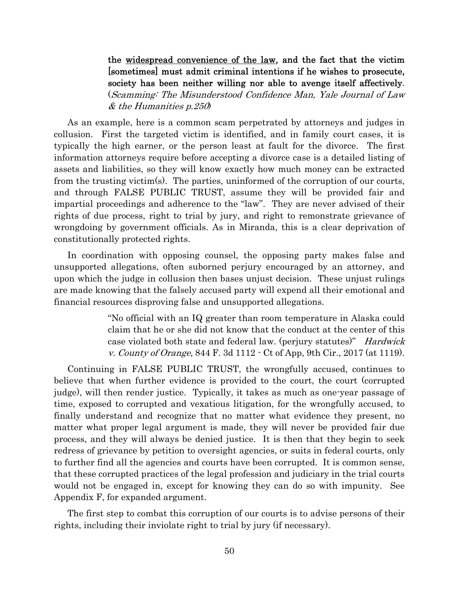the widespread convenience of the law, and the fact that the victim [sometimes] must admit criminal intentions if he wishes to prosecute, society has been neither willing nor able to avenge itself affectively. (Scamming: The Misunderstood Confidence Man, Yale Journal of Law

& the Humanities p.250)

As an example, here is a common scam perpetrated by attorneys and judges in collusion. First the targeted victim is identified, and in family court cases, it is typically the high earner, or the person least at fault for the divorce. The first information attorneys require before accepting a divorce case is a detailed listing of assets and liabilities, so they will know exactly how much money can be extracted from the trusting victim(s). The parties, uninformed of the corruption of our courts, and through FALSE PUBLIC TRUST, assume they will be provided fair and impartial proceedings and adherence to the "law". They are never advised of their rights of due process, right to trial by jury, and right to remonstrate grievance of wrongdoing by government officials. As in Miranda, this is a clear deprivation of constitutionally protected rights.

In coordination with opposing counsel, the opposing party makes false and unsupported allegations, often suborned perjury encouraged by an attorney, and upon which the judge in collusion then bases unjust decision. These unjust rulings are made knowing that the falsely accused party will expend all their emotional and financial resources disproving false and unsupported allegations.

> "No official with an IQ greater than room temperature in Alaska could claim that he or she did not know that the conduct at the center of this case violated both state and federal law. (perjury statutes)" Hardwick *v. County of Orange*, 844 F. 3d 1112  $\cdot$  Ct of App, 9th Cir., 2017 (at 1119).

Continuing in FALSE PUBLIC TRUST, the wrongfully accused, continues to believe that when further evidence is provided to the court, the court (corrupted judge), will then render justice. Typically, it takes as much as one-year passage of time, exposed to corrupted and vexatious litigation, for the wrongfully accused, to finally understand and recognize that no matter what evidence they present, no matter what proper legal argument is made, they will never be provided fair due process, and they will always be denied justice. It is then that they begin to seek redress of grievance by petition to oversight agencies, or suits in federal courts, only to further find all the agencies and courts have been corrupted. It is common sense, that these corrupted practices of the legal profession and judiciary in the trial courts would not be engaged in, except for knowing they can do so with impunity. See Appendix F, for expanded argument.

The first step to combat this corruption of our courts is to advise persons of their rights, including their inviolate right to trial by jury (if necessary).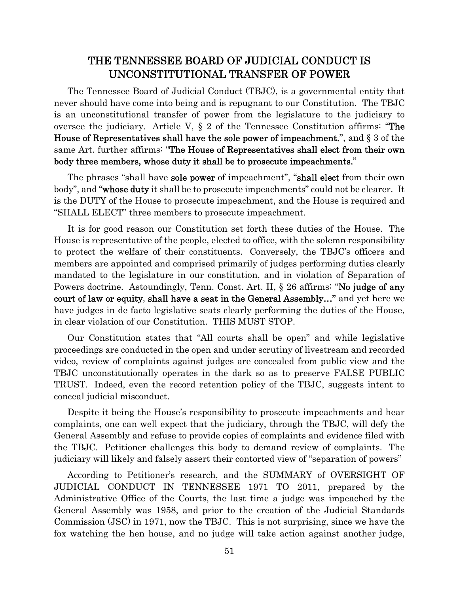# THE TENNESSEE BOARD OF JUDICIAL CONDUCT IS UNCONSTITUTIONAL TRANSFER OF POWER

The Tennessee Board of Judicial Conduct (TBJC), is a governmental entity that never should have come into being and is repugnant to our Constitution. The TBJC is an unconstitutional transfer of power from the legislature to the judiciary to oversee the judiciary. Article V, § 2 of the Tennessee Constitution affirms: "The House of Representatives shall have the sole power of impeachment.", and  $\S 3$  of the same Art. further affirms: "The House of Representatives shall elect from their own body three members, whose duty it shall be to prosecute impeachments."

The phrases "shall have **sole power** of impeachment", "**shall elect** from their own body", and "whose duty it shall be to prosecute impeachments" could not be clearer. It is the DUTY of the House to prosecute impeachment, and the House is required and "SHALL ELECT" three members to prosecute impeachment.

It is for good reason our Constitution set forth these duties of the House. The House is representative of the people, elected to office, with the solemn responsibility to protect the welfare of their constituents. Conversely, the TBJC's officers and members are appointed and comprised primarily of judges performing duties clearly mandated to the legislature in our constitution, and in violation of Separation of Powers doctrine. Astoundingly, Tenn. Const. Art. II, § 26 affirms: "No judge of any court of law or equity, shall have a seat in the General Assembly…" and yet here we have judges in de facto legislative seats clearly performing the duties of the House, in clear violation of our Constitution. THIS MUST STOP.

Our Constitution states that "All courts shall be open" and while legislative proceedings are conducted in the open and under scrutiny of livestream and recorded video, review of complaints against judges are concealed from public view and the TBJC unconstitutionally operates in the dark so as to preserve FALSE PUBLIC TRUST. Indeed, even the record retention policy of the TBJC, suggests intent to conceal judicial misconduct.

Despite it being the House's responsibility to prosecute impeachments and hear complaints, one can well expect that the judiciary, through the TBJC, will defy the General Assembly and refuse to provide copies of complaints and evidence filed with the TBJC. Petitioner challenges this body to demand review of complaints. The judiciary will likely and falsely assert their contorted view of "separation of powers"

According to Petitioner's research, and the SUMMARY of OVERSIGHT OF JUDICIAL CONDUCT IN TENNESSEE 1971 TO 2011, prepared by the Administrative Office of the Courts, the last time a judge was impeached by the General Assembly was 1958, and prior to the creation of the Judicial Standards Commission (JSC) in 1971, now the TBJC. This is not surprising, since we have the fox watching the hen house, and no judge will take action against another judge,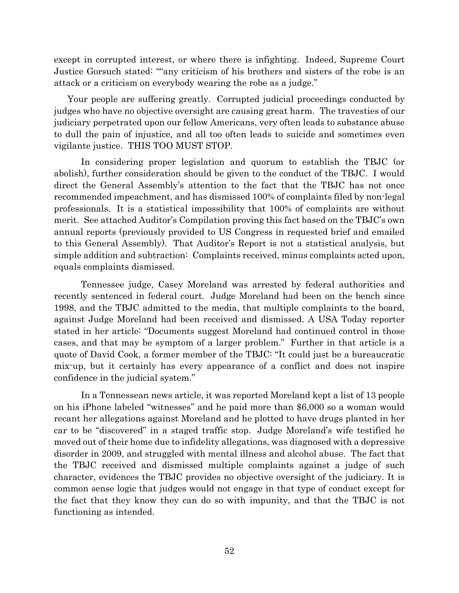except in corrupted interest, or where there is infighting. Indeed, Supreme Court Justice Gorsuch stated: ""any criticism of his brothers and sisters of the robe is an attack or a criticism on everybody wearing the robe as a judge."

Your people are suffering greatly. Corrupted judicial proceedings conducted by judges who have no objective oversight are causing great harm. The travesties of our judiciary perpetrated upon our fellow Americans, very often leads to substance abuse to dull the pain of injustice, and all too often leads to suicide and sometimes even vigilante justice. THIS TOO MUST STOP.

In considering proper legislation and quorum to establish the TBJC (or abolish), further consideration should be given to the conduct of the TBJC. I would direct the General Assembly's attention to the fact that the TBJC has not once recommended impeachment, and has dismissed 100% of complaints filed by non-legal professionals. It is a statistical impossibility that 100% of complaints are without merit. See attached Auditor's Compilation proving this fact based on the TBJC's own annual reports (previously provided to US Congress in requested brief and emailed to this General Assembly). That Auditor's Report is not a statistical analysis, but simple addition and subtraction: Complaints received, minus complaints acted upon, equals complaints dismissed.

Tennessee judge, Casey Moreland was arrested by federal authorities and recently sentenced in federal court. Judge Moreland had been on the bench since 1998, and the TBJC admitted to the media, that multiple complaints to the board, against Judge Moreland had been received and dismissed. A USA Today reporter stated in her article: "Documents suggest Moreland had continued control in those cases, and that may be symptom of a larger problem." Further in that article is a quote of David Cook, a former member of the TBJC: "It could just be a bureaucratic mix-up, but it certainly has every appearance of a conflict and does not inspire confidence in the judicial system."

In a Tennessean news article, it was reported Moreland kept a list of 13 people on his iPhone labeled "witnesses" and he paid more than \$6,000 so a woman would recant her allegations against Moreland and he plotted to have drugs planted in her car to be "discovered" in a staged traffic stop. Judge Moreland's wife testified he moved out of their home due to infidelity allegations, was diagnosed with a depressive disorder in 2009, and struggled with mental illness and alcohol abuse. The fact that the TBJC received and dismissed multiple complaints against a judge of such character, evidences the TBJC provides no objective oversight of the judiciary. It is common sense logic that judges would not engage in that type of conduct except for the fact that they know they can do so with impunity, and that the TBJC is not functioning as intended.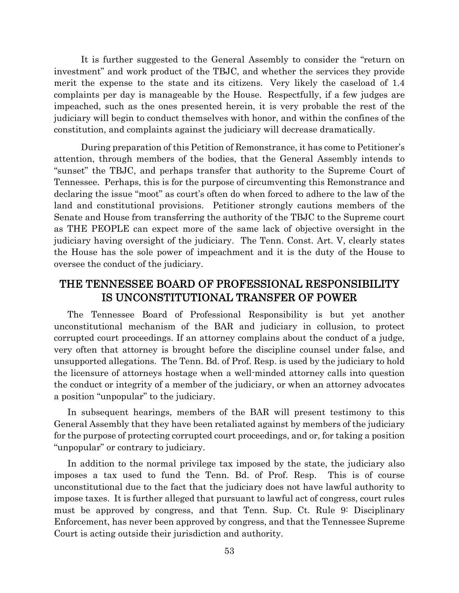It is further suggested to the General Assembly to consider the "return on investment" and work product of the TBJC, and whether the services they provide merit the expense to the state and its citizens. Very likely the caseload of 1.4 complaints per day is manageable by the House. Respectfully, if a few judges are impeached, such as the ones presented herein, it is very probable the rest of the judiciary will begin to conduct themselves with honor, and within the confines of the constitution, and complaints against the judiciary will decrease dramatically.

During preparation of this Petition of Remonstrance, it has come to Petitioner's attention, through members of the bodies, that the General Assembly intends to "sunset" the TBJC, and perhaps transfer that authority to the Supreme Court of Tennessee. Perhaps, this is for the purpose of circumventing this Remonstrance and declaring the issue "moot" as court's often do when forced to adhere to the law of the land and constitutional provisions. Petitioner strongly cautions members of the Senate and House from transferring the authority of the TBJC to the Supreme court as THE PEOPLE can expect more of the same lack of objective oversight in the judiciary having oversight of the judiciary. The Tenn. Const. Art. V, clearly states the House has the sole power of impeachment and it is the duty of the House to oversee the conduct of the judiciary.

# THE TENNESSEE BOARD OF PROFESSIONAL RESPONSIBILITY IS UNCONSTITUTIONAL TRANSFER OF POWER

The Tennessee Board of Professional Responsibility is but yet another unconstitutional mechanism of the BAR and judiciary in collusion, to protect corrupted court proceedings. If an attorney complains about the conduct of a judge, very often that attorney is brought before the discipline counsel under false, and unsupported allegations. The Tenn. Bd. of Prof. Resp. is used by the judiciary to hold the licensure of attorneys hostage when a well-minded attorney calls into question the conduct or integrity of a member of the judiciary, or when an attorney advocates a position "unpopular" to the judiciary.

In subsequent hearings, members of the BAR will present testimony to this General Assembly that they have been retaliated against by members of the judiciary for the purpose of protecting corrupted court proceedings, and or, for taking a position "unpopular" or contrary to judiciary.

In addition to the normal privilege tax imposed by the state, the judiciary also imposes a tax used to fund the Tenn. Bd. of Prof. Resp. This is of course unconstitutional due to the fact that the judiciary does not have lawful authority to impose taxes. It is further alleged that pursuant to lawful act of congress, court rules must be approved by congress, and that Tenn. Sup. Ct. Rule 9: Disciplinary Enforcement, has never been approved by congress, and that the Tennessee Supreme Court is acting outside their jurisdiction and authority.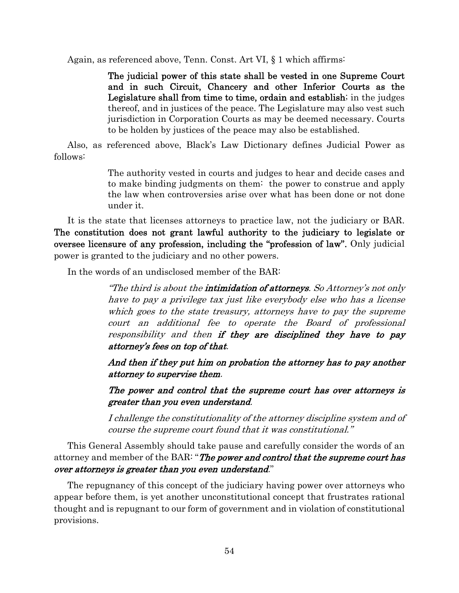Again, as referenced above, Tenn. Const. Art VI, § 1 which affirms:

The judicial power of this state shall be vested in one Supreme Court and in such Circuit, Chancery and other Inferior Courts as the Legislature shall from time to time, ordain and establish; in the judges thereof, and in justices of the peace. The Legislature may also vest such jurisdiction in Corporation Courts as may be deemed necessary. Courts to be holden by justices of the peace may also be established.

Also, as referenced above, Black's Law Dictionary defines Judicial Power as follows:

> The authority vested in courts and judges to hear and decide cases and to make binding judgments on them: the power to construe and apply the law when controversies arise over what has been done or not done under it.

It is the state that licenses attorneys to practice law, not the judiciary or BAR. The constitution does not grant lawful authority to the judiciary to legislate or oversee licensure of any profession, including the "profession of law". Only judicial power is granted to the judiciary and no other powers.

In the words of an undisclosed member of the BAR:

"The third is about the **intimidation of attorneys**. So Attorney's not only have to pay a privilege tax just like everybody else who has a license which goes to the state treasury, attorneys have to pay the supreme court an additional fee to operate the Board of professional responsibility and then if they are disciplined they have to pay attorney's fees on top of that.

And then if they put him on probation the attorney has to pay another attorney to supervise them.

The power and control that the supreme court has over attorneys is greater than you even understand.

I challenge the constitutionality of the attorney discipline system and of course the supreme court found that it was constitutional."

This General Assembly should take pause and carefully consider the words of an attorney and member of the BAR: "The power and control that the supreme court has over attorneys is greater than you even understand."

The repugnancy of this concept of the judiciary having power over attorneys who appear before them, is yet another unconstitutional concept that frustrates rational thought and is repugnant to our form of government and in violation of constitutional provisions.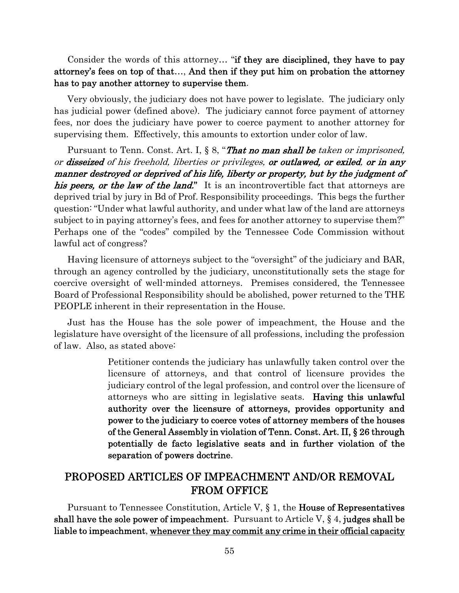## Consider the words of this attorney… "if they are disciplined, they have to pay attorney's fees on top of that…, And then if they put him on probation the attorney has to pay another attorney to supervise them.

Very obviously, the judiciary does not have power to legislate. The judiciary only has judicial power (defined above). The judiciary cannot force payment of attorney fees, nor does the judiciary have power to coerce payment to another attorney for supervising them. Effectively, this amounts to extortion under color of law.

Pursuant to Tenn. Const. Art. I, § 8, "**That no man shall be** taken or imprisoned, or disseized of his freehold, liberties or privileges, or outlawed, or exiled, or in any manner destroyed or deprived of his life, liberty or property, but by the judgment of his peers, or the law of the land." It is an incontrovertible fact that attorneys are deprived trial by jury in Bd of Prof. Responsibility proceedings. This begs the further question: "Under what lawful authority, and under what law of the land are attorneys subject to in paying attorney's fees, and fees for another attorney to supervise them?" Perhaps one of the "codes" compiled by the Tennessee Code Commission without lawful act of congress?

Having licensure of attorneys subject to the "oversight" of the judiciary and BAR, through an agency controlled by the judiciary, unconstitutionally sets the stage for coercive oversight of well-minded attorneys. Premises considered, the Tennessee Board of Professional Responsibility should be abolished, power returned to the THE PEOPLE inherent in their representation in the House.

Just has the House has the sole power of impeachment, the House and the legislature have oversight of the licensure of all professions, including the profession of law. Also, as stated above:

> Petitioner contends the judiciary has unlawfully taken control over the licensure of attorneys, and that control of licensure provides the judiciary control of the legal profession, and control over the licensure of attorneys who are sitting in legislative seats. Having this unlawful authority over the licensure of attorneys, provides opportunity and power to the judiciary to coerce votes of attorney members of the houses of the General Assembly in violation of Tenn. Const. Art. II, § 26 through potentially de facto legislative seats and in further violation of the separation of powers doctrine.

# PROPOSED ARTICLES OF IMPEACHMENT AND/OR REMOVAL FROM OFFICE

Pursuant to Tennessee Constitution, Article V, § 1, the House of Representatives shall have the sole power of impeachment. Pursuant to Article V,  $\S$  4, judges shall be liable to impeachment, whenever they may commit any crime in their official capacity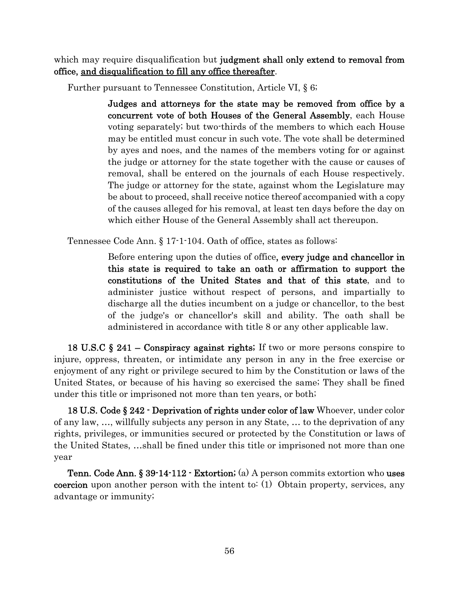which may require disqualification but judgment shall only extend to removal from office, and disqualification to fill any office thereafter.

Further pursuant to Tennessee Constitution, Article VI, § 6;

Judges and attorneys for the state may be removed from office by a concurrent vote of both Houses of the General Assembly, each House voting separately; but two-thirds of the members to which each House may be entitled must concur in such vote. The vote shall be determined by ayes and noes, and the names of the members voting for or against the judge or attorney for the state together with the cause or causes of removal, shall be entered on the journals of each House respectively. The judge or attorney for the state, against whom the Legislature may be about to proceed, shall receive notice thereof accompanied with a copy of the causes alleged for his removal, at least ten days before the day on which either House of the General Assembly shall act thereupon.

Tennessee Code Ann. § 17-1-104. Oath of office, states as follows:

Before entering upon the duties of office, every judge and chancellor in this state is required to take an oath or affirmation to support the constitutions of the United States and that of this state, and to administer justice without respect of persons, and impartially to discharge all the duties incumbent on a judge or chancellor, to the best of the judge's or chancellor's skill and ability. The oath shall be administered in accordance with title 8 or any other applicable law.

18 U.S.C § 241 – Conspiracy against rights; If two or more persons conspire to injure, oppress, threaten, or intimidate any person in any in the free exercise or enjoyment of any right or privilege secured to him by the Constitution or laws of the United States, or because of his having so exercised the same; They shall be fined under this title or imprisoned not more than ten years, or both;

18 U.S. Code § 242 - Deprivation of rights under color of law Whoever, under color of any law, …, willfully subjects any person in any State, … to the deprivation of any rights, privileges, or immunities secured or protected by the Constitution or laws of the United States, …shall be fined under this title or imprisoned not more than one year

**Tenn. Code Ann. § 39-14-112 - Extortion;** (a) A person commits extortion who uses coercion upon another person with the intent to: (1) Obtain property, services, any advantage or immunity;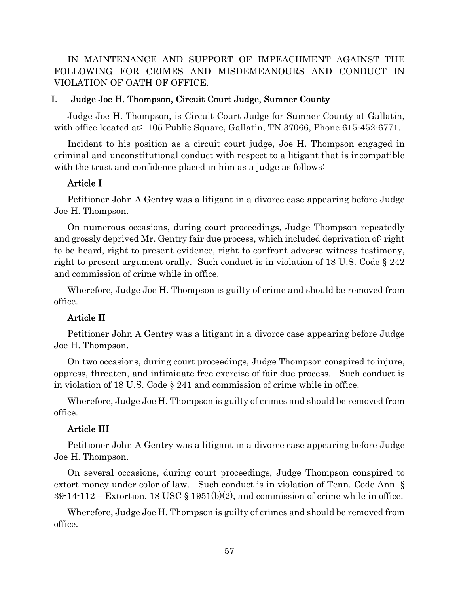IN MAINTENANCE AND SUPPORT OF IMPEACHMENT AGAINST THE FOLLOWING FOR CRIMES AND MISDEMEANOURS AND CONDUCT IN VIOLATION OF OATH OF OFFICE.

#### I. Judge Joe H. Thompson, Circuit Court Judge, Sumner County

Judge Joe H. Thompson, is Circuit Court Judge for Sumner County at Gallatin, with office located at: 105 Public Square, Gallatin, TN 37066, Phone 615-452-6771.

Incident to his position as a circuit court judge, Joe H. Thompson engaged in criminal and unconstitutional conduct with respect to a litigant that is incompatible with the trust and confidence placed in him as a judge as follows:

#### Article I

Petitioner John A Gentry was a litigant in a divorce case appearing before Judge Joe H. Thompson.

On numerous occasions, during court proceedings, Judge Thompson repeatedly and grossly deprived Mr. Gentry fair due process, which included deprivation of: right to be heard, right to present evidence, right to confront adverse witness testimony, right to present argument orally. Such conduct is in violation of 18 U.S. Code § 242 and commission of crime while in office.

Wherefore, Judge Joe H. Thompson is guilty of crime and should be removed from office.

#### Article II

Petitioner John A Gentry was a litigant in a divorce case appearing before Judge Joe H. Thompson.

On two occasions, during court proceedings, Judge Thompson conspired to injure, oppress, threaten, and intimidate free exercise of fair due process. Such conduct is in violation of 18 U.S. Code § 241 and commission of crime while in office.

Wherefore, Judge Joe H. Thompson is guilty of crimes and should be removed from office.

#### Article III

Petitioner John A Gentry was a litigant in a divorce case appearing before Judge Joe H. Thompson.

On several occasions, during court proceedings, Judge Thompson conspired to extort money under color of law. Such conduct is in violation of Tenn. Code Ann. §  $39-14-112$  – Extortion, 18 USC § 1951(b)(2), and commission of crime while in office.

Wherefore, Judge Joe H. Thompson is guilty of crimes and should be removed from office.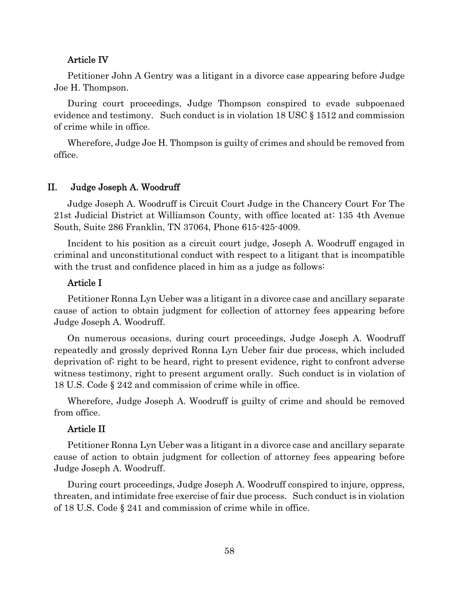#### Article IV

Petitioner John A Gentry was a litigant in a divorce case appearing before Judge Joe H. Thompson.

During court proceedings, Judge Thompson conspired to evade subpoenaed evidence and testimony. Such conduct is in violation 18 USC § 1512 and commission of crime while in office.

Wherefore, Judge Joe H. Thompson is guilty of crimes and should be removed from office.

#### II. Judge Joseph A. Woodruff

Judge Joseph A. Woodruff is Circuit Court Judge in the Chancery Court For The 21st Judicial District at Williamson County, with office located at: 135 4th Avenue South, Suite 286 Franklin, TN 37064, Phone 615-425-4009.

Incident to his position as a circuit court judge, Joseph A. Woodruff engaged in criminal and unconstitutional conduct with respect to a litigant that is incompatible with the trust and confidence placed in him as a judge as follows:

#### Article I

Petitioner Ronna Lyn Ueber was a litigant in a divorce case and ancillary separate cause of action to obtain judgment for collection of attorney fees appearing before Judge Joseph A. Woodruff.

On numerous occasions, during court proceedings, Judge Joseph A. Woodruff repeatedly and grossly deprived Ronna Lyn Ueber fair due process, which included deprivation of: right to be heard, right to present evidence, right to confront adverse witness testimony, right to present argument orally. Such conduct is in violation of 18 U.S. Code § 242 and commission of crime while in office.

Wherefore, Judge Joseph A. Woodruff is guilty of crime and should be removed from office.

#### Article II

Petitioner Ronna Lyn Ueber was a litigant in a divorce case and ancillary separate cause of action to obtain judgment for collection of attorney fees appearing before Judge Joseph A. Woodruff.

During court proceedings, Judge Joseph A. Woodruff conspired to injure, oppress, threaten, and intimidate free exercise of fair due process. Such conduct is in violation of 18 U.S. Code § 241 and commission of crime while in office.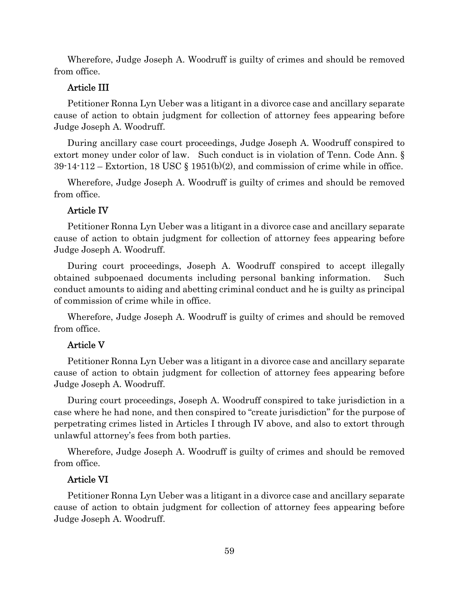Wherefore, Judge Joseph A. Woodruff is guilty of crimes and should be removed from office.

# Article III

Petitioner Ronna Lyn Ueber was a litigant in a divorce case and ancillary separate cause of action to obtain judgment for collection of attorney fees appearing before Judge Joseph A. Woodruff.

During ancillary case court proceedings, Judge Joseph A. Woodruff conspired to extort money under color of law. Such conduct is in violation of Tenn. Code Ann. §  $39-14-112$  – Extortion, 18 USC § 1951(b)(2), and commission of crime while in office.

Wherefore, Judge Joseph A. Woodruff is guilty of crimes and should be removed from office.

# Article IV

Petitioner Ronna Lyn Ueber was a litigant in a divorce case and ancillary separate cause of action to obtain judgment for collection of attorney fees appearing before Judge Joseph A. Woodruff.

During court proceedings, Joseph A. Woodruff conspired to accept illegally obtained subpoenaed documents including personal banking information. Such conduct amounts to aiding and abetting criminal conduct and he is guilty as principal of commission of crime while in office.

Wherefore, Judge Joseph A. Woodruff is guilty of crimes and should be removed from office.

# Article V

Petitioner Ronna Lyn Ueber was a litigant in a divorce case and ancillary separate cause of action to obtain judgment for collection of attorney fees appearing before Judge Joseph A. Woodruff.

During court proceedings, Joseph A. Woodruff conspired to take jurisdiction in a case where he had none, and then conspired to "create jurisdiction" for the purpose of perpetrating crimes listed in Articles I through IV above, and also to extort through unlawful attorney's fees from both parties.

Wherefore, Judge Joseph A. Woodruff is guilty of crimes and should be removed from office.

# Article VI

Petitioner Ronna Lyn Ueber was a litigant in a divorce case and ancillary separate cause of action to obtain judgment for collection of attorney fees appearing before Judge Joseph A. Woodruff.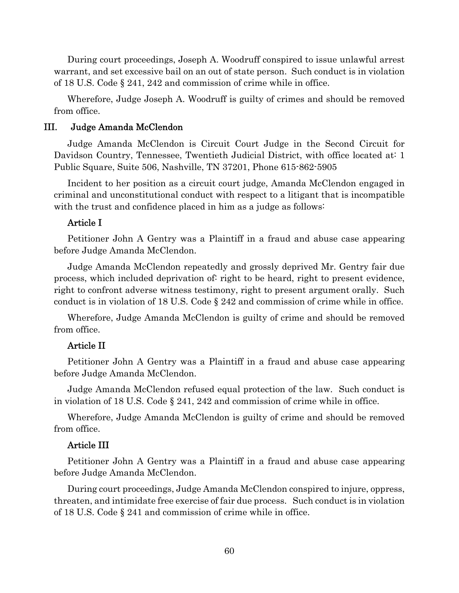During court proceedings, Joseph A. Woodruff conspired to issue unlawful arrest warrant, and set excessive bail on an out of state person. Such conduct is in violation of 18 U.S. Code § 241, 242 and commission of crime while in office.

Wherefore, Judge Joseph A. Woodruff is guilty of crimes and should be removed from office.

#### III. Judge Amanda McClendon

Judge Amanda McClendon is Circuit Court Judge in the Second Circuit for Davidson Country, Tennessee, Twentieth Judicial District, with office located at: 1 Public Square, Suite 506, Nashville, TN 37201, Phone 615-862-5905

Incident to her position as a circuit court judge, Amanda McClendon engaged in criminal and unconstitutional conduct with respect to a litigant that is incompatible with the trust and confidence placed in him as a judge as follows:

#### Article I

Petitioner John A Gentry was a Plaintiff in a fraud and abuse case appearing before Judge Amanda McClendon.

Judge Amanda McClendon repeatedly and grossly deprived Mr. Gentry fair due process, which included deprivation of: right to be heard, right to present evidence, right to confront adverse witness testimony, right to present argument orally. Such conduct is in violation of 18 U.S. Code § 242 and commission of crime while in office.

Wherefore, Judge Amanda McClendon is guilty of crime and should be removed from office.

### Article II

Petitioner John A Gentry was a Plaintiff in a fraud and abuse case appearing before Judge Amanda McClendon.

Judge Amanda McClendon refused equal protection of the law. Such conduct is in violation of 18 U.S. Code § 241, 242 and commission of crime while in office.

Wherefore, Judge Amanda McClendon is guilty of crime and should be removed from office.

### Article III

Petitioner John A Gentry was a Plaintiff in a fraud and abuse case appearing before Judge Amanda McClendon.

During court proceedings, Judge Amanda McClendon conspired to injure, oppress, threaten, and intimidate free exercise of fair due process. Such conduct is in violation of 18 U.S. Code § 241 and commission of crime while in office.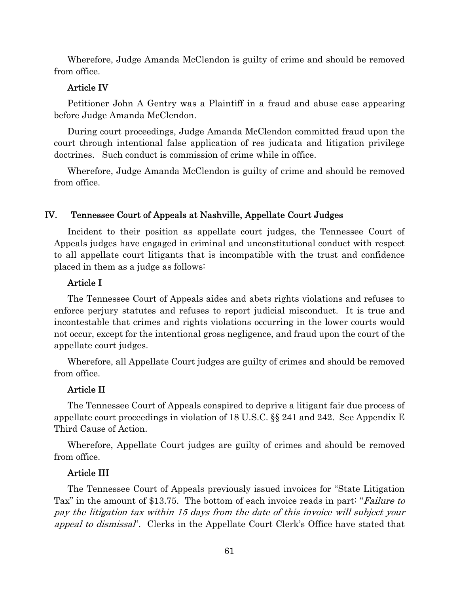Wherefore, Judge Amanda McClendon is guilty of crime and should be removed from office.

### Article IV

Petitioner John A Gentry was a Plaintiff in a fraud and abuse case appearing before Judge Amanda McClendon.

During court proceedings, Judge Amanda McClendon committed fraud upon the court through intentional false application of res judicata and litigation privilege doctrines. Such conduct is commission of crime while in office.

Wherefore, Judge Amanda McClendon is guilty of crime and should be removed from office.

# IV. Tennessee Court of Appeals at Nashville, Appellate Court Judges

Incident to their position as appellate court judges, the Tennessee Court of Appeals judges have engaged in criminal and unconstitutional conduct with respect to all appellate court litigants that is incompatible with the trust and confidence placed in them as a judge as follows:

## Article I

The Tennessee Court of Appeals aides and abets rights violations and refuses to enforce perjury statutes and refuses to report judicial misconduct. It is true and incontestable that crimes and rights violations occurring in the lower courts would not occur, except for the intentional gross negligence, and fraud upon the court of the appellate court judges.

Wherefore, all Appellate Court judges are guilty of crimes and should be removed from office.

# Article II

The Tennessee Court of Appeals conspired to deprive a litigant fair due process of appellate court proceedings in violation of 18 U.S.C. §§ 241 and 242. See Appendix E Third Cause of Action.

Wherefore, Appellate Court judges are guilty of crimes and should be removed from office.

### Article III

The Tennessee Court of Appeals previously issued invoices for "State Litigation Tax" in the amount of \$13.75. The bottom of each invoice reads in part: "*Failure to* pay the litigation tax within 15 days from the date of this invoice will subject your appeal to dismissal". Clerks in the Appellate Court Clerk's Office have stated that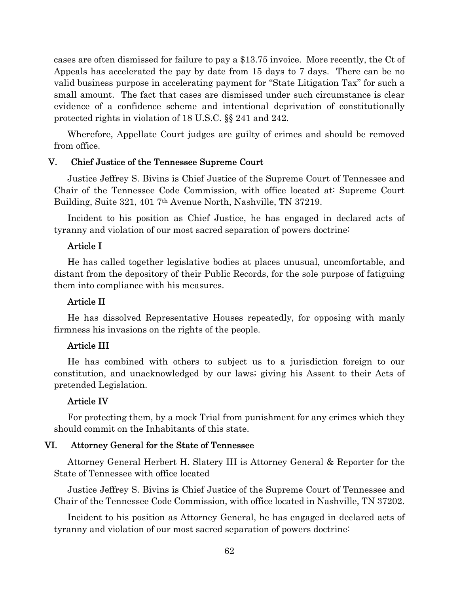cases are often dismissed for failure to pay a \$13.75 invoice. More recently, the Ct of Appeals has accelerated the pay by date from 15 days to 7 days. There can be no valid business purpose in accelerating payment for "State Litigation Tax" for such a small amount. The fact that cases are dismissed under such circumstance is clear evidence of a confidence scheme and intentional deprivation of constitutionally protected rights in violation of 18 U.S.C. §§ 241 and 242.

Wherefore, Appellate Court judges are guilty of crimes and should be removed from office.

#### V. Chief Justice of the Tennessee Supreme Court

Justice Jeffrey S. Bivins is Chief Justice of the Supreme Court of Tennessee and Chair of the Tennessee Code Commission, with office located at: Supreme Court Building, Suite 321, 401 7th Avenue North, Nashville, TN 37219.

Incident to his position as Chief Justice, he has engaged in declared acts of tyranny and violation of our most sacred separation of powers doctrine:

#### Article I

He has called together legislative bodies at places unusual, uncomfortable, and distant from the depository of their Public Records, for the sole purpose of fatiguing them into compliance with his measures.

#### Article II

He has dissolved Representative Houses repeatedly, for opposing with manly firmness his invasions on the rights of the people.

#### Article III

He has combined with others to subject us to a jurisdiction foreign to our constitution, and unacknowledged by our laws; giving his Assent to their Acts of pretended Legislation.

#### Article IV

For protecting them, by a mock Trial from punishment for any crimes which they should commit on the Inhabitants of this state.

#### VI. Attorney General for the State of Tennessee

Attorney General Herbert H. Slatery III is Attorney General & Reporter for the State of Tennessee with office located

Justice Jeffrey S. Bivins is Chief Justice of the Supreme Court of Tennessee and Chair of the Tennessee Code Commission, with office located in Nashville, TN 37202.

Incident to his position as Attorney General, he has engaged in declared acts of tyranny and violation of our most sacred separation of powers doctrine: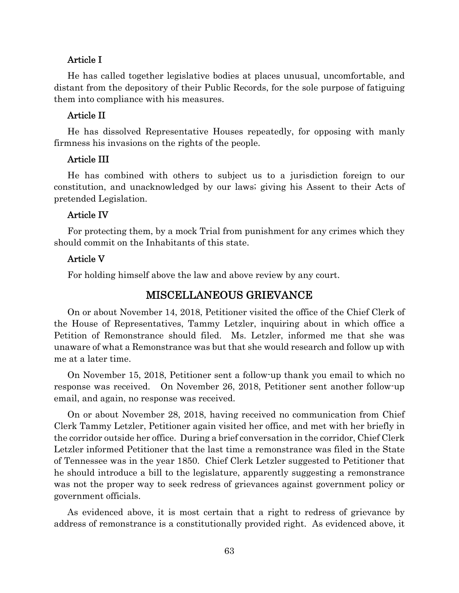#### Article I

He has called together legislative bodies at places unusual, uncomfortable, and distant from the depository of their Public Records, for the sole purpose of fatiguing them into compliance with his measures.

### Article II

He has dissolved Representative Houses repeatedly, for opposing with manly firmness his invasions on the rights of the people.

#### Article III

He has combined with others to subject us to a jurisdiction foreign to our constitution, and unacknowledged by our laws; giving his Assent to their Acts of pretended Legislation.

#### Article IV

For protecting them, by a mock Trial from punishment for any crimes which they should commit on the Inhabitants of this state.

#### Article V

For holding himself above the law and above review by any court.

### MISCELLANEOUS GRIEVANCE

On or about November 14, 2018, Petitioner visited the office of the Chief Clerk of the House of Representatives, Tammy Letzler, inquiring about in which office a Petition of Remonstrance should filed. Ms. Letzler, informed me that she was unaware of what a Remonstrance was but that she would research and follow up with me at a later time.

On November 15, 2018, Petitioner sent a follow-up thank you email to which no response was received. On November 26, 2018, Petitioner sent another follow-up email, and again, no response was received.

On or about November 28, 2018, having received no communication from Chief Clerk Tammy Letzler, Petitioner again visited her office, and met with her briefly in the corridor outside her office. During a brief conversation in the corridor, Chief Clerk Letzler informed Petitioner that the last time a remonstrance was filed in the State of Tennessee was in the year 1850. Chief Clerk Letzler suggested to Petitioner that he should introduce a bill to the legislature, apparently suggesting a remonstrance was not the proper way to seek redress of grievances against government policy or government officials.

As evidenced above, it is most certain that a right to redress of grievance by address of remonstrance is a constitutionally provided right. As evidenced above, it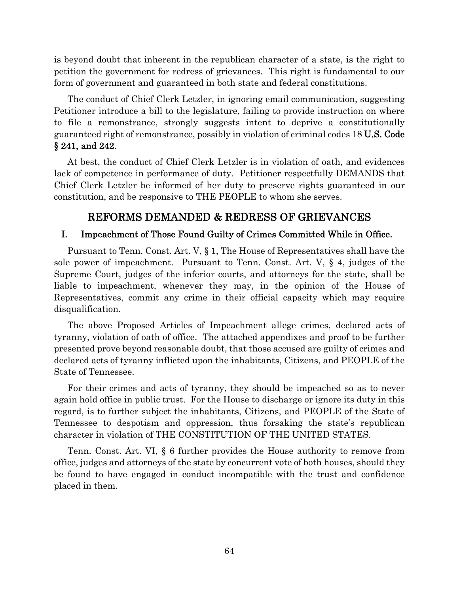is beyond doubt that inherent in the republican character of a state, is the right to petition the government for redress of grievances. This right is fundamental to our form of government and guaranteed in both state and federal constitutions.

The conduct of Chief Clerk Letzler, in ignoring email communication, suggesting Petitioner introduce a bill to the legislature, failing to provide instruction on where to file a remonstrance, strongly suggests intent to deprive a constitutionally guaranteed right of remonstrance, possibly in violation of criminal codes 18 U.S. Code § 241, and 242.

At best, the conduct of Chief Clerk Letzler is in violation of oath, and evidences lack of competence in performance of duty. Petitioner respectfully DEMANDS that Chief Clerk Letzler be informed of her duty to preserve rights guaranteed in our constitution, and be responsive to THE PEOPLE to whom she serves.

# REFORMS DEMANDED & REDRESS OF GRIEVANCES

# I. Impeachment of Those Found Guilty of Crimes Committed While in Office.

Pursuant to Tenn. Const. Art. V, § 1, The House of Representatives shall have the sole power of impeachment. Pursuant to Tenn. Const. Art. V, § 4, judges of the Supreme Court, judges of the inferior courts, and attorneys for the state, shall be liable to impeachment, whenever they may, in the opinion of the House of Representatives, commit any crime in their official capacity which may require disqualification.

The above Proposed Articles of Impeachment allege crimes, declared acts of tyranny, violation of oath of office. The attached appendixes and proof to be further presented prove beyond reasonable doubt, that those accused are guilty of crimes and declared acts of tyranny inflicted upon the inhabitants, Citizens, and PEOPLE of the State of Tennessee.

For their crimes and acts of tyranny, they should be impeached so as to never again hold office in public trust. For the House to discharge or ignore its duty in this regard, is to further subject the inhabitants, Citizens, and PEOPLE of the State of Tennessee to despotism and oppression, thus forsaking the state's republican character in violation of THE CONSTITUTION OF THE UNITED STATES.

Tenn. Const. Art. VI, § 6 further provides the House authority to remove from office, judges and attorneys of the state by concurrent vote of both houses, should they be found to have engaged in conduct incompatible with the trust and confidence placed in them.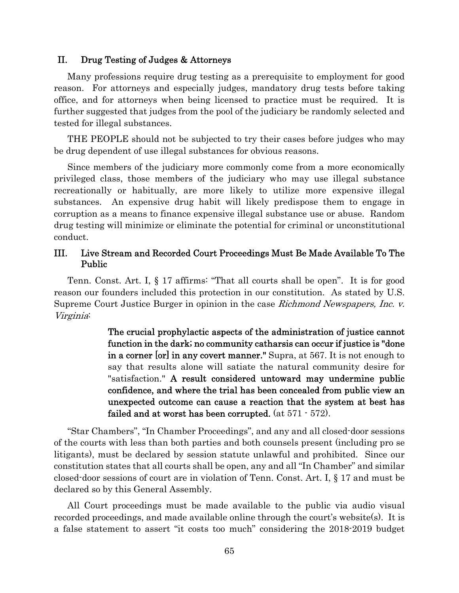#### II. Drug Testing of Judges & Attorneys

Many professions require drug testing as a prerequisite to employment for good reason. For attorneys and especially judges, mandatory drug tests before taking office, and for attorneys when being licensed to practice must be required. It is further suggested that judges from the pool of the judiciary be randomly selected and tested for illegal substances.

THE PEOPLE should not be subjected to try their cases before judges who may be drug dependent of use illegal substances for obvious reasons.

Since members of the judiciary more commonly come from a more economically privileged class, those members of the judiciary who may use illegal substance recreationally or habitually, are more likely to utilize more expensive illegal substances. An expensive drug habit will likely predispose them to engage in corruption as a means to finance expensive illegal substance use or abuse. Random drug testing will minimize or eliminate the potential for criminal or unconstitutional conduct.

### III. Live Stream and Recorded Court Proceedings Must Be Made Available To The Public

Tenn. Const. Art. I, § 17 affirms: "That all courts shall be open". It is for good reason our founders included this protection in our constitution. As stated by U.S. Supreme Court Justice Burger in opinion in the case *Richmond Newspapers, Inc. v.* Virginia:

> The crucial prophylactic aspects of the administration of justice cannot function in the dark; no community catharsis can occur if justice is "done in a corner [or] in any covert manner." Supra, at 567. It is not enough to say that results alone will satiate the natural community desire for "satisfaction." A result considered untoward may undermine public confidence, and where the trial has been concealed from public view an unexpected outcome can cause a reaction that the system at best has failed and at worst has been corrupted. (at 571 - 572).

"Star Chambers", "In Chamber Proceedings", and any and all closed-door sessions of the courts with less than both parties and both counsels present (including pro se litigants), must be declared by session statute unlawful and prohibited. Since our constitution states that all courts shall be open, any and all "In Chamber" and similar closed-door sessions of court are in violation of Tenn. Const. Art. I, § 17 and must be declared so by this General Assembly.

All Court proceedings must be made available to the public via audio visual recorded proceedings, and made available online through the court's website(s). It is a false statement to assert "it costs too much" considering the 2018-2019 budget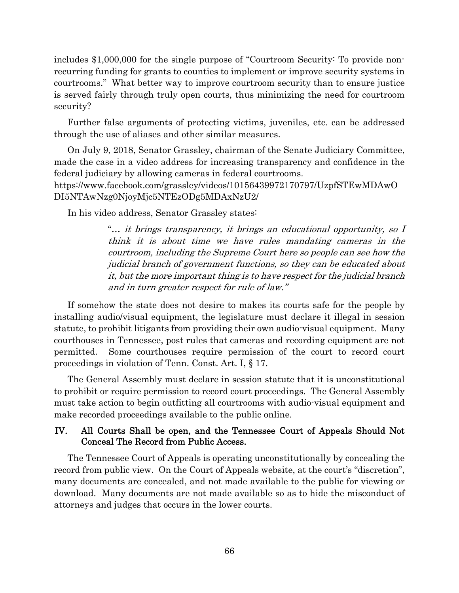includes \$1,000,000 for the single purpose of "Courtroom Security: To provide nonrecurring funding for grants to counties to implement or improve security systems in courtrooms." What better way to improve courtroom security than to ensure justice is served fairly through truly open courts, thus minimizing the need for courtroom security?

Further false arguments of protecting victims, juveniles, etc. can be addressed through the use of aliases and other similar measures.

On July 9, 2018, Senator Grassley, chairman of the Senate Judiciary Committee, made the case in a video address for increasing transparency and confidence in the federal judiciary by allowing cameras in federal courtrooms.

https://www.facebook.com/grassley/videos/10156439972170797/UzpfSTEwMDAwO DI5NTAwNzg0NjoyMjc5NTEzODg5MDAxNzU2/

In his video address, Senator Grassley states:

"… it brings transparency, it brings an educational opportunity, so I think it is about time we have rules mandating cameras in the courtroom, including the Supreme Court here so people can see how the judicial branch of government functions, so they can be educated about it, but the more important thing is to have respect for the judicial branch and in turn greater respect for rule of law."

If somehow the state does not desire to makes its courts safe for the people by installing audio/visual equipment, the legislature must declare it illegal in session statute, to prohibit litigants from providing their own audio-visual equipment. Many courthouses in Tennessee, post rules that cameras and recording equipment are not permitted. Some courthouses require permission of the court to record court proceedings in violation of Tenn. Const. Art. I, § 17.

The General Assembly must declare in session statute that it is unconstitutional to prohibit or require permission to record court proceedings. The General Assembly must take action to begin outfitting all courtrooms with audio-visual equipment and make recorded proceedings available to the public online.

## IV. All Courts Shall be open, and the Tennessee Court of Appeals Should Not Conceal The Record from Public Access.

The Tennessee Court of Appeals is operating unconstitutionally by concealing the record from public view. On the Court of Appeals website, at the court's "discretion", many documents are concealed, and not made available to the public for viewing or download. Many documents are not made available so as to hide the misconduct of attorneys and judges that occurs in the lower courts.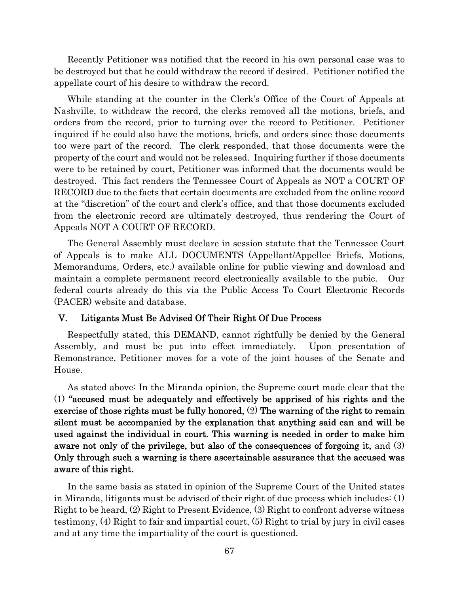Recently Petitioner was notified that the record in his own personal case was to be destroyed but that he could withdraw the record if desired. Petitioner notified the appellate court of his desire to withdraw the record.

While standing at the counter in the Clerk's Office of the Court of Appeals at Nashville, to withdraw the record, the clerks removed all the motions, briefs, and orders from the record, prior to turning over the record to Petitioner. Petitioner inquired if he could also have the motions, briefs, and orders since those documents too were part of the record. The clerk responded, that those documents were the property of the court and would not be released. Inquiring further if those documents were to be retained by court, Petitioner was informed that the documents would be destroyed. This fact renders the Tennessee Court of Appeals as NOT a COURT OF RECORD due to the facts that certain documents are excluded from the online record at the "discretion" of the court and clerk's office, and that those documents excluded from the electronic record are ultimately destroyed, thus rendering the Court of Appeals NOT A COURT OF RECORD.

The General Assembly must declare in session statute that the Tennessee Court of Appeals is to make ALL DOCUMENTS (Appellant/Appellee Briefs, Motions, Memorandums, Orders, etc.) available online for public viewing and download and maintain a complete permanent record electronically available to the pubic. Our federal courts already do this via the Public Access To Court Electronic Records (PACER) website and database.

#### V. Litigants Must Be Advised Of Their Right Of Due Process

Respectfully stated, this DEMAND, cannot rightfully be denied by the General Assembly, and must be put into effect immediately. Upon presentation of Remonstrance, Petitioner moves for a vote of the joint houses of the Senate and House.

As stated above: In the Miranda opinion, the Supreme court made clear that the (1) "accused must be adequately and effectively be apprised of his rights and the exercise of those rights must be fully honored, (2) The warning of the right to remain silent must be accompanied by the explanation that anything said can and will be used against the individual in court. This warning is needed in order to make him aware not only of the privilege, but also of the consequences of forgoing it, and (3) Only through such a warning is there ascertainable assurance that the accused was aware of this right.

In the same basis as stated in opinion of the Supreme Court of the United states in Miranda, litigants must be advised of their right of due process which includes: (1) Right to be heard, (2) Right to Present Evidence, (3) Right to confront adverse witness testimony, (4) Right to fair and impartial court, (5) Right to trial by jury in civil cases and at any time the impartiality of the court is questioned.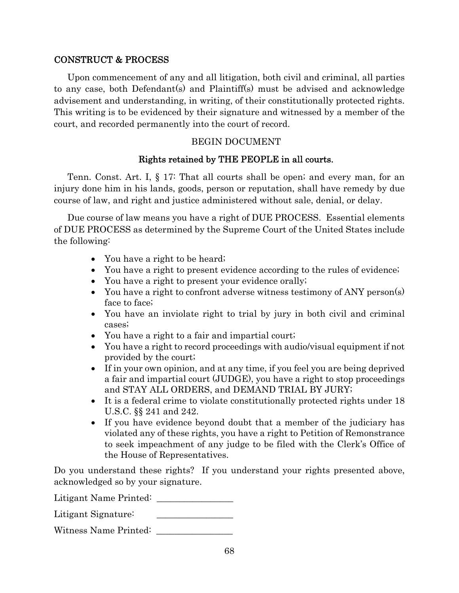## CONSTRUCT & PROCESS

Upon commencement of any and all litigation, both civil and criminal, all parties to any case, both Defendant(s) and Plaintiff(s) must be advised and acknowledge advisement and understanding, in writing, of their constitutionally protected rights. This writing is to be evidenced by their signature and witnessed by a member of the court, and recorded permanently into the court of record.

## BEGIN DOCUMENT

# Rights retained by THE PEOPLE in all courts.

Tenn. Const. Art. I, § 17: That all courts shall be open; and every man, for an injury done him in his lands, goods, person or reputation, shall have remedy by due course of law, and right and justice administered without sale, denial, or delay.

Due course of law means you have a right of DUE PROCESS. Essential elements of DUE PROCESS as determined by the Supreme Court of the United States include the following:

- You have a right to be heard;
- You have a right to present evidence according to the rules of evidence;
- You have a right to present your evidence orally;
- You have a right to confront adverse witness testimony of ANY person(s) face to face;
- You have an inviolate right to trial by jury in both civil and criminal cases;
- You have a right to a fair and impartial court;
- You have a right to record proceedings with audio/visual equipment if not provided by the court;
- If in your own opinion, and at any time, if you feel you are being deprived a fair and impartial court (JUDGE), you have a right to stop proceedings and STAY ALL ORDERS, and DEMAND TRIAL BY JURY;
- It is a federal crime to violate constitutionally protected rights under 18 U.S.C. §§ 241 and 242.
- If you have evidence beyond doubt that a member of the judiciary has violated any of these rights, you have a right to Petition of Remonstrance to seek impeachment of any judge to be filed with the Clerk's Office of the House of Representatives.

Do you understand these rights? If you understand your rights presented above, acknowledged so by your signature.

Litigant Name Printed:

Litigant Signature:

Witness Name Printed: \_\_\_\_\_\_\_\_\_\_\_\_\_\_\_\_\_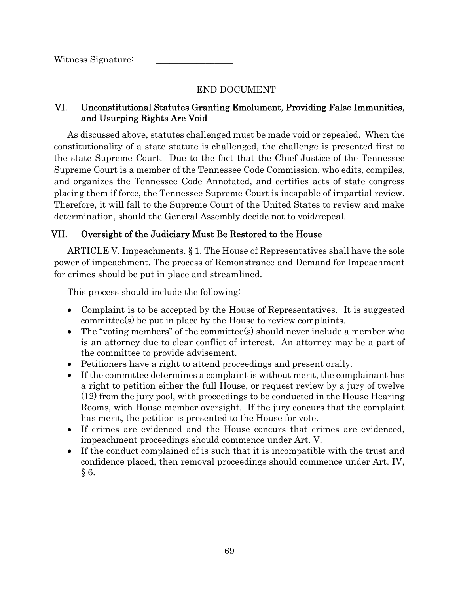Witness Signature:

# END DOCUMENT

# VI. Unconstitutional Statutes Granting Emolument, Providing False Immunities, and Usurping Rights Are Void

As discussed above, statutes challenged must be made void or repealed. When the constitutionality of a state statute is challenged, the challenge is presented first to the state Supreme Court. Due to the fact that the Chief Justice of the Tennessee Supreme Court is a member of the Tennessee Code Commission, who edits, compiles, and organizes the Tennessee Code Annotated, and certifies acts of state congress placing them if force, the Tennessee Supreme Court is incapable of impartial review. Therefore, it will fall to the Supreme Court of the United States to review and make determination, should the General Assembly decide not to void/repeal.

# VII. Oversight of the Judiciary Must Be Restored to the House

ARTICLE V. Impeachments. § 1. The House of Representatives shall have the sole power of impeachment. The process of Remonstrance and Demand for Impeachment for crimes should be put in place and streamlined.

This process should include the following:

- Complaint is to be accepted by the House of Representatives. It is suggested committee(s) be put in place by the House to review complaints.
- The "voting members" of the committee(s) should never include a member who is an attorney due to clear conflict of interest. An attorney may be a part of the committee to provide advisement.
- Petitioners have a right to attend proceedings and present orally.
- If the committee determines a complaint is without merit, the complainant has a right to petition either the full House, or request review by a jury of twelve (12) from the jury pool, with proceedings to be conducted in the House Hearing Rooms, with House member oversight. If the jury concurs that the complaint has merit, the petition is presented to the House for vote.
- If crimes are evidenced and the House concurs that crimes are evidenced, impeachment proceedings should commence under Art. V.
- If the conduct complained of is such that it is incompatible with the trust and confidence placed, then removal proceedings should commence under Art. IV, § 6.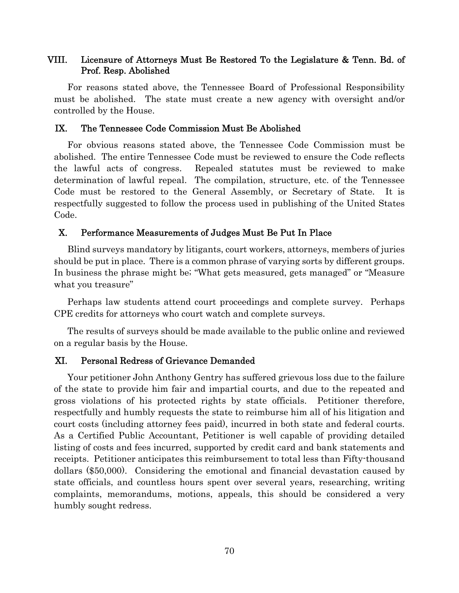### VIII. Licensure of Attorneys Must Be Restored To the Legislature & Tenn. Bd. of Prof. Resp. Abolished

For reasons stated above, the Tennessee Board of Professional Responsibility must be abolished. The state must create a new agency with oversight and/or controlled by the House.

### IX. The Tennessee Code Commission Must Be Abolished

For obvious reasons stated above, the Tennessee Code Commission must be abolished. The entire Tennessee Code must be reviewed to ensure the Code reflects the lawful acts of congress. Repealed statutes must be reviewed to make determination of lawful repeal. The compilation, structure, etc. of the Tennessee Code must be restored to the General Assembly, or Secretary of State. It is respectfully suggested to follow the process used in publishing of the United States Code.

### X. Performance Measurements of Judges Must Be Put In Place

Blind surveys mandatory by litigants, court workers, attorneys, members of juries should be put in place. There is a common phrase of varying sorts by different groups. In business the phrase might be; "What gets measured, gets managed" or "Measure what you treasure"

Perhaps law students attend court proceedings and complete survey. Perhaps CPE credits for attorneys who court watch and complete surveys.

The results of surveys should be made available to the public online and reviewed on a regular basis by the House.

### XI. Personal Redress of Grievance Demanded

Your petitioner John Anthony Gentry has suffered grievous loss due to the failure of the state to provide him fair and impartial courts, and due to the repeated and gross violations of his protected rights by state officials. Petitioner therefore, respectfully and humbly requests the state to reimburse him all of his litigation and court costs (including attorney fees paid), incurred in both state and federal courts. As a Certified Public Accountant, Petitioner is well capable of providing detailed listing of costs and fees incurred, supported by credit card and bank statements and receipts. Petitioner anticipates this reimbursement to total less than Fifty-thousand dollars (\$50,000). Considering the emotional and financial devastation caused by state officials, and countless hours spent over several years, researching, writing complaints, memorandums, motions, appeals, this should be considered a very humbly sought redress.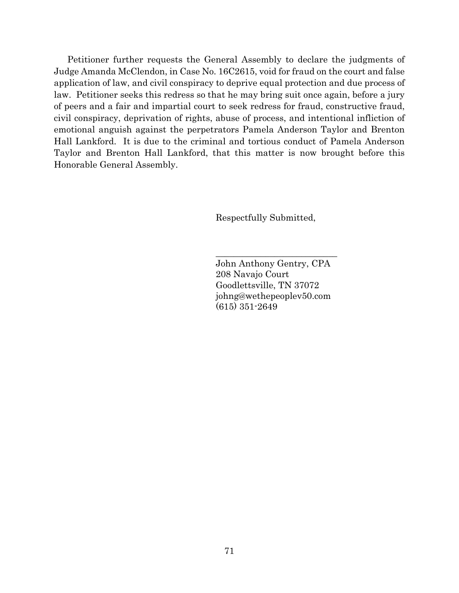Petitioner further requests the General Assembly to declare the judgments of Judge Amanda McClendon, in Case No. 16C2615, void for fraud on the court and false application of law, and civil conspiracy to deprive equal protection and due process of law. Petitioner seeks this redress so that he may bring suit once again, before a jury of peers and a fair and impartial court to seek redress for fraud, constructive fraud, civil conspiracy, deprivation of rights, abuse of process, and intentional infliction of emotional anguish against the perpetrators Pamela Anderson Taylor and Brenton Hall Lankford. It is due to the criminal and tortious conduct of Pamela Anderson Taylor and Brenton Hall Lankford, that this matter is now brought before this Honorable General Assembly.

Respectfully Submitted,

John Anthony Gentry, CPA 208 Navajo Court Goodlettsville, TN 37072 johng@wethepeoplev50.com (615) 351-2649

 $\overline{\phantom{a}}$  , where  $\overline{\phantom{a}}$  , where  $\overline{\phantom{a}}$  , where  $\overline{\phantom{a}}$  , where  $\overline{\phantom{a}}$